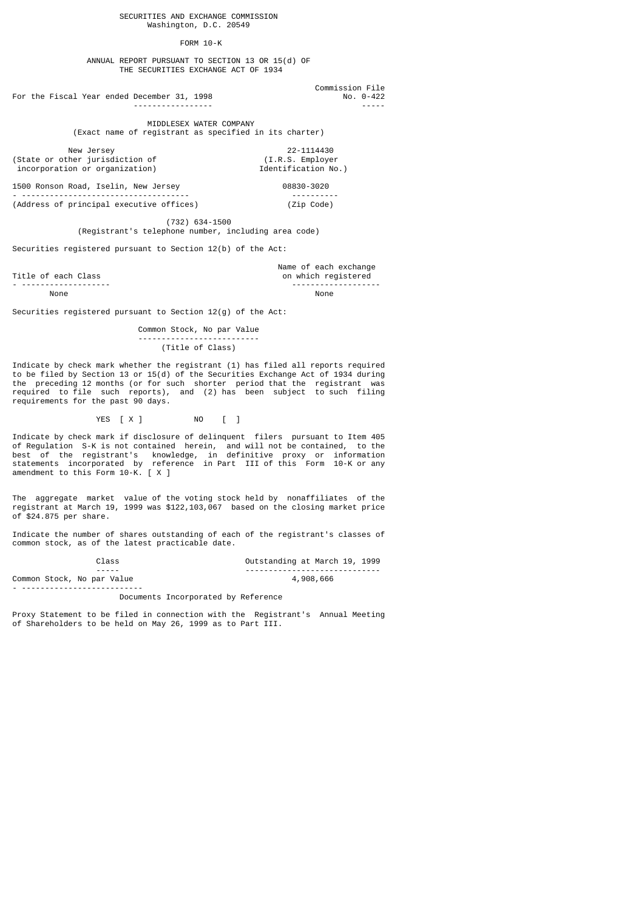## FORM 10-K

 ANNUAL REPORT PURSUANT TO SECTION 13 OR 15(d) OF THE SECURITIES EXCHANGE ACT OF 1934

For the Fiscal Year ended December 31, 1998 No. 0-422

 Commission File ----------------- -----

> MIDDLESEX WATER COMPANY (Exact name of registrant as specified in its charter)

(State or other jurisdiction of

New Jersey 22-1114430<br>
ther jurisdiction of (I.R.S. Employer<br>
ion or organization) 1dentification No.)

1500 Ronson Road, Iselin, New Jersey 08830-3020 - ------------------------------------ ----------

incorporation or organization)

(Address of principal executive offices) (Zip Code)

 (732) 634-1500 (Registrant's telephone number, including area code)

Securities registered pursuant to Section 12(b) of the Act:

Title of each Class and the set of each exchange of each exchange of each exchange of each exchange of each exchange of each exchange of each exchange of each exchange of each exchange of  $\sim$  100 km s and the set of the s

on which registered - ------------------- ------------------- None None

Securities registered pursuant to Section 12(g) of the Act:

 Common Stock, No par Value -------------------------- (Title of Class)

Indicate by check mark whether the registrant (1) has filed all reports required to be filed by Section 13 or 15(d) of the Securities Exchange Act of 1934 during the preceding 12 months (or for such shorter period that the registrant was required to file such reports), and (2) has been subject to such filing requirements for the past 90 days.

YES [ X ] NO [ ]

Indicate by check mark if disclosure of delinquent filers pursuant to Item 405 of Regulation S-K is not contained herein, and will not be contained, to the best of the registrant's knowledge, in definitive proxy or information statements incorporated by reference in Part III of this Form 10-K or any amendment to this Form 10-K. [ X ]

The aggregate market value of the voting stock held by nonaffiliates of the registrant at March 19, 1999 was \$122,103,067 based on the closing market price of \$24.875 per share.

Indicate the number of shares outstanding of each of the registrant's classes of common stock, as of the latest practicable date.

| Class                      | Outstanding at March 19, 1999 |
|----------------------------|-------------------------------|
| $- - - - - -$              |                               |
| Common Stock, No par Value | 4,908,666                     |
|                            |                               |

Documents Incorporated by Reference

Proxy Statement to be filed in connection with the Registrant's Annual Meeting of Shareholders to be held on May 26, 1999 as to Part III.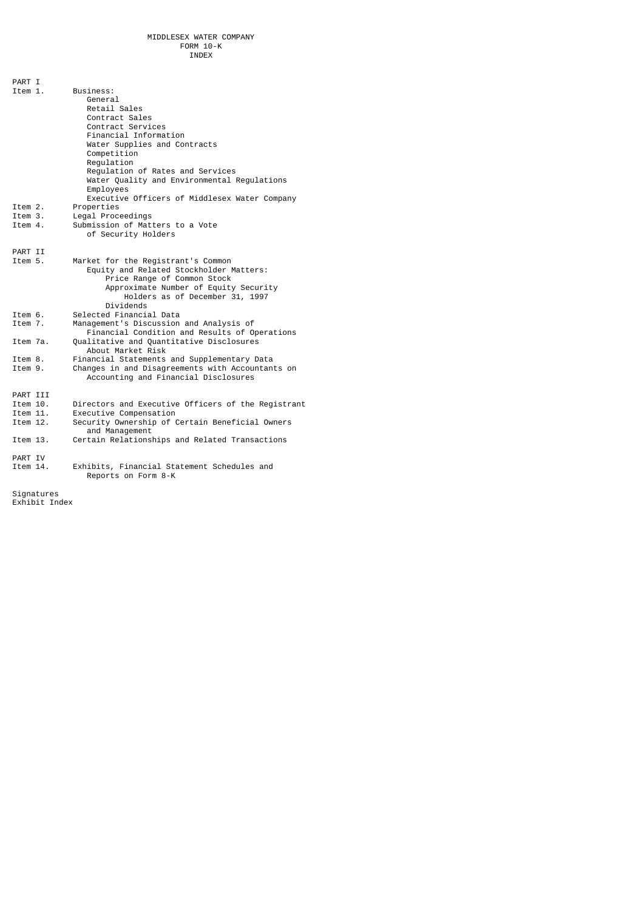| PART I<br>Item 1. | Business:<br>General<br>Retail Sales<br>Contract Sales<br>Contract Services<br>Financial Information<br>Water Supplies and Contracts<br>Competition<br>Requlation<br>Requlation of Rates and Services<br>Water Quality and Environmental Regulations<br>Employees<br>Executive Officers of Middlesex Water Company |
|-------------------|--------------------------------------------------------------------------------------------------------------------------------------------------------------------------------------------------------------------------------------------------------------------------------------------------------------------|
| Item 2.           | Properties                                                                                                                                                                                                                                                                                                         |
| Item 3.           | Legal Proceedings                                                                                                                                                                                                                                                                                                  |
| Item 4.           | Submission of Matters to a Vote<br>of Security Holders                                                                                                                                                                                                                                                             |
| PART II           |                                                                                                                                                                                                                                                                                                                    |
| Item 5.           | Market for the Registrant's Common                                                                                                                                                                                                                                                                                 |
|                   | Equity and Related Stockholder Matters:<br>Price Range of Common Stock<br>Approximate Number of Equity Security<br>Holders as of December 31, 1997<br>Dividends                                                                                                                                                    |
| Item 6.           | Selected Financial Data                                                                                                                                                                                                                                                                                            |
| Item 7.           | Management's Discussion and Analysis of<br>Financial Condition and Results of Operations                                                                                                                                                                                                                           |
| Item 7a.          | Qualitative and Quantitative Disclosures<br>About Market Risk                                                                                                                                                                                                                                                      |
| Item 8.           | Financial Statements and Supplementary Data                                                                                                                                                                                                                                                                        |
| Item 9.           | Changes in and Disagreements with Accountants on<br>Accounting and Financial Disclosures                                                                                                                                                                                                                           |
| PART III          |                                                                                                                                                                                                                                                                                                                    |
| Item 10.          | Directors and Executive Officers of the Registrant                                                                                                                                                                                                                                                                 |
| Item 11.          | Executive Compensation                                                                                                                                                                                                                                                                                             |
| Item 12.          | Security Ownership of Certain Beneficial Owners<br>and Management                                                                                                                                                                                                                                                  |
| Item 13.          | Certain Relationships and Related Transactions                                                                                                                                                                                                                                                                     |
| PART IV           |                                                                                                                                                                                                                                                                                                                    |
| Item 14.          | Exhibits, Financial Statement Schedules and<br>Reports on Form 8-K                                                                                                                                                                                                                                                 |
|                   |                                                                                                                                                                                                                                                                                                                    |

Signatures Exhibit Index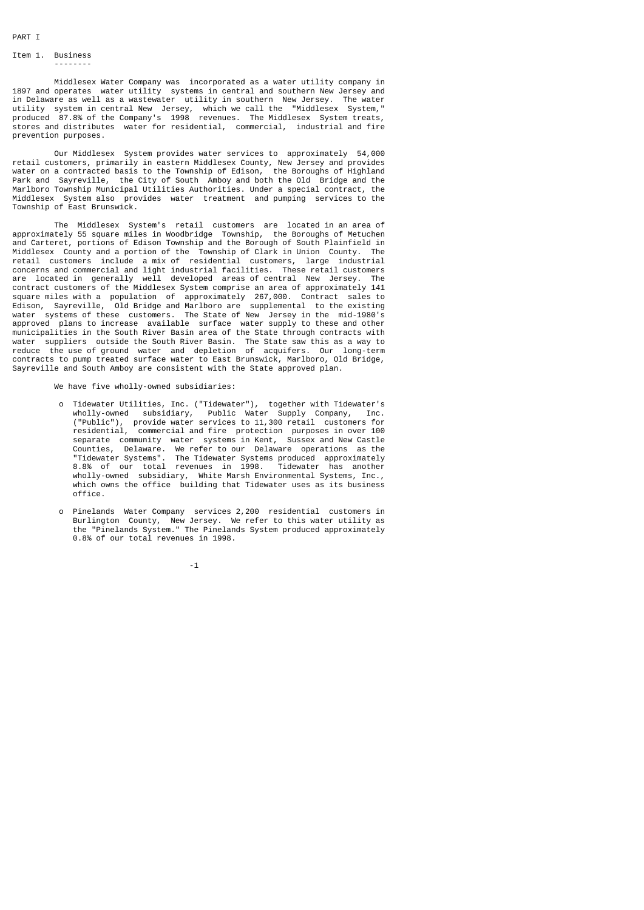## Item 1. Business --------

 Middlesex Water Company was incorporated as a water utility company in 1897 and operates water utility systems in central and southern New Jersey and in Delaware as well as a wastewater utility in southern New Jersey. The water utility system in central New Jersey, which we call the "Middlesex System," produced 87.8% of the Company's 1998 revenues. The Middlesex System treats, stores and distributes water for residential, commercial, industrial and fire prevention purposes.

 Our Middlesex System provides water services to approximately 54,000 retail customers, primarily in eastern Middlesex County, New Jersey and provides water on a contracted basis to the Township of Edison, the Boroughs of Highland Park and Sayreville, the City of South Amboy and both the Old Bridge and the Marlboro Township Municipal Utilities Authorities. Under a special contract, the Middlesex System also provides water treatment and pumping services to the Township of East Brunswick.

 The Middlesex System's retail customers are located in an area of approximately 55 square miles in Woodbridge Township, the Boroughs of Metuchen and Carteret, portions of Edison Township and the Borough of South Plainfield in Middlesex County and a portion of the Township of Clark in Union County. The retail customers include a mix of residential customers, large industrial concerns and commercial and light industrial facilities. These retail customers are located in generally well developed areas of central New Jersey. The contract customers of the Middlesex System comprise an area of approximately 141 square miles with a population of approximately 267,000. Contract sales to Edison, Sayreville, Old Bridge and Marlboro are supplemental to the existing water systems of these customers. The State of New Jersey in the mid-1980's approved plans to increase available surface water supply to these and other municipalities in the South River Basin area of the State through contracts with water suppliers outside the South River Basin. The State saw this as a way to reduce the use of ground water and depletion of acquifers. Our long-term contracts to pump treated surface water to East Brunswick, Marlboro, Old Bridge, Sayreville and South Amboy are consistent with the State approved plan.

We have five wholly-owned subsidiaries:

- o Tidewater Utilities, Inc. ("Tidewater"), together with Tidewater's wholly-owned subsidiary, Public Water Supply Company, Inc. ("Public"), provide water services to 11,300 retail customers for residential, commercial and fire protection purposes in over 100 separate community water systems in Kent, Sussex and New Castle<br>Counties, Delaware, We refer to our Delaware operations as the Delaware. We refer to our Delaware operations "Tidewater Systems". The Tidewater Systems produced approximately 8.8% of our total revenues in 1998. Tidewater has another wholly-owned subsidiary, White Marsh Environmental Systems, Inc., which owns the office building that Tidewater uses as its business office.
- o Pinelands Water Company services 2,200 residential customers in Burlington County, New Jersey. We refer to this water utility as the "Pinelands System." The Pinelands System produced approximately 0.8% of our total revenues in 1998.

-1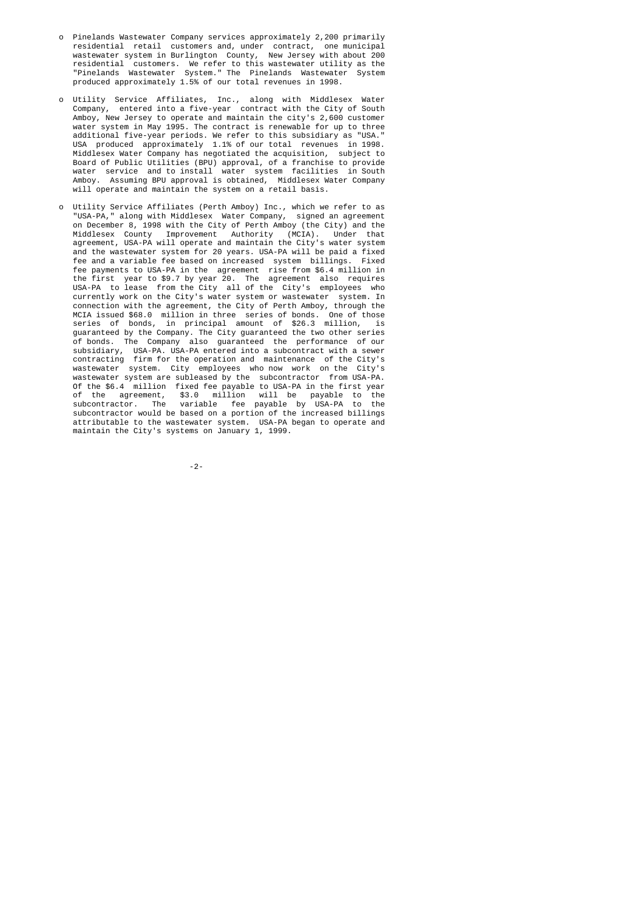- o Pinelands Wastewater Company services approximately 2,200 primarily residential retail customers and, under contract, one municipal wastewater system in Burlington County, New Jersey with about 200 residential customers. We refer to this wastewater utility as the "Pinelands Wastewater System." The Pinelands Wastewater System produced approximately 1.5% of our total revenues in 1998.
- o Utility Service Affiliates, Inc., along with Middlesex Water Company, entered into a five-year contract with the City of South Amboy, New Jersey to operate and maintain the city's 2,600 customer<br>water system in May 1995. The contract is renewable for up to three system in May 1995. The contract is renewable for up to three additional five-year periods. We refer to this subsidiary as "USA." USA produced approximately 1.1% of our total revenues in 1998. Middlesex Water Company has negotiated the acquisition, subject to Board of Public Utilities (BPU) approval, of a franchise to provide water service and to install water system facilities in South Amboy. Assuming BPU approval is obtained, Middlesex Water Company will operate and maintain the system on a retail basis.
- o Utility Service Affiliates (Perth Amboy) Inc., which we refer to as "USA-PA," along with Middlesex Water Company, signed an agreement on December 8, 1998 with the City of Perth Amboy (the City) and the Middlesex County Improvement Authority (MCIA). Under that agreement, USA-PA will operate and maintain the City's water system and the wastewater system for 20 years. USA-PA will be paid a fixed fee and a variable fee based on increased system billings. Fixed fee and a variable fee based on increased system billings. fee payments to USA-PA in the agreement rise from \$6.4 million in the first year to \$9.7 by year 20. The agreement also requires USA-PA to lease from the City all of the City's employees who currently work on the City's water system or wastewater system. In connection with the agreement, the City of Perth Amboy, through the MCIA issued \$68.0 million in three series of bonds. One of those series of bonds, in principal amount of \$26.3 million, is guaranteed by the Company. The City guaranteed the two other series of bonds. The Company also guaranteed the performance of our subsidiary, USA-PA. USA-PA entered into a subcontract with a sewer contracting firm for the operation and maintenance of the City's wastewater system. City employees who now work on the City's wastewater system are subleased by the subcontractor from USA-PA. Of the \$6.4 million fixed fee payable to USA-PA in the first year of the agreement, \$3.0 million will be payable to the subcontractor. The variable fee payable by USA-PA to the subcontractor would be based on a portion of the increased billings attributable to the wastewater system. USA-PA began to operate and maintain the City's systems on January 1, 1999.

-2-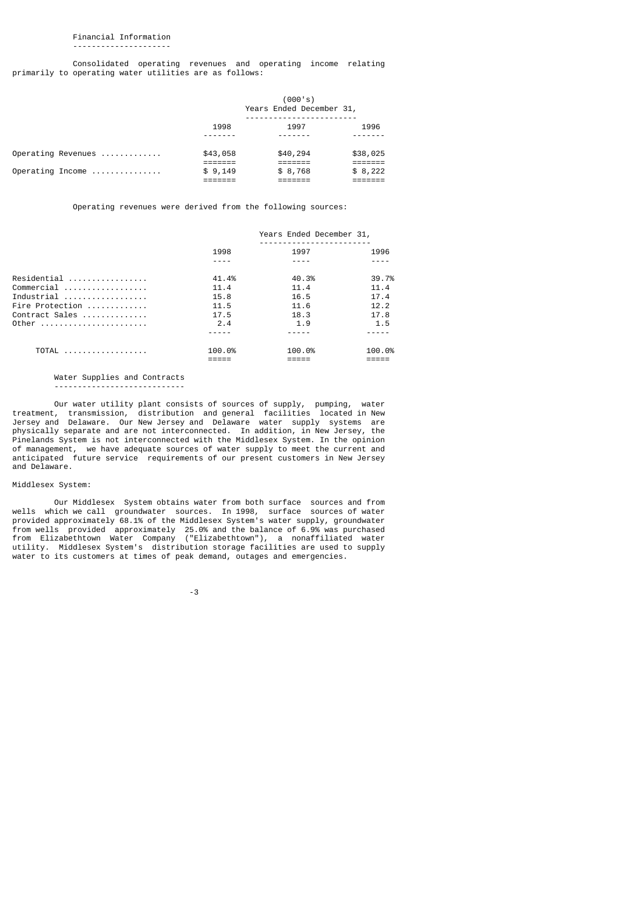### Financial Information ---------------------

 Consolidated operating revenues and operating income relating primarily to operating water utilities are as follows:

|                    |          | (000's)<br>Years Ended December 31, |          |
|--------------------|----------|-------------------------------------|----------|
|                    | 1998     | 1997                                | 1996     |
| Operating Revenues | \$43,058 | \$40,294                            | \$38,025 |
| Operating Income   | \$9,149  | \$8,768                             | \$8,222  |

Operating revenues were derived from the following sources:

| 1998   | 1997   | 1996                     |
|--------|--------|--------------------------|
|        |        |                          |
| 41.4%  | 40.3%  | 39.7%                    |
| 11.4   | 11.4   | 11.4                     |
| 15.8   | 16.5   | 17.4                     |
| 11.5   | 11.6   | 12.2                     |
| 17.5   | 18.3   | 17.8                     |
| 2.4    | 1.9    | 1.5                      |
|        |        |                          |
| 100.0% | 100.0% | 100.0%                   |
|        |        | Years Ended December 31, |

### Water Supplies and Contracts ----------------------------

 Our water utility plant consists of sources of supply, pumping, water treatment, transmission, distribution and general facilities located in New Jersey and Delaware. Our New Jersey and Delaware water supply systems are physically separate and are not interconnected. In addition, in New Jersey, the Pinelands System is not interconnected with the Middlesex System. In the opinion of management, we have adequate sources of water supply to meet the current and anticipated future service requirements of our present customers in New Jersey and Delaware.

### Middlesex System:

 Our Middlesex System obtains water from both surface sources and from wells which we call groundwater sources. In 1998, surface sources of water provided approximately 68.1% of the Middlesex System's water supply, groundwater from wells provided approximately 25.0% and the balance of 6.9% was purchased from Elizabethtown Water Company ("Elizabethtown"), a nonaffiliated water utility. Middlesex System's distribution storage facilities are used to supply water to its customers at times of peak demand, outages and emergencies.

-3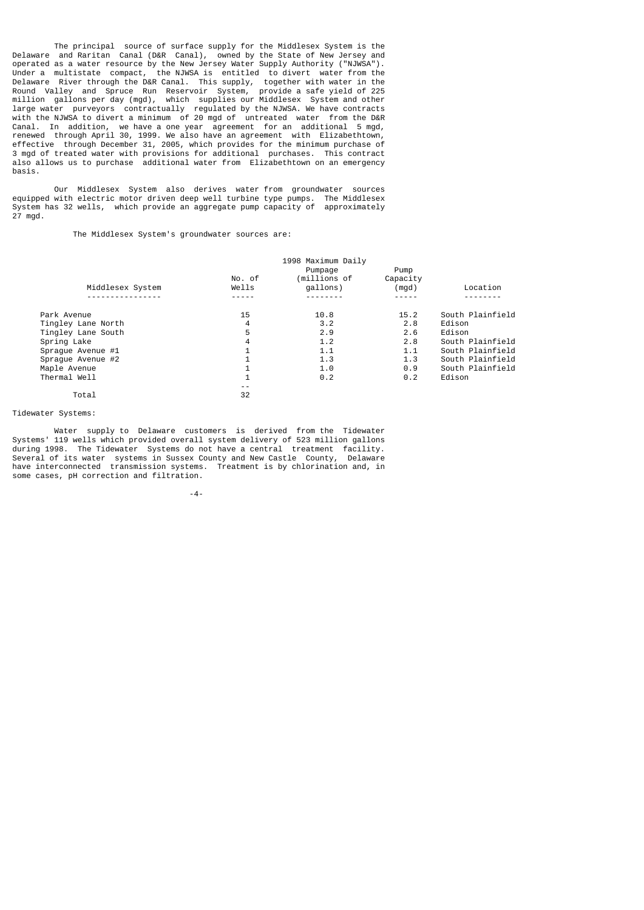The principal source of surface supply for the Middlesex System is the Delaware and Raritan Canal (D&R Canal), owned by the State of New Jersey and operated as a water resource by the New Jersey Water Supply Authority ("NJWSA"). Under a multistate compact, the NJWSA is entitled to divert water from the Delaware River through the D&R Canal. This supply, together with water in the Round Valley and Spruce Run Reservoir System, provide a safe yield of 225 million gallons per day (mgd), which supplies our Middlesex System and other large water purveyors contractually regulated by the NJWSA. We have contracts with the NJWSA to divert a minimum of 20 mgd of untreated water from the D&R Canal. In addition, we have a one year agreement for an additional 5 mgd, renewed through April 30, 1999. We also have an agreement with Elizabethtown, effective through December 31, 2005, which provides for the minimum purchase of 3 mgd of treated water with provisions for additional purchases. This contract also allows us to purchase additional water from Elizabethtown on an emergency basis.

 Our Middlesex System also derives water from groundwater sources equipped with electric motor driven deep well turbine type pumps. The Middlesex System has 32 wells, which provide an aggregate pump capacity of approximately 27 mgd.

The Middlesex System's groundwater sources are:

|                    |                | 1998 Maximum Daily      |                  |                  |
|--------------------|----------------|-------------------------|------------------|------------------|
|                    | No. of         | Pumpage<br>(millions of | Pump<br>Capacity |                  |
| Middlesex System   | Wells          | qallons)                | (mgd)            | Location         |
|                    |                |                         |                  |                  |
| Park Avenue        | 15             | 10.8                    | 15.2             | South Plainfield |
| Tingley Lane North | 4              | 3.2                     | 2.8              | Edison           |
| Tingley Lane South | 5              | 2.9                     | 2.6              | Edison           |
| Spring Lake        | 4              | 1.2                     | 2.8              | South Plainfield |
| Spraque Avenue #1  | $\mathbf 1$    | 1.1                     | 1.1              | South Plainfield |
| Spraque Avenue #2  | $\overline{1}$ | 1.3                     | 1.3              | South Plainfield |
| Maple Avenue       | 1              | 1.0                     | 0.9              | South Plainfield |
| Thermal Well       | $\mathbf{1}$   | 0.2                     | 0.2              | Edison           |
|                    | - -            |                         |                  |                  |
| Total              | 32             |                         |                  |                  |

Tidewater Systems:

 Water supply to Delaware customers is derived from the Tidewater Systems' 119 wells which provided overall system delivery of 523 million gallons during 1998. The Tidewater Systems do not have a central treatment facility. Several of its water systems in Sussex County and New Castle County, Delaware have interconnected transmission systems. Treatment is by chlorination and, in some cases, pH correction and filtration.

-4-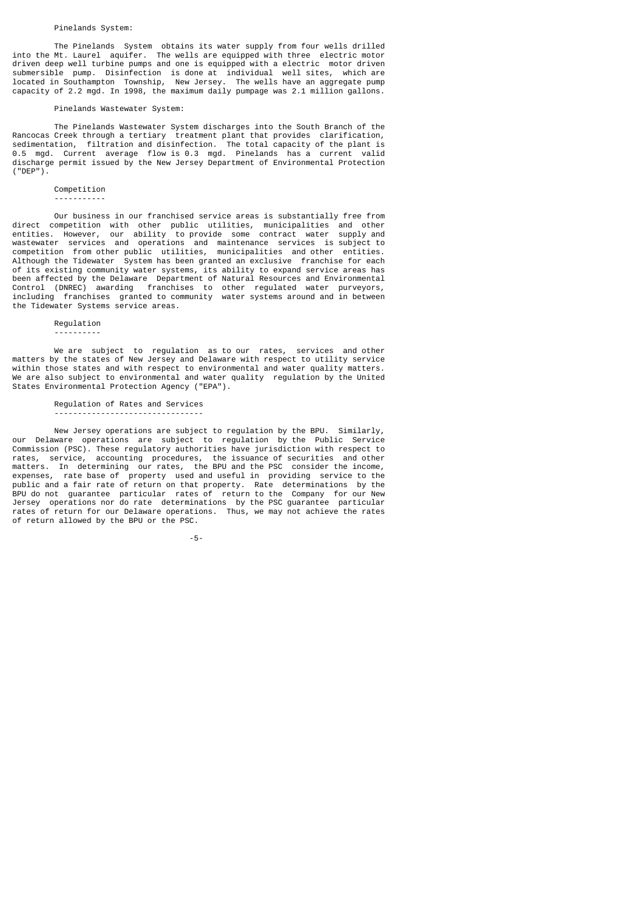## Pinelands System:

 The Pinelands System obtains its water supply from four wells drilled into the Mt. Laurel aquifer. The wells are equipped with three electric motor driven deep well turbine pumps and one is equipped with a electric motor driven submersible pump. Disinfection is done at individual well sites, which are located in Southampton Township, New Jersey. The wells have an aggregate pump capacity of 2.2 mgd. In 1998, the maximum daily pumpage was 2.1 million gallons.

### Pinelands Wastewater System:

 The Pinelands Wastewater System discharges into the South Branch of the Rancocas Creek through a tertiary treatment plant that provides clarification, sedimentation, filtration and disinfection. The total capacity of the plant is 0.5 mgd. Current average flow is 0.3 mgd. Pinelands has a current valid discharge permit issued by the New Jersey Department of Environmental Protection ("DEP").

## Competition

-----------

 Our business in our franchised service areas is substantially free from direct competition with other public utilities, municipalities and other entities. However, our ability to provide some contract water supply and wastewater services and operations and maintenance services is subject to competition from other public utilities, municipalities and other entities. Although the Tidewater System has been granted an exclusive franchise for each of its existing community water systems, its ability to expand service areas has been affected by the Delaware Department of Natural Resources and Environmental Control (DNREC) awarding franchises to other regulated water purveyors, including franchises granted to community water systems around and in between the Tidewater Systems service areas.

## Regulation ----------

 We are subject to regulation as to our rates, services and other matters by the states of New Jersey and Delaware with respect to utility service within those states and with respect to environmental and water quality matters. We are also subject to environmental and water quality regulation by the United States Environmental Protection Agency ("EPA").

## Regulation of Rates and Services

--------------------------------

of return allowed by the BPU or the PSC.

 New Jersey operations are subject to regulation by the BPU. Similarly, our Delaware operations are subject to regulation by the Public Service Commission (PSC). These regulatory authorities have jurisdiction with respect to rates, service, accounting procedures, the issuance of securities and other matters. In determining our rates, the BPU and the PSC consider the income, expenses, rate base of property used and useful in providing service to the public and a fair rate of return on that property. Rate determinations by the BPU do not guarantee particular rates of return to the Company for our New Jersey operations nor do rate determinations by the PSC guarantee particular rates of return for our Delaware operations. Thus, we may not achieve the rates

-5-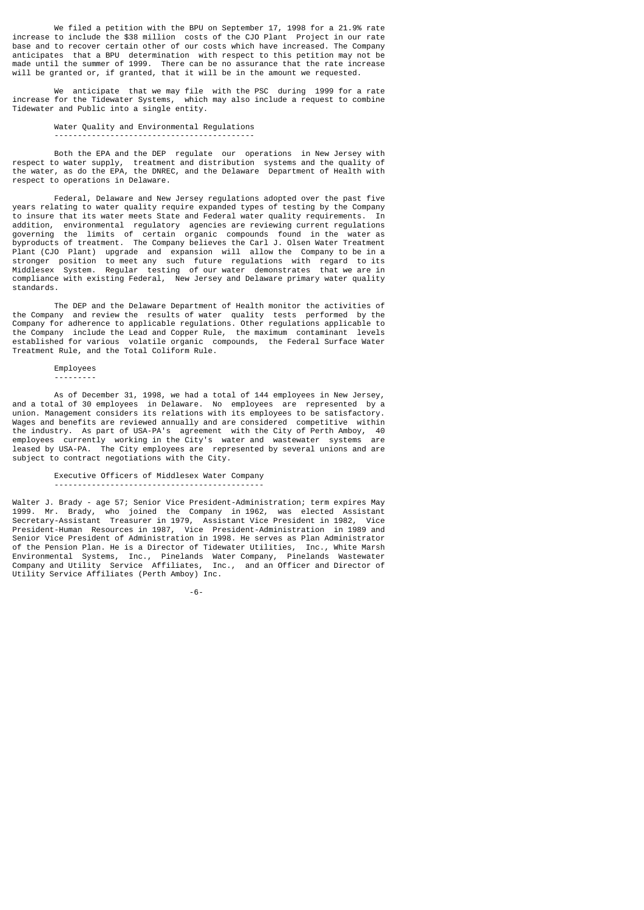We filed a petition with the BPU on September 17, 1998 for a 21.9% rate increase to include the \$38 million costs of the CJO Plant Project in our rate base and to recover certain other of our costs which have increased. The Company anticipates that a BPU determination with respect to this petition may not be made until the summer of 1999. There can be no assurance that the rate increase will be granted or, if granted, that it will be in the amount we requested.

 We anticipate that we may file with the PSC during 1999 for a rate increase for the Tidewater Systems, which may also include a request to combine Tidewater and Public into a single entity.

# Water Quality and Environmental Regulations

-------------------------------------------

 Both the EPA and the DEP regulate our operations in New Jersey with respect to water supply, treatment and distribution systems and the quality of the water, as do the EPA, the DNREC, and the Delaware Department of Health with respect to operations in Delaware.

 Federal, Delaware and New Jersey regulations adopted over the past five years relating to water quality require expanded types of testing by the Company to insure that its water meets State and Federal water quality requirements. In addition, environmental regulatory agencies are reviewing current regulations governing the limits of certain organic compounds found in the water as byproducts of treatment. The Company believes the Carl J. Olsen Water Treatment Plant (CJO Plant) upgrade and expansion will allow the Company to be in a stronger position to meet any such future regulations with regard to its Middlesex System. Regular testing of our water demonstrates that we are in compliance with existing Federal, New Jersey and Delaware primary water quality standards.

 The DEP and the Delaware Department of Health monitor the activities of the Company and review the results of water quality tests performed by the Company for adherence to applicable regulations. Other regulations applicable to the Company include the Lead and Copper Rule, the maximum contaminant levels established for various volatile organic compounds, the Federal Surface Water Treatment Rule, and the Total Coliform Rule.

### Employees

---------

 As of December 31, 1998, we had a total of 144 employees in New Jersey, and a total of 30 employees in Delaware. No employees are represented by a union. Management considers its relations with its employees to be satisfactory. Wages and benefits are reviewed annually and are considered competitive within the industry. As part of USA-PA's agreement with the City of Perth Amboy, 40 employees currently working in the City's water and wastewater systems leased by USA-PA. The City employees are represented by several unions and are subject to contract negotiations with the City.

## Executive Officers of Middlesex Water Company

---------------------------------------------

Walter J. Brady - age 57; Senior Vice President-Administration; term expires May 1999. Mr. Brady, who joined the Company in 1962, was elected Assistant Secretary-Assistant Treasurer in 1979, Assistant Vice President in 1982, Vice President-Human Resources in 1987, Vice President-Administration in 1989 and Senior Vice President of Administration in 1998. He serves as Plan Administrator of the Pension Plan. He is a Director of Tidewater Utilities, Inc., White Marsh Environmental Systems, Inc., Pinelands Water Company, Pinelands Wastewater Company and Utility Service Affiliates, Inc., and an Officer and Director of Utility Service Affiliates (Perth Amboy) Inc.

-6-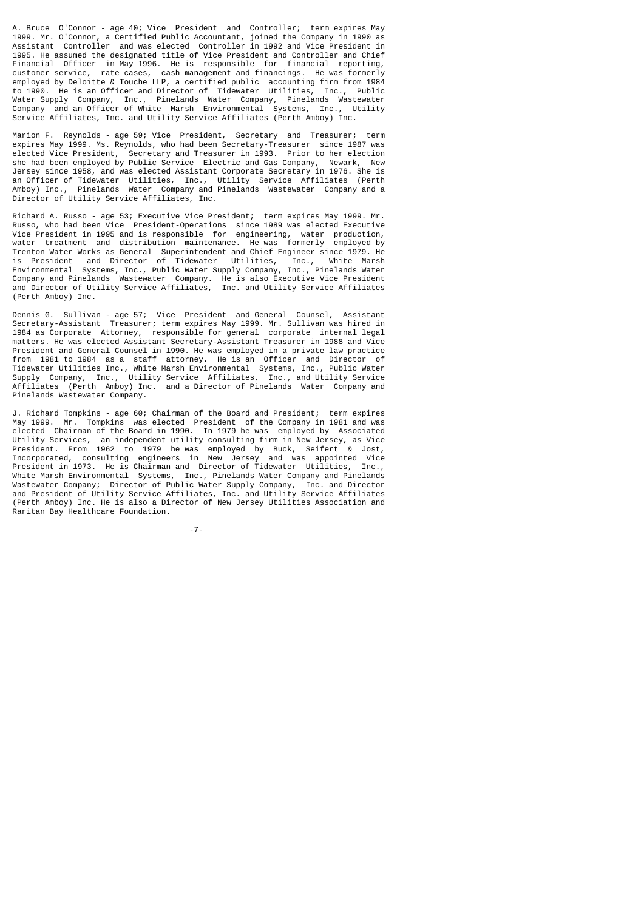A. Bruce O'Connor - age 40; Vice President and Controller; term expires May 1999. Mr. O'Connor, a Certified Public Accountant, joined the Company in 1990 as Assistant Controller and was elected Controller in 1992 and Vice President in 1995. He assumed the designated title of Vice President and Controller and Chief Financial Officer in May 1996. He is responsible for financial reporting, customer service, rate cases, cash management and financings. He was formerly rate cases, cash management and financings. He was formerly employed by Deloitte & Touche LLP, a certified public accounting firm from 1984 to 1990. He is an Officer and Director of Tidewater Utilities, Inc., Public Water Supply Company, Inc., Pinelands Water Company, Pinelands Wastewater Company and an Officer of White Marsh Environmental Systems, Inc., Utility Service Affiliates, Inc. and Utility Service Affiliates (Perth Amboy) Inc.

Marion F. Reynolds - age 59; Vice President, Secretary and Treasurer; term expires May 1999. Ms. Reynolds, who had been Secretary-Treasurer since 1987 was elected Vice President, Secretary and Treasurer in 1993. Prior to her election she had been employed by Public Service Electric and Gas Company, Newark, New Jersey since 1958, and was elected Assistant Corporate Secretary in 1976. She is an Officer of Tidewater Utilities, Inc., Utility Service Affiliates (Perth Amboy) Inc., Pinelands Water Company and Pinelands Wastewater Company and a Director of Utility Service Affiliates, Inc.

Richard A. Russo - age 53; Executive Vice President; term expires May 1999. Mr. Russo, who had been Vice President-Operations since 1989 was elected Executive Vice President in 1995 and is responsible for engineering, water production, water treatment and distribution maintenance. He was formerly employed by Trenton Water Works as General Superintendent and Chief Engineer since 1979. He is President and Director of Tidewater Utilities, Inc., White Marsh Environmental Systems, Inc., Public Water Supply Company, Inc., Pinelands Water Company and Pinelands Wastewater Company. He is also Executive Vice President and Director of Utility Service Affiliates, Inc. and Utility Service Affiliates (Perth Amboy) Inc.

Dennis G. Sullivan - age 57; Vice President and General Counsel, Assistant Secretary-Assistant Treasurer; term expires May 1999. Mr. Sullivan was hired in 1984 as Corporate Attorney, responsible for general corporate internal legal matters. He was elected Assistant Secretary-Assistant Treasurer in 1988 and Vice President and General Counsel in 1990. He was employed in a private law practice from 1981 to 1984 as a staff attorney. He is an Officer and Director of Tidewater Utilities Inc., White Marsh Environmental Systems, Inc., Public Water Supply Company, Inc., Utility Service Affiliates, Inc., and Utility Service Affiliates (Perth Amboy) Inc. and a Director of Pinelands Water Company and Pinelands Wastewater Company.

J. Richard Tompkins - age 60; Chairman of the Board and President; term expires May 1999. Mr. Tompkins was elected President of the Company in 1981 and was elected Chairman of the Board in 1990. In 1979 he was employed by Associated Utility Services, an independent utility consulting firm in New Jersey, as Vice President. From 1962 to 1979 he was employed by Buck, Seifert & Jost, Incorporated, consulting engineers in New Jersey and was appointed Vice President in 1973. He is Chairman and Director of Tidewater Utilities, Inc., White Marsh Environmental Systems, Inc., Pinelands Water Company and Pinelands Wastewater Company; Director of Public Water Supply Company, Inc. and Director and President of Utility Service Affiliates, Inc. and Utility Service Affiliates (Perth Amboy) Inc. He is also a Director of New Jersey Utilities Association and Raritan Bay Healthcare Foundation.

-7-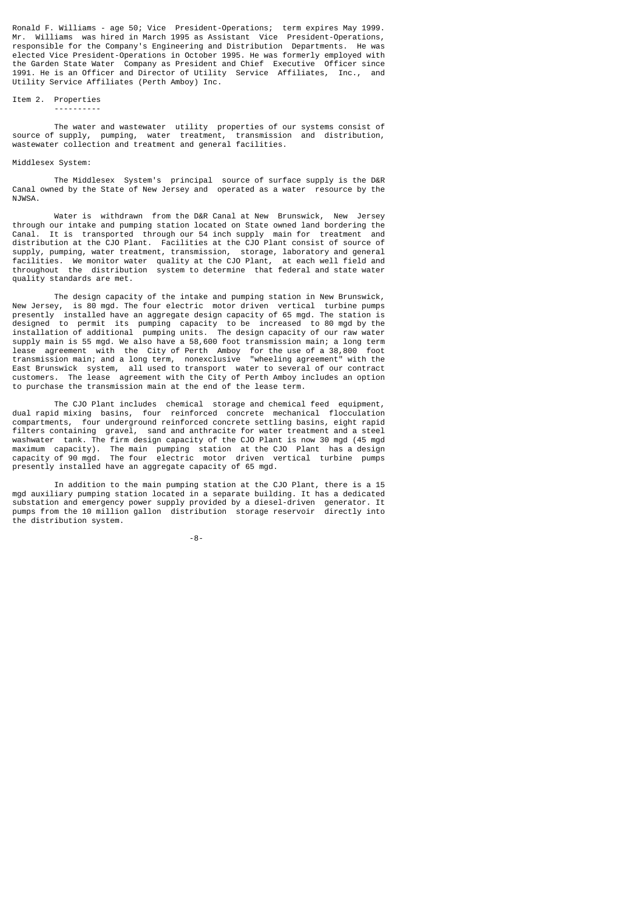Ronald F. Williams - age 50; Vice President-Operations; term expires May 1999. Mr. Williams was hired in March 1995 as Assistant Vice President-Operations, responsible for the Company's Engineering and Distribution Departments. He was elected Vice President-Operations in October 1995. He was formerly employed with the Garden State Water Company as President and Chief Executive Officer since 1991. He is an Officer and Director of Utility Service Affiliates, Inc., and Utility Service Affiliates (Perth Amboy) Inc.

## Item 2. Properties ----------

 The water and wastewater utility properties of our systems consist of source of supply, pumping, water treatment, transmission and distribution, wastewater collection and treatment and general facilities.

### Middlesex System:

 The Middlesex System's principal source of surface supply is the D&R Canal owned by the State of New Jersey and operated as a water resource by the NJWSA.

 Water is withdrawn from the D&R Canal at New Brunswick, New Jersey through our intake and pumping station located on State owned land bordering the Canal. It is transported through our 54 inch supply main for treatment and distribution at the CJO Plant. Facilities at the CJO Plant consist of source of supply, pumping, water treatment, transmission, storage, laboratory and general facilities. We monitor water quality at the CJO Plant, at each well field and throughout the distribution system to determine that federal and state water quality standards are met.

 The design capacity of the intake and pumping station in New Brunswick, New Jersey, is 80 mgd. The four electric motor driven vertical turbine pumps presently installed have an aggregate design capacity of 65 mgd. The station is designed to permit its pumping capacity to be increased to 80 mgd by the installation of additional pumping units. The design capacity of our raw water supply main is 55 mgd. We also have a 58,600 foot transmission main; a long term lease agreement with the City of Perth Amboy for the use of a 38,800 foot transmission main; and a long term, nonexclusive "wheeling agreement" with the East Brunswick system, all used to transport water to several of our contract customers. The lease agreement with the City of Perth Amboy includes an option to purchase the transmission main at the end of the lease term.

 The CJO Plant includes chemical storage and chemical feed equipment, dual rapid mixing basins, four reinforced concrete mechanical flocculation compartments, four underground reinforced concrete settling basins, eight rapid filters containing gravel, sand and anthracite for water treatment and a steel washwater tank. The firm design capacity of the CJO Plant is now 30 mgd (45 mgd maximum capacity). The main pumping station at the CJO Plant has a design capacity of 90 mgd. The four electric motor driven vertical turbine pumps presently installed have an aggregate capacity of 65 mgd.

 In addition to the main pumping station at the CJO Plant, there is a 15 mgd auxiliary pumping station located in a separate building. It has a dedicated substation and emergency power supply provided by a diesel-driven generator. It pumps from the 10 million gallon distribution storage reservoir directly into the distribution system.

-8-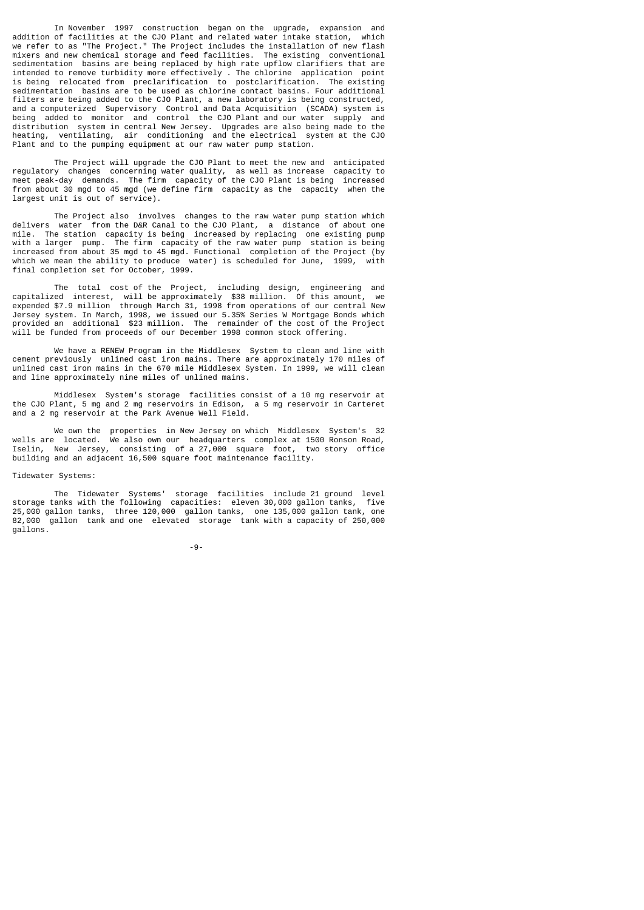In November 1997 construction began on the upgrade, expansion and addition of facilities at the CJO Plant and related water intake station, which we refer to as "The Project." The Project includes the installation of new flash mixers and new chemical storage and feed facilities. The existing conventional sedimentation basins are being replaced by high rate upflow clarifiers that are intended to remove turbidity more effectively . The chlorine application point is being relocated from preclarification to postclarification. The existing sedimentation basins are to be used as chlorine contact basins. Four additional filters are being added to the CJO Plant, a new laboratory is being constructed, and a computerized Supervisory Control and Data Acquisition (SCADA) system is being added to monitor and control the CJO Plant and our water supply and distribution system in central New Jersey. Upgrades are also being made to the heating, ventilating, air conditioning and the electrical system at the CJO Plant and to the pumping equipment at our raw water pump station.

 The Project will upgrade the CJO Plant to meet the new and anticipated regulatory changes concerning water quality, as well as increase capacity to meet peak-day demands. The firm capacity of the CJO Plant is being increased from about 30 mgd to 45 mgd (we define firm capacity as the capacity when the largest unit is out of service)

 The Project also involves changes to the raw water pump station which delivers water from the D&R Canal to the CJO Plant, a distance of about one mile. The station capacity is being increased by replacing one existing pump<br>with a larger pump. The firm capacity of the raw water pump station is being The firm capacity of the raw water pump station is being increased from about 35 mgd to 45 mgd. Functional completion of the Project (by which we mean the ability to produce water) is scheduled for June, 1999, with final completion set for October, 1999.

 The total cost of the Project, including design, engineering and capitalized interest, will be approximately \$38 million. Of this amount, we expended \$7.9 million through March 31, 1998 from operations of our central New Jersey system. In March, 1998, we issued our 5.35% Series W Mortgage Bonds which provided an additional \$23 million. The remainder of the cost of the Project will be funded from proceeds of our December 1998 common stock offering.

 We have a RENEW Program in the Middlesex System to clean and line with cement previously unlined cast iron mains. There are approximately 170 miles of unlined cast iron mains in the 670 mile Middlesex System. In 1999, we will clean and line approximately nine miles of unlined mains.

 Middlesex System's storage facilities consist of a 10 mg reservoir at the CJO Plant, 5 mg and 2 mg reservoirs in Edison, a 5 mg reservoir in Carteret and a 2 mg reservoir at the Park Avenue Well Field.

 We own the properties in New Jersey on which Middlesex System's 32 wells are located. We also own our headquarters complex at 1500 Ronson Road, Iselin, New Jersey, consisting of a 27,000 square foot, two story office building and an adjacent 16,500 square foot maintenance facility.

Tidewater Systems:

 The Tidewater Systems' storage facilities include 21 ground level storage tanks with the following capacities: eleven 30,000 gallon tanks, five 25,000 gallon tanks, three 120,000 gallon tanks, one 135,000 gallon tank, one 82,000 gallon tank and one elevated storage tank with a capacity of 250,000 gallons.

-9-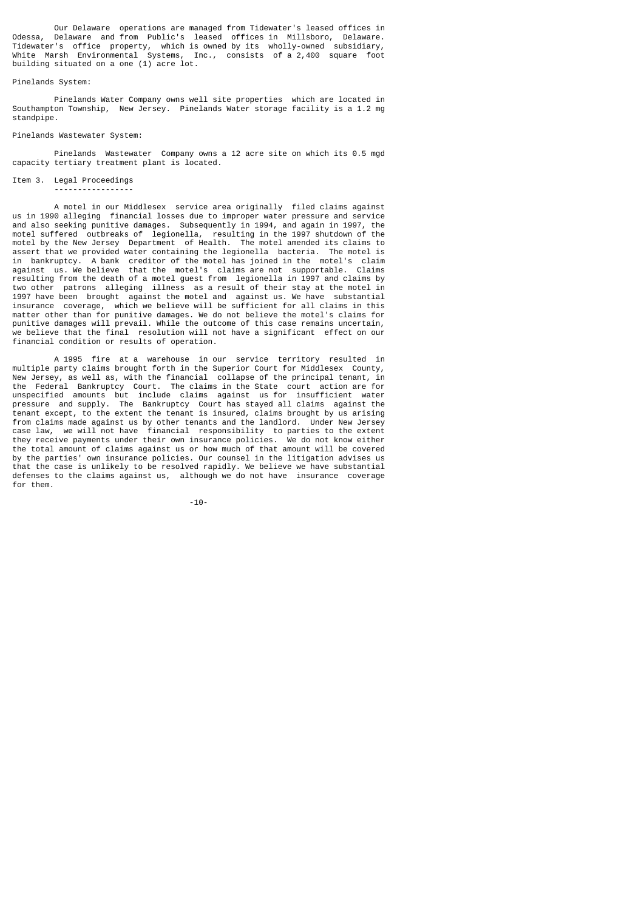Our Delaware operations are managed from Tidewater's leased offices in<br>Odessa, Delaware, and from Public's leased offices in Millsboro, Delaware, Odessa, Delaware and from Public's leased offices in Millsboro, Delaware. Tidewater's office property, which is owned by its wholly-owned subsidiary, White Marsh Environmental Systems, Inc., consists of a 2,400 square foot building situated on a one (1) acre lot.

## Pinelands System:

 Pinelands Water Company owns well site properties which are located in Southampton Township, New Jersey. Pinelands Water storage facility is a 1.2 mg standpipe.

## Pinelands Wastewater System:

 Pinelands Wastewater Company owns a 12 acre site on which its 0.5 mgd capacity tertiary treatment plant is located.

### Item 3. Legal Proceedings -----------------

 A motel in our Middlesex service area originally filed claims against us in 1990 alleging financial losses due to improper water pressure and service and also seeking punitive damages. Subsequently in 1994, and again in 1997, the motel suffered outbreaks of legionella, resulting in the 1997 shutdown of the motel by the New Jersey Department of Health. The motel amended its claims to assert that we provided water containing the legionella bacteria. The motel is in bankruptcy. A bank creditor of the motel has joined in the motel's claim against us. We believe that the motel's claims are not supportable. Claims resulting from the death of a motel guest from legionella in 1997 and claims by two other patrons alleging illness as a result of their stay at the motel in 1997 have been brought against the motel and against us. We have substantial insurance coverage, which we believe will be sufficient for all claims in this matter other than for punitive damages. We do not believe the motel's claims for punitive damages will prevail. While the outcome of this case remains uncertain, we believe that the final resolution will not have a significant effect on our financial condition or results of operation.

 A 1995 fire at a warehouse in our service territory resulted in multiple party claims brought forth in the Superior Court for Middlesex County, New Jersey, as well as, with the financial collapse of the principal tenant, in the Federal Bankruptcy Court. The claims in the State court action are for unspecified amounts but include claims against us for insufficient water pressure and supply. The Bankruptcy Court has stayed all claims against the tenant except, to the extent the tenant is insured, claims brought by us arising from claims made against us by other tenants and the landlord. Under New Jersey case law, we will not have financial responsibility to parties to the extent they receive payments under their own insurance policies. We do not know either the total amount of claims against us or how much of that amount will be covered by the parties' own insurance policies. Our counsel in the litigation advises us that the case is unlikely to be resolved rapidly. We believe we have substantial defenses to the claims against us, although we do not have insurance coverage for them.

-10-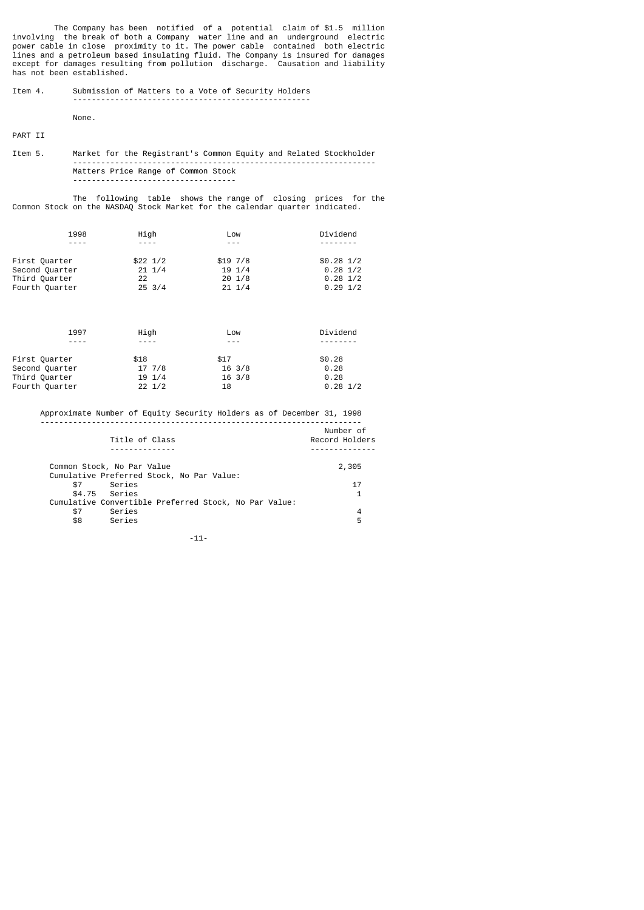The Company has been notified of a potential claim of \$1.5 million involving the break of both a Company water line and an underground electric power cable in close proximity to it. The power cable contained both electric lines and a petroleum based insulating fluid. The Company is insured for damages except for damages resulting from pollution discharge. Causation and liability has not been established.

## Item 4. Submission of Matters to a Vote of Security Holders ---------------------------------------------------

None.

PART II

Item 5. Market for the Registrant's Common Equity and Related Stockholder ----------------------------------------------------------------- Matters Price Range of Common Stock -----------------------------------

 The following table shows the range of closing prices for the Common Stock on the NASDAQ Stock Market for the calendar quarter indicated.

|                | 1998 | High             | Low              | Dividend           |
|----------------|------|------------------|------------------|--------------------|
|                |      | $\frac{1}{2}$    |                  |                    |
| First Quarter  |      | $$22 \ 1/2$      | \$197/8          | $$0.28$ $1/2$      |
| Second Quarter |      | $21 \frac{1}{4}$ | $19 \frac{1}{4}$ | $0.28 \frac{1}{2}$ |
| Third Quarter  |      | 22               | $20 \t1/8$       | $0.28 \frac{1}{2}$ |
| Fourth Quarter |      | $25 \frac{3}{4}$ | $21 \t1/4$       | $0.29$ 1/2         |

| 1997           | High             | Low              | Dividend           |
|----------------|------------------|------------------|--------------------|
|                | ----             |                  |                    |
| First Quarter  | \$18             | \$17             | \$0.28             |
| Second Quarter | 17, 7/8          | $16 \frac{3}{8}$ | 0.28               |
| Third Quarter  | $19 \frac{1}{4}$ | $16 \frac{3}{8}$ | 0.28               |
| Fourth Quarter | $22 \frac{1}{2}$ | 18               | $0.28 \frac{1}{2}$ |
|                |                  |                  |                    |

 Approximate Number of Equity Security Holders as of December 31, 1998 ---------------------------------------------------------------------

| Title of Class                                        | Number of<br>Record Holders |
|-------------------------------------------------------|-----------------------------|
|                                                       |                             |
| Common Stock, No Par Value                            | 2,305                       |
| Cumulative Preferred Stock, No Par Value:             |                             |
| Series<br>\$7                                         | 17                          |
| \$4.75 Series                                         |                             |
| Cumulative Convertible Preferred Stock, No Par Value: |                             |
| Series<br>\$7                                         | 4                           |
| Series<br>\$8                                         | 5                           |
|                                                       |                             |

-11-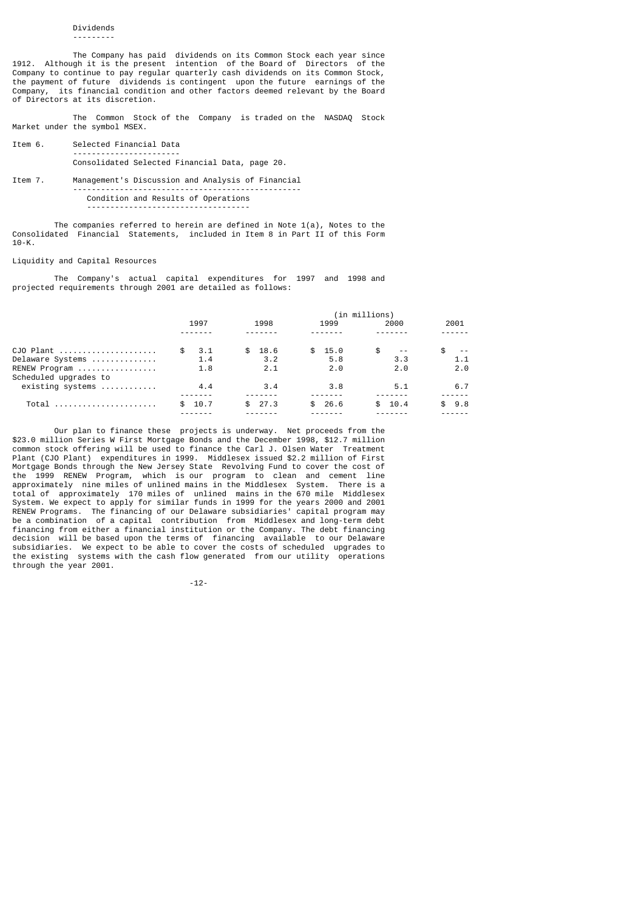# Dividends

---------

 The Company has paid dividends on its Common Stock each year since 1912. Although it is the present intention of the Board of Directors of the Company to continue to pay regular quarterly cash dividends on its Common Stock, the payment of future dividends is contingent upon the future earnings of the Company, its financial condition and other factors deemed relevant by the Board of Directors at its discretion.

 The Common Stock of the Company is traded on the NASDAQ Stock Market under the symbol MSEX.

- Item 6. Selected Financial Data ----------------------- Consolidated Selected Financial Data, page 20.
- Item 7. Management's Discussion and Analysis of Financial ------------------------------------------------- Condition and Results of Operations -----------------------------------

The companies referred to herein are defined in Note  $1(a)$ , Notes to the Consolidated Financial Statements, included in Item 8 in Part II of this Form 10-K.

## Liquidity and Capital Resources

 The Company's actual capital expenditures for 1997 and 1998 and projected requirements through 2001 are detailed as follows:

|                                            |            |        |             | (in millions)       |      |
|--------------------------------------------|------------|--------|-------------|---------------------|------|
|                                            | 1997       | 1998   | 1999        | 2000                | 2001 |
|                                            |            |        |             |                     |      |
| $CJO$ Plant                                | 3.1<br>\$. | \$18.6 | 15.0<br>SS. | \$<br>$\sim$ $\sim$ |      |
| Delaware Systems                           | 1.4        | 3.2    | 5.8         | 3.3                 | 1.1  |
| RENEW Program                              | 1.8        | 2.1    | 2.0         | 2.0                 | 2.0  |
| Scheduled upgrades to                      |            |        |             |                     |      |
| $existsing$ systems $\ldots \ldots \ldots$ | 4.4        | 3.4    | 3.8         | 5.1                 | 6.7  |
|                                            |            |        |             |                     |      |
| Total                                      | 10.7       | \$27.3 | 26.6        | 10.4                | 9.8  |
|                                            |            |        |             |                     |      |

 Our plan to finance these projects is underway. Net proceeds from the \$23.0 million Series W First Mortgage Bonds and the December 1998, \$12.7 million common stock offering will be used to finance the Carl J. Olsen Water Treatment Plant (CJO Plant) expenditures in 1999. Middlesex issued \$2.2 million of First Mortgage Bonds through the New Jersey State Revolving Fund to cover the cost of the 1999 RENEW Program, which is our program to clean and cement line approximately nine miles of unlined mains in the Middlesex System. There is a total of approximately 170 miles of unlined mains in the 670 mile Middlesex System. We expect to apply for similar funds in 1999 for the years 2000 and 2001 RENEW Programs. The financing of our Delaware subsidiaries' capital program may be a combination of a capital contribution from Middlesex and long-term debt financing from either a financial institution or the Company. The debt financing decision will be based upon the terms of financing available to our Delaware subsidiaries. We expect to be able to cover the costs of scheduled upgrades to the existing systems with the cash flow generated from our utility operations through the year 2001.

-12-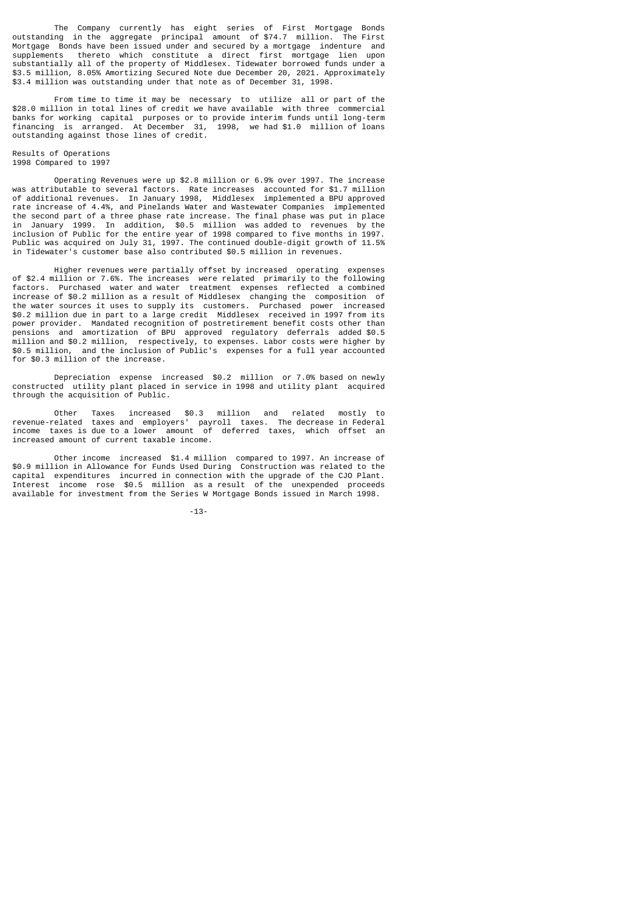The Company currently has eight series of First Mortgage Bonds outstanding in the aggregate principal amount of \$74.7 million. The First Mortgage Bonds have been issued under and secured by a mortgage indenture and supplements thereto which constitute a direct first mortgage lien upon substantially all of the property of Middlesex. Tidewater borrowed funds under a \$3.5 million, 8.05% Amortizing Secured Note due December 20, 2021. Approximately \$3.4 million was outstanding under that note as of December 31, 1998.

 From time to time it may be necessary to utilize all or part of the \$28.0 million in total lines of credit we have available with three commercial banks for working capital purposes or to provide interim funds until long-term financing is arranged. At December 31, 1998, we had \$1.0 million of loans outstanding against those lines of credit.

#### Results of Operations 1998 Compared to 1997

 Operating Revenues were up \$2.8 million or 6.9% over 1997. The increase was attributable to several factors. Rate increases accounted for \$1.7 million of additional revenues. In January 1998, Middlesex implemented a BPU approved rate increase of 4.4%, and Pinelands Water and Wastewater Companies implemented the second part of a three phase rate increase. The final phase was put in place in January 1999. In addition, \$0.5 million was added to revenues by the inclusion of Public for the entire year of 1998 compared to five months in 1997. Public was acquired on July 31, 1997. The continued double-digit growth of 11.5% in Tidewater's customer base also contributed \$0.5 million in revenues.

 Higher revenues were partially offset by increased operating expenses of \$2.4 million or 7.6%. The increases were related primarily to the following factors. Purchased water and water treatment expenses reflected a combined increase of \$0.2 million as a result of Middlesex changing the composition of the water sources it uses to supply its customers. Purchased power increased \$0.2 million due in part to a large credit Middlesex received in 1997 from its power provider. Mandated recognition of postretirement benefit costs other than pensions and amortization of BPU approved regulatory deferrals added \$0.5 million and \$0.2 million, respectively, to expenses. Labor costs were higher by \$0.5 million, and the inclusion of Public's expenses for a full year accounted for \$0.3 million of the increase.

 Depreciation expense increased \$0.2 million or 7.0% based on newly constructed utility plant placed in service in 1998 and utility plant acquired through the acquisition of Public.

 Other Taxes increased \$0.3 million and related mostly to revenue-related taxes and employers' payroll taxes. The decrease in Federal income taxes is due to a lower amount of deferred taxes, which offset an increased amount of current taxable income.

 Other income increased \$1.4 million compared to 1997. An increase of \$0.9 million in Allowance for Funds Used During Construction was related to the capital expenditures incurred in connection with the upgrade of the CJO Plant. Interest income rose \$0.5 million as a result of the unexpended proceeds available for investment from the Series W Mortgage Bonds issued in March 1998.

-13-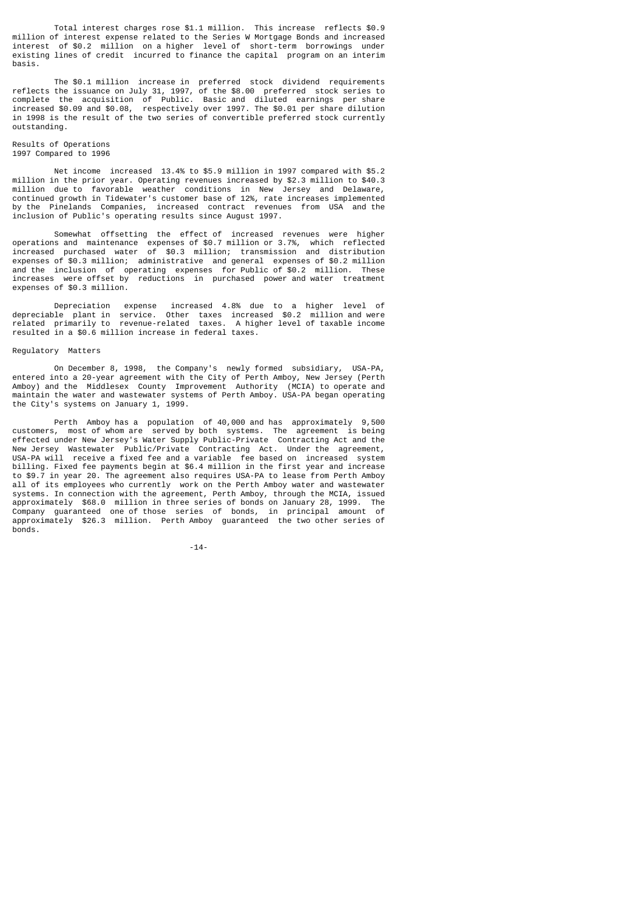Total interest charges rose \$1.1 million. This increase reflects \$0.9 million of interest expense related to the Series W Mortgage Bonds and increased interest of \$0.2 million on a higher level of short-term borrowings under existing lines of credit incurred to finance the capital program on an interim basis.

 The \$0.1 million increase in preferred stock dividend requirements reflects the issuance on July 31, 1997, of the \$8.00 preferred stock series to complete the acquisition of Public. Basic and diluted earnings per share increased \$0.09 and \$0.08, respectively over 1997. The \$0.01 per share dilution in 1998 is the result of the two series of convertible preferred stock currently outstanding.

#### Results of Operations 1997 Compared to 1996

 Net income increased 13.4% to \$5.9 million in 1997 compared with \$5.2 million in the prior year. Operating revenues increased by \$2.3 million to \$40.3 million due to favorable weather conditions in New Jersey and Delaware, continued growth in Tidewater's customer base of 12%, rate increases implemented by the Pinelands Companies, increased contract revenues from USA and the inclusion of Public's operating results since August 1997.

 Somewhat offsetting the effect of increased revenues were higher operations and maintenance expenses of \$0.7 million or 3.7%, which reflected increased purchased water of \$0.3 million; transmission and distribution expenses of \$0.3 million; administrative and general expenses of \$0.2 million and the inclusion of operating expenses for Public of \$0.2 million. These increases were offset by reductions in purchased power and water treatment expenses of \$0.3 million.

 Depreciation expense increased 4.8% due to a higher level of depreciable plant in service. Other taxes increased \$0.2 million and were related primarily to revenue-related taxes. A higher level of taxable income resulted in a \$0.6 million increase in federal taxes.

# Regulatory Matters

 On December 8, 1998, the Company's newly formed subsidiary, USA-PA, entered into a 20-year agreement with the City of Perth Amboy, New Jersey (Perth Amboy) and the Middlesex County Improvement Authority (MCIA) to operate and maintain the water and wastewater systems of Perth Amboy. USA-PA began operating the City's systems on January 1, 1999.

 Perth Amboy has a population of 40,000 and has approximately 9,500 customers, most of whom are served by both systems. The agreement is being effected under New Jersey's Water Supply Public-Private Contracting Act and the New Jersey Wastewater Public/Private Contracting Act. Under the agreement, USA-PA will receive a fixed fee and a variable fee based on increased system billing. Fixed fee payments begin at \$6.4 million in the first year and increase to \$9.7 in year 20. The agreement also requires USA-PA to lease from Perth Amboy all of its employees who currently work on the Perth Amboy water and wastewater systems. In connection with the agreement, Perth Amboy, through the MCIA, issued approximately \$68.0 million in three series of bonds on January 28, 1999. The Company guaranteed one of those series of bonds, in principal amount of approximately \$26.3 million. Perth Amboy guaranteed the two other series of bonds.

-14-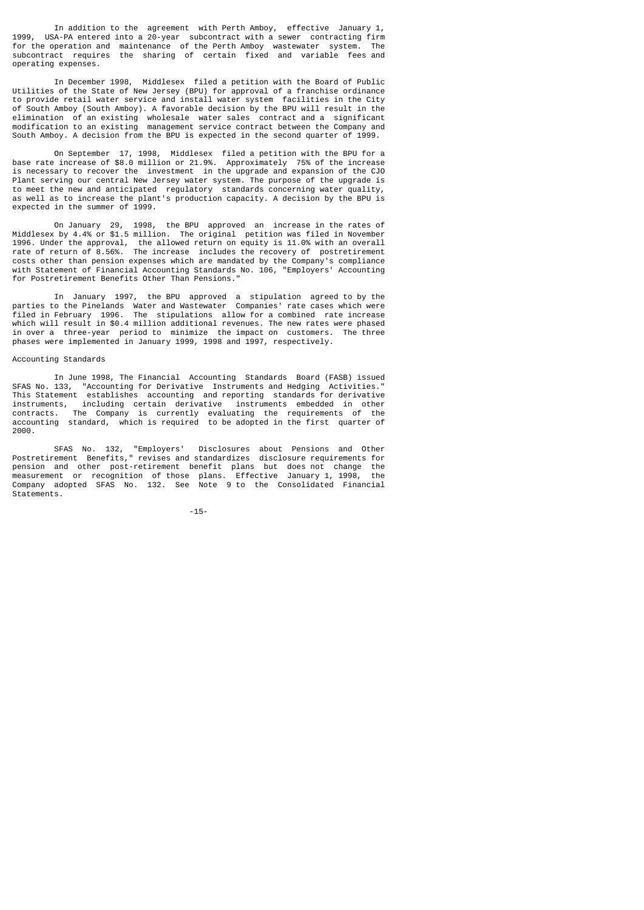In addition to the agreement with Perth Amboy, effective January 1, 1999, USA-PA entered into a 20-year subcontract with a sewer contracting firm for the operation and maintenance of the Perth Amboy wastewater system. The subcontract requires the sharing of certain fixed and variable fees and operating expenses.

 In December 1998, Middlesex filed a petition with the Board of Public Utilities of the State of New Jersey (BPU) for approval of a franchise ordinance to provide retail water service and install water system facilities in the City of South Amboy (South Amboy). A favorable decision by the BPU will result in the elimination of an existing wholesale water sales contract and a significant modification to an existing management service contract between the Company and South Amboy. A decision from the BPU is expected in the second quarter of 1999.

 On September 17, 1998, Middlesex filed a petition with the BPU for a base rate increase of \$8.0 million or 21.9%. Approximately 75% of the increase is necessary to recover the investment in the upgrade and expansion of the CJO Plant serving our central New Jersey water system. The purpose of the upgrade is to meet the new and anticipated regulatory standards concerning water quality, as well as to increase the plant's production capacity. A decision by the BPU is expected in the summer of 1999.

 On January 29, 1998, the BPU approved an increase in the rates of Middlesex by 4.4% or \$1.5 million. The original petition was filed in November 1996. Under the approval, the allowed return on equity is 11.0% with an overall rate of return of 8.56%. The increase includes the recovery of postretirement costs other than pension expenses which are mandated by the Company's compliance with Statement of Financial Accounting Standards No. 106, "Employers' Accounting for Postretirement Benefits Other Than Pensions."

 In January 1997, the BPU approved a stipulation agreed to by the parties to the Pinelands Water and Wastewater Companies' rate cases which were filed in February 1996. The stipulations allow for a combined rate increase which will result in \$0.4 million additional revenues. The new rates were phased in over a three-year period to minimize the impact on customers. The three phases were implemented in January 1999, 1998 and 1997, respectively.

## Accounting Standards

 In June 1998, The Financial Accounting Standards Board (FASB) issued SFAS No. 133, "Accounting for Derivative Instruments and Hedging Activities." This Statement establishes accounting and reporting standards for derivative instruments, including certain derivative instruments embedded in other contracts. The Company is currently evaluating the requirements of the accounting standard, which is required to be adopted in the first quarter of 2000.

 SFAS No. 132, "Employers' Disclosures about Pensions and Other Postretirement Benefits," revises and standardizes disclosure requirements for pension and other post-retirement benefit plans but does not change the measurement or recognition of those plans. Effective January 1, 1998, the Company adopted SFAS No. 132. See Note 9 to the Consolidated Financial Statements.

-15-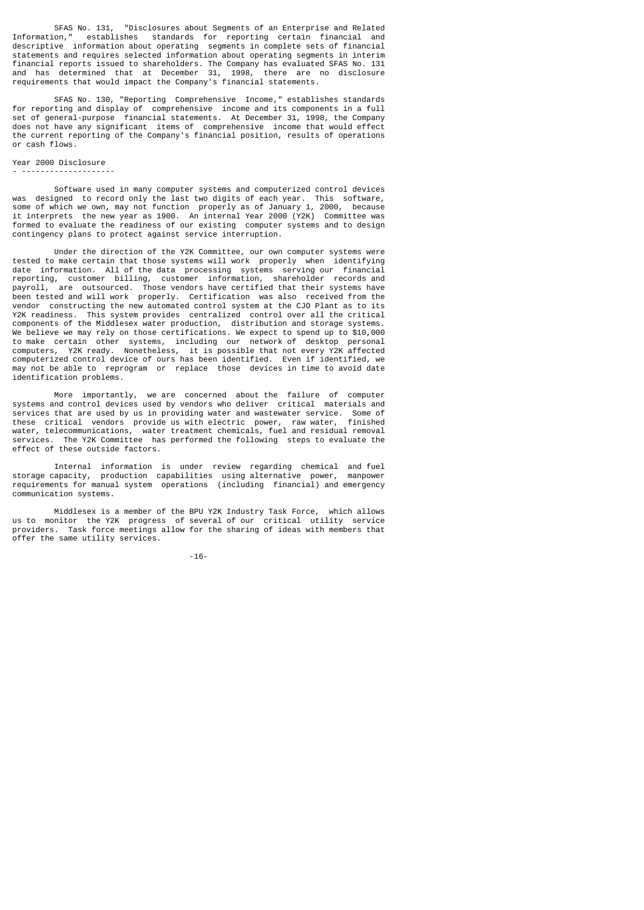SFAS No. 131, "Disclosures about Segments of an Enterprise and Related Information," establishes standards for reporting certain financial and descriptive information about operating segments in complete sets of financial statements and requires selected information about operating segments in interim financial reports issued to shareholders. The Company has evaluated SFAS No. 131 and has determined that at December 31, 1998, there are no disclosure requirements that would impact the Company's financial statements.

 SFAS No. 130, "Reporting Comprehensive Income," establishes standards for reporting and display of comprehensive income and its components in a full set of general-purpose financial statements. At December 31, 1998, the Company does not have any significant items of comprehensive income that would effect the current reporting of the Company's financial position, results of operations or cash flows.

#### Year 2000 Disclosure - --------------------

 Software used in many computer systems and computerized control devices was designed to record only the last two digits of each year. This software, some of which we own, may not function properly as of January 1, 2000, because it interprets the new year as 1900. An internal Year 2000 (Y2K) Committee was formed to evaluate the readiness of our existing computer systems and to design contingency plans to protect against service interruption.

 Under the direction of the Y2K Committee, our own computer systems were tested to make certain that those systems will work properly when identifying date information. All of the data processing systems serving our financial reporting, customer billing, customer information, shareholder records and  $\overline{a}$  are  $\overline{a}$  outsourced. Those vendors have certified that their systems have been tested and will work properly. Certification was also received from the vendor constructing the new automated control system at the CJO Plant as to its Y2K readiness. This system provides centralized control over all the critical components of the Middlesex water production, distribution and storage systems. We believe we may rely on those certifications. We expect to spend up to \$10,000 to make certain other systems, including our network of desktop personal computers, Y2K ready. Nonetheless, it is possible that not every Y2K affected computerized control device of ours has been identified. Even if identified, we may not be able to reprogram or replace those devices in time to avoid date identification problems.

 More importantly, we are concerned about the failure of computer systems and control devices used by vendors who deliver critical materials and systems and control devices used by vendors who deliver contribute materials and service. Some of<br>services that are used by us in providing water and wastewater service. Some of<br>these entities! vendors provide us with elec these critical vendors provide us with electric power, raw water, finished water, telecommunications, water treatment chemicals, fuel and residual removal services. The Y2K Committee has performed the following steps to evaluate the effect of these outside factors.

 Internal information is under review regarding chemical and fuel storage capacity, production capabilities using alternative power, manpower requirements for manual system operations (including financial) and emergency communication systems.

 Middlesex is a member of the BPU Y2K Industry Task Force, which allows us to monitor the Y2K progress of several of our critical utility service providers. Task force meetings allow for the sharing of ideas with members that offer the same utility services.

-16-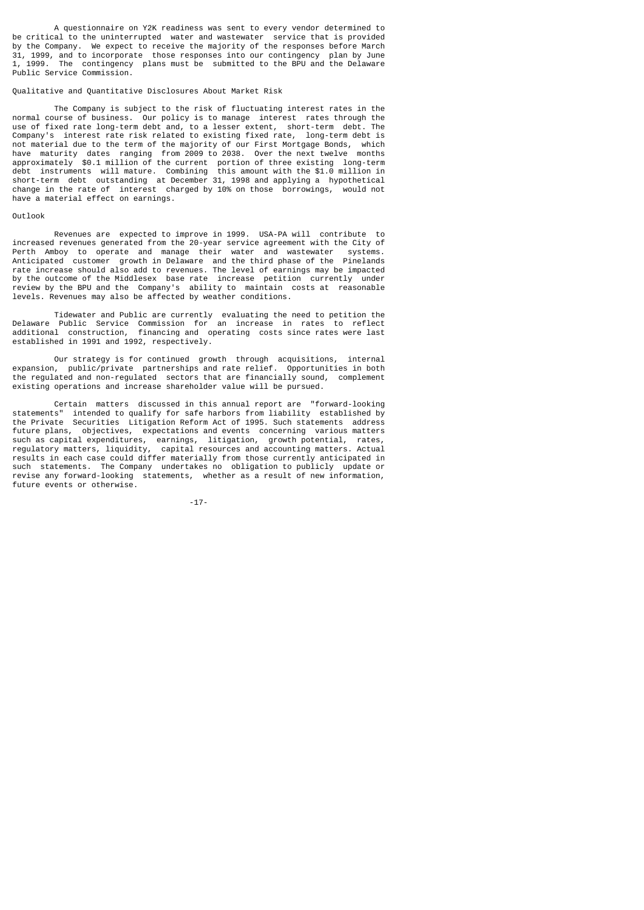A questionnaire on Y2K readiness was sent to every vendor determined to be critical to the uninterrupted water and wastewater service that is provided by the Company. We expect to receive the majority of the responses before March 31, 1999, and to incorporate those responses into our contingency plan by June 1, 1999. The contingency plans must be submitted to the BPU and the Delaware Public Service Commission.

## Qualitative and Quantitative Disclosures About Market Risk

 The Company is subject to the risk of fluctuating interest rates in the normal course of business. Our policy is to manage interest rates through the use of fixed rate long-term debt and, to a lesser extent, short-term debt. The Company's interest rate risk related to existing fixed rate, long-term debt is not material due to the term of the majority of our First Mortgage Bonds, which have maturity dates ranging from 2009 to 2038. Over the next twelve months approximately \$0.1 million of the current portion of three existing long-term debt instruments will mature. Combining this amount with the \$1.0 million in short-term debt outstanding at December 31, 1998 and applying a hypothetical change in the rate of interest charged by 10% on those borrowings, would not have a material effect on earnings.

### Outlook

 Revenues are expected to improve in 1999. USA-PA will contribute to increased revenues generated from the 20-year service agreement with the City of Perth Amboy to operate and manage their water and wastewater systems. Anticipated customer growth in Delaware and the third phase of the Pinelands rate increase should also add to revenues. The level of earnings may be impacted by the outcome of the Middlesex base rate increase petition currently under review by the BPU and the Company's ability to maintain costs at reasonable levels. Revenues may also be affected by weather conditions.

 Tidewater and Public are currently evaluating the need to petition the Delaware Public Service Commission for an increase in rates to reflect additional construction, financing and operating costs since rates were last established in 1991 and 1992, respectively.

 Our strategy is for continued growth through acquisitions, internal expansion, public/private partnerships and rate relief. Opportunities in both the regulated and non-regulated sectors that are financially sound, complement existing operations and increase shareholder value will be pursued.

Certain matters discussed in this annual report are "forward-looking<br>statements" intended to qualify for safe harbors from liability established by  $intended$  to qualify for safe harbors from liability established by the Private Securities Litigation Reform Act of 1995. Such statements address future plans, objectives, expectations and events concerning various matters such as capital expenditures, earnings, litigation, growth potential, rates, regulatory matters, liquidity, capital resources and accounting matters. Actual results in each case could differ materially from those currently anticipated in such statements. The Company undertakes no obligation to publicly update or revise any forward-looking statements, whether as a result of new information, future events or otherwise.

-17-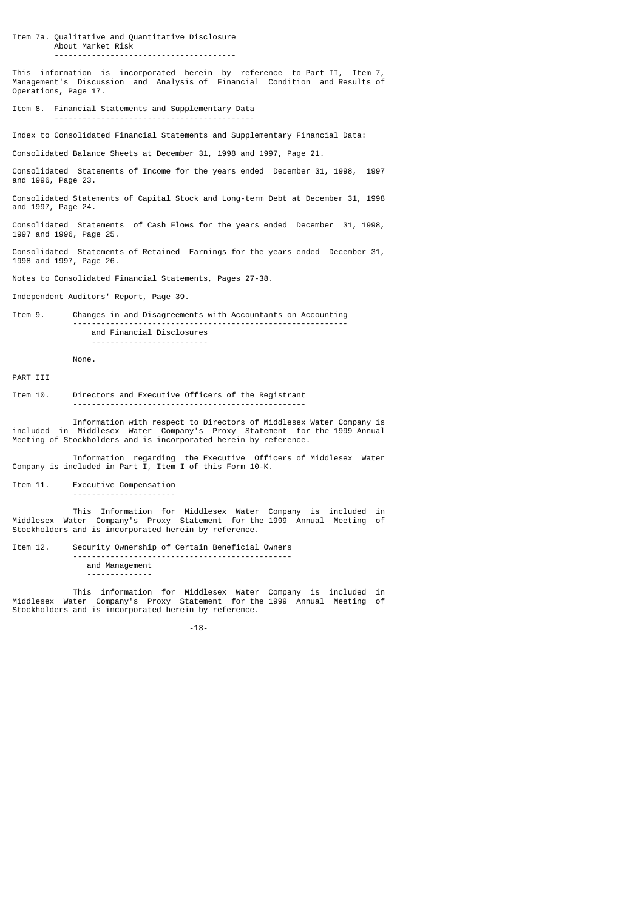Item 7a. Qualitative and Quantitative Disclosure About Market Risk ---------------------------------------

This information is incorporated herein by reference to Part II, Item 7, Management's Discussion and Analysis of Financial Condition and Results of Operations, Page 17.

Item 8. Financial Statements and Supplementary Data -------------------------------------------

Index to Consolidated Financial Statements and Supplementary Financial Data:

Consolidated Balance Sheets at December 31, 1998 and 1997, Page 21.

Consolidated Statements of Income for the years ended December 31, 1998, 1997 and 1996, Page 23.

Consolidated Statements of Capital Stock and Long-term Debt at December 31, 1998 and 1997, Page 24.

Consolidated Statements of Cash Flows for the years ended December 31, 1998, 1997 and 1996, Page 25.

Consolidated Statements of Retained Earnings for the years ended December 31, 1998 and 1997, Page 26.

Notes to Consolidated Financial Statements, Pages 27-38.

Independent Auditors' Report, Page 39.

Item 9. Changes in and Disagreements with Accountants on Accounting ---------------------------------------------------------- and Financial Disclosures -------------------------

None.

PART TTT

Item 10. Directors and Executive Officers of the Registrant --------------------------------------------------

 Information with respect to Directors of Middlesex Water Company is included in Middlesex Water Company's Proxy Statement for the 1999 Annual Meeting of Stockholders and is incorporated herein by reference.

 Information regarding the Executive Officers of Middlesex Water Company is included in Part I, Item I of this Form 10-K.

Item 11. Executive Compensation

----------------------

 This Information for Middlesex Water Company is included in Middlesex Water Company's Proxy Statement for the 1999 Annual Meeting of Stockholders and is incorporated herein by reference.

Item 12. Security Ownership of Certain Beneficial Owners ---------------------------------------------- and Management --------------

 This information for Middlesex Water Company is included in Middlesex Water Company's Proxy Statement for the 1999 Annual Meeting of Stockholders and is incorporated herein by reference.

-18-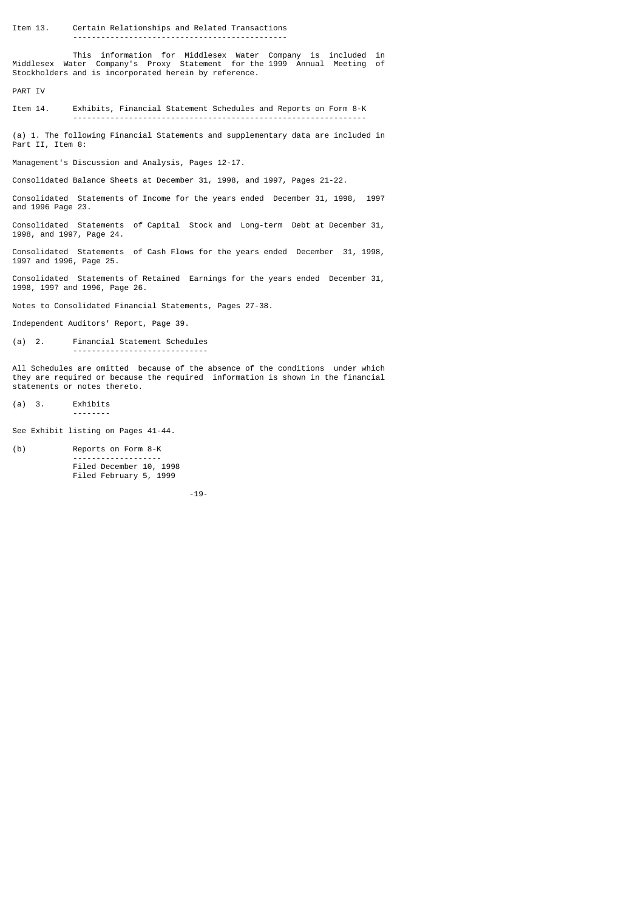This information for Middlesex Water Company is included in Middlesex Water Company's Proxy Statement for the 1999 Annual Meeting of Stockholders and is incorporated herein by reference.

PART IV

Item 14. Exhibits, Financial Statement Schedules and Reports on Form 8-K ---------------------------------------------------------------

(a) 1. The following Financial Statements and supplementary data are included in Part II, Item 8:

Management's Discussion and Analysis, Pages 12-17.

Consolidated Balance Sheets at December 31, 1998, and 1997, Pages 21-22.

Consolidated Statements of Income for the years ended December 31, 1998, 1997 and 1996 Page 23.

Consolidated Statements of Capital Stock and Long-term Debt at December 31, 1998, and 1997, Page 24.

Consolidated Statements of Cash Flows for the years ended December 31, 1998, 1997 and 1996, Page 25.

Consolidated Statements of Retained Earnings for the years ended December 31, 1998, 1997 and 1996, Page 26.

Notes to Consolidated Financial Statements, Pages 27-38.

Independent Auditors' Report, Page 39.

(a) 2. Financial Statement Schedules -----------------------------

All Schedules are omitted because of the absence of the conditions under which they are required or because the required information is shown in the financial statements or notes thereto.

(a) 3. Exhibits --------

See Exhibit listing on Pages 41-44.

(b) Reports on Form 8-K ------------------- Filed December 10, 1998 Filed February 5, 1999

-19-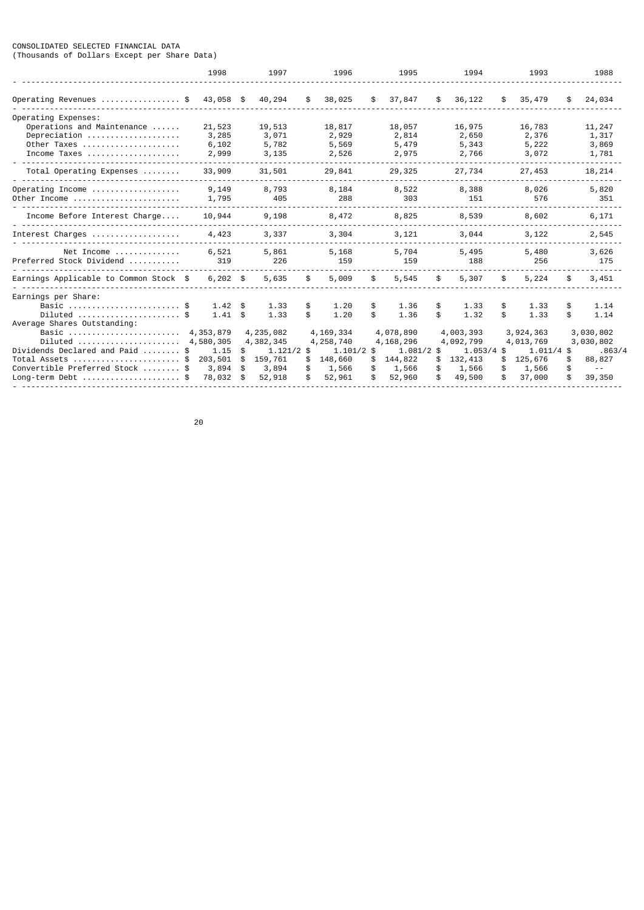### CONSOLIDATED SELECTED FINANCIAL DATA (Thousands of Dollars Except per Share Data)

|                                                                                                                                                                                              | 1998                                                                                           |                                   | 1997                                                                                 |                            | 1996                                                                                 |                             | 1995                                                                                   |                            | 1994                                                                                 |                            | 1993                                                                                 |                            | 1988                                                                                  |
|----------------------------------------------------------------------------------------------------------------------------------------------------------------------------------------------|------------------------------------------------------------------------------------------------|-----------------------------------|--------------------------------------------------------------------------------------|----------------------------|--------------------------------------------------------------------------------------|-----------------------------|----------------------------------------------------------------------------------------|----------------------------|--------------------------------------------------------------------------------------|----------------------------|--------------------------------------------------------------------------------------|----------------------------|---------------------------------------------------------------------------------------|
| Operating Revenues \$                                                                                                                                                                        | 43,058 \$                                                                                      |                                   | 40,294                                                                               | \$.                        | 38,025                                                                               | \$                          | 37,847                                                                                 | \$                         | 36,122                                                                               | \$                         | 35,479                                                                               | \$                         | 24,034                                                                                |
| Operating Expenses:<br>Operations and Maintenance<br>Depreciation<br>Other Taxes<br>Income Taxes                                                                                             | 21,523<br>3,285<br>6,102<br>2,999                                                              |                                   | 19,513<br>3,071<br>5,782<br>3,135                                                    |                            | 18,817<br>2,929<br>5,569<br>2,526                                                    |                             | 18,057<br>2,814<br>5,479<br>2,975                                                      |                            | 16,975<br>2,650<br>5,343<br>2,766                                                    |                            | 16,783<br>2,376<br>5,222<br>3,072                                                    |                            | 11,247<br>1,317<br>3,869<br>1,781                                                     |
| Total Operating Expenses                                                                                                                                                                     | 33,909                                                                                         |                                   | 31,501                                                                               |                            | 29,841                                                                               |                             | 29,325                                                                                 |                            | 27,734                                                                               |                            | 27,453                                                                               |                            | 18,214                                                                                |
| Operating Income<br>Other Income                                                                                                                                                             | 9,149<br>1,795                                                                                 |                                   | 8,793<br>405                                                                         |                            | 8,184<br>288                                                                         |                             | 8,522<br>303                                                                           |                            | 8,388<br>151                                                                         |                            | 8,026<br>576                                                                         |                            | 5,820<br>351                                                                          |
| Income Before Interest Charge                                                                                                                                                                | 10,944                                                                                         |                                   | 9,198                                                                                |                            | 8,472                                                                                |                             | 8,825                                                                                  |                            | 8,539                                                                                |                            | 8,602                                                                                |                            | 6,171                                                                                 |
| Interest Charges                                                                                                                                                                             | 4,423                                                                                          |                                   | 3,337                                                                                |                            | 3,304                                                                                |                             | 3,121                                                                                  |                            | 3,044                                                                                |                            | 3,122                                                                                |                            | 2,545                                                                                 |
| Net Income<br>Preferred Stock Dividend                                                                                                                                                       | 6,521<br>319                                                                                   |                                   | 5,861<br>226                                                                         |                            | 5,168<br>159                                                                         |                             | 5,704<br>159                                                                           |                            | 5,495<br>188                                                                         |                            | 5,480<br>256                                                                         |                            | 3,626<br>175                                                                          |
| Earnings Applicable to Common Stock \$                                                                                                                                                       | $6,202$ \$                                                                                     |                                   | 5,635                                                                                | \$                         | 5,009                                                                                | \$                          | 5,545                                                                                  | \$                         | 5,307                                                                                | \$                         | 5,224                                                                                | \$                         | 3,451                                                                                 |
| Earnings per Share:<br>Basic  \$<br>Average Shares Outstanding:<br>Basic<br>Diluted<br>Dividends Declared and Paid<br>Total Assets<br>Convertible Preferred Stock  \$<br>$Long-term$ Debt \$ | 1.42<br>1.41<br>\$<br>4,353,879<br>4,580,305<br>1.15<br>\$<br>203,501<br>\$<br>3,894<br>78,032 | \$<br>\$<br>\$.<br>\$<br>\$<br>\$ | 1.33<br>1.33<br>4,235,082<br>4,382,345<br>$1.121/2$ \$<br>159,761<br>3,894<br>52,918 | \$<br>\$<br>\$<br>\$<br>\$ | 1.20<br>1.20<br>4,169,334<br>4,258,740<br>$1.101/2$ \$<br>148,660<br>1,566<br>52,961 | \$<br>\$.<br>\$<br>\$<br>\$ | 1.36<br>1.36<br>4,078,890<br>4, 168, 296<br>$1.081/2$ \$<br>144,822<br>1,566<br>52,960 | \$<br>\$<br>\$<br>\$<br>\$ | 1.33<br>1.32<br>4,003,393<br>4,092,799<br>$1.053/4$ \$<br>132,413<br>1,566<br>49,500 | \$<br>\$<br>\$<br>\$<br>\$ | 1.33<br>1.33<br>3,924,363<br>4,013,769<br>$1.011/4$ \$<br>125,676<br>1,566<br>37,000 | \$<br>\$<br>\$<br>\$<br>\$ | 1.14<br>1.14<br>3,030,802<br>3,030,802<br>.863/4<br>88,827<br>$\sim$ $\sim$<br>39,350 |

е процесс в политика в село в 1920 године в 1920 године в 1920 године в 1920 године в 1920 године в 1920 годин<br>В 1920 године в 1920 године в 1920 године в 1920 године в 1920 године в 1920 године в 1920 године в 1920 годин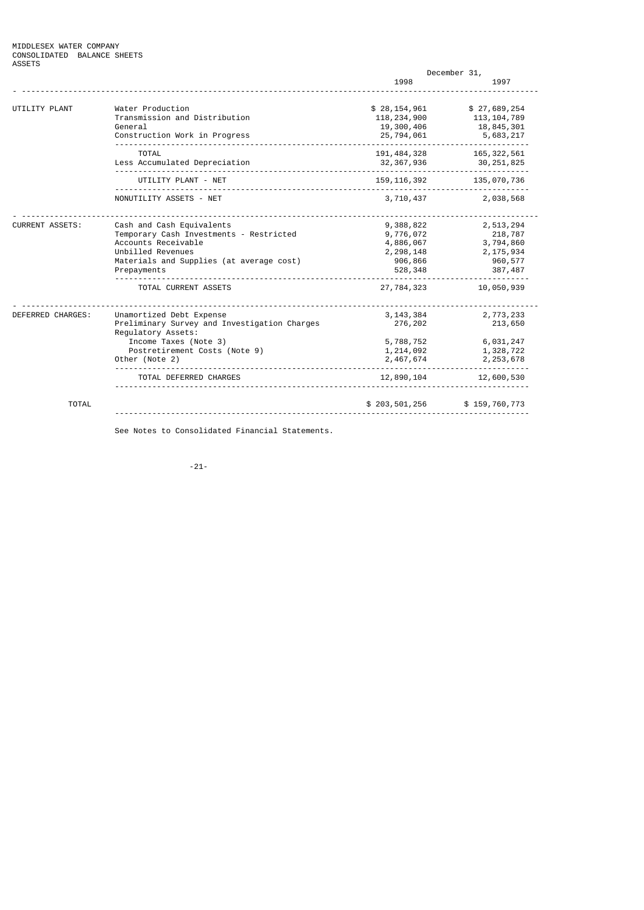|                        |                                                                                                                                                                             |                                                                          | December 31,                                                           |
|------------------------|-----------------------------------------------------------------------------------------------------------------------------------------------------------------------------|--------------------------------------------------------------------------|------------------------------------------------------------------------|
|                        |                                                                                                                                                                             | 1998                                                                     | 1997                                                                   |
| UTILITY PLANT          | Water Production<br>Transmission and Distribution<br>General<br>Construction Work in Progress                                                                               | \$28, 154, 961<br>118, 234, 900<br>19,300,406<br>25,794,061              | \$27,689,254<br>113, 104, 789<br>18,845,301<br>5,683,217               |
|                        | _________________________________<br><b>TOTAL</b><br>Less Accumulated Depreciation                                                                                          | 191, 484, 328<br>32, 367, 936                                            | 165, 322, 561<br>30, 251, 825                                          |
|                        | UTILITY PLANT - NET                                                                                                                                                         | 159, 116, 392                                                            | 135,070,736                                                            |
|                        | NONUTILITY ASSETS - NET                                                                                                                                                     | 3,710,437                                                                | 2,038,568                                                              |
| <b>CURRENT ASSETS:</b> | Cash and Cash Equivalents<br>Temporary Cash Investments - Restricted<br>Accounts Receivable<br>Unbilled Revenues<br>Materials and Supplies (at average cost)<br>Prepayments | 9,388,822<br>9,776,072<br>4,886,067<br>2, 298, 148<br>906,866<br>528,348 | 2,513,294<br>218,787<br>3,794,860<br>2, 175, 934<br>960,577<br>387,487 |
|                        | TOTAL CURRENT ASSETS                                                                                                                                                        | 27,784,323                                                               | 10,050,939                                                             |
| DEFERRED CHARGES:      | Unamortized Debt Expense<br>Preliminary Survey and Investigation Charges<br>Regulatory Assets:                                                                              | 3, 143, 384<br>276,202                                                   | 2,773,233<br>213,650                                                   |
|                        | Income Taxes (Note 3)<br>Postretirement Costs (Note 9)<br>Other (Note 2)                                                                                                    | 5,788,752<br>1, 214, 092<br>2,467,674                                    | 6,031,247<br>1,328,722<br>2, 253, 678                                  |
|                        | TOTAL DEFERRED CHARGES                                                                                                                                                      | 12,890,104                                                               | 12,600,530                                                             |
| <b>TOTAL</b>           |                                                                                                                                                                             | \$203,501,256                                                            | \$159,760,773                                                          |

See Notes to Consolidated Financial Statements.

-21-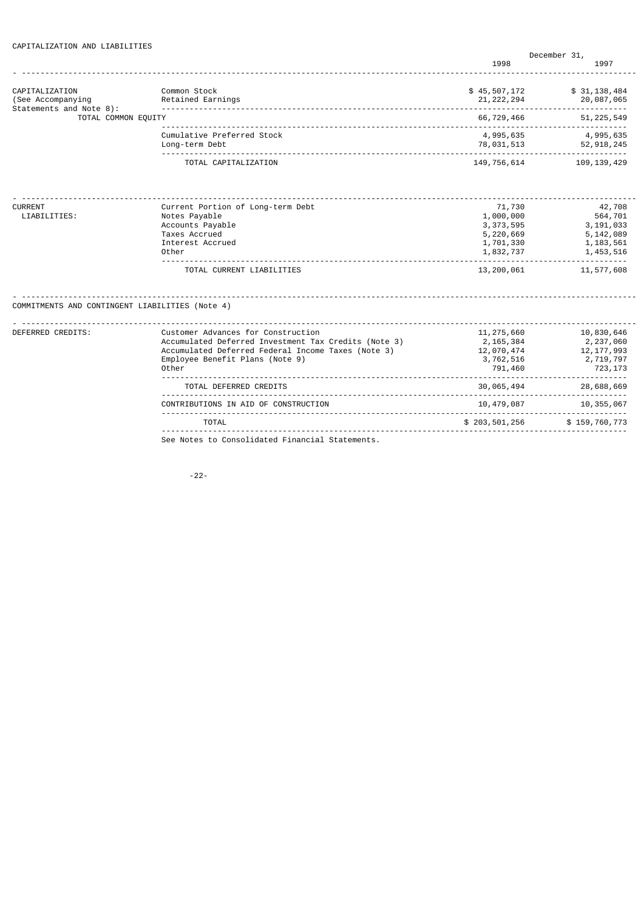| CAPITALIZATION AND LIABILITIES |  |
|--------------------------------|--|
|--------------------------------|--|

|                                                 |                                                      |                          | December 31,                 |
|-------------------------------------------------|------------------------------------------------------|--------------------------|------------------------------|
|                                                 |                                                      | 1998                     | 1997                         |
| CAPITALIZATION                                  | Common Stock                                         | \$45,507,172             | \$31, 138, 484               |
| (See Accompanying                               | Retained Earnings                                    | 21, 222, 294             | 20,087,065                   |
| Statements and Note 8):<br>TOTAL COMMON EQUITY  |                                                      | 66,729,466               | ------------<br>51, 225, 549 |
|                                                 | Cumulative Preferred Stock                           | 4,995,635                | 4,995,635                    |
|                                                 | Long-term Debt                                       | 78,031,513               | 52, 918, 245                 |
|                                                 | TOTAL CAPITALIZATION                                 | 149,756,614              | 109, 139, 429                |
|                                                 |                                                      |                          |                              |
| CURRENT                                         | Current Portion of Long-term Debt                    | 71,730                   | 42,708                       |
| LIABILITIES:                                    | Notes Payable                                        | 1,000,000                | 564,701                      |
|                                                 | Accounts Payable<br>Taxes Accrued                    | 3, 373, 595<br>5,220,669 | 3, 191, 033<br>5,142,089     |
|                                                 | Interest Accrued                                     | 1,701,330                | 1, 183, 561                  |
|                                                 | Other                                                | 1,832,737                | 1,453,516                    |
|                                                 | TOTAL CURRENT LIABILITIES                            | 13,200,061               | 11,577,608                   |
| COMMITMENTS AND CONTINGENT LIABILITIES (Note 4) |                                                      |                          |                              |
| DEFERRED CREDITS:                               | Customer Advances for Construction                   | 11, 275, 660             | 10,830,646                   |
|                                                 | Accumulated Deferred Investment Tax Credits (Note 3) | 2,165,384                | 2,237,060                    |
|                                                 | Accumulated Deferred Federal Income Taxes (Note 3)   | 12,070,474               | 12, 177, 993                 |
|                                                 | Employee Benefit Plans (Note 9)<br>Other             | 3,762,516<br>791,460     | 2,719,797<br>723,173         |
|                                                 | TOTAL DEFERRED CREDITS                               | 30,065,494               | .<br>28,688,669              |
|                                                 | CONTRIBUTIONS IN AID OF CONSTRUCTION                 | 10,479,087               | .<br>10, 355, 067            |
|                                                 | TOTAL                                                | \$203,501,256            | \$159,760,773                |
|                                                 | See Notes to Consolidated Financial Statements.      |                          |                              |

-22-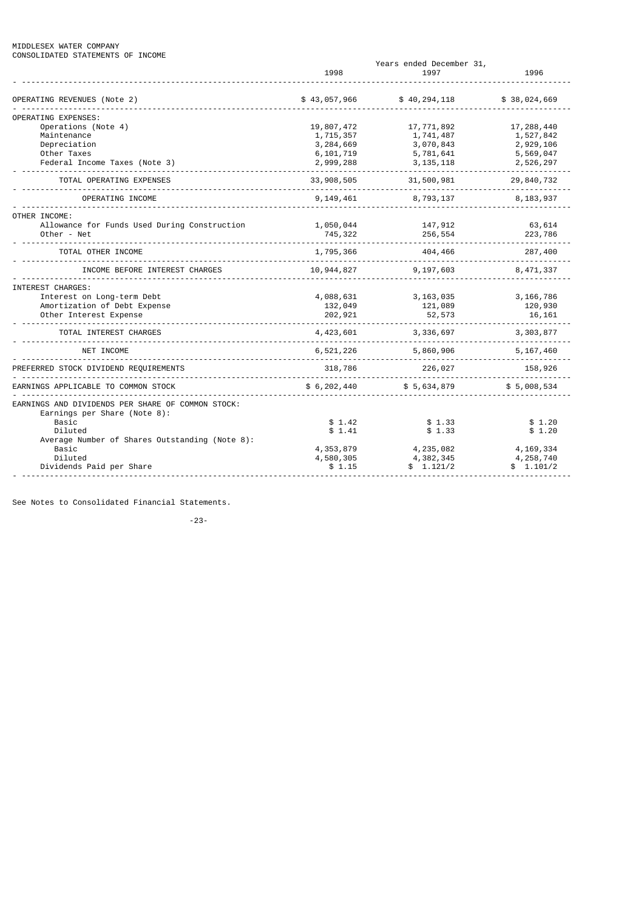### MIDDLESEX WATER COMPANY CONSOLIDATED STATEMENTS OF INCOME

|                                                   |               | Years ended December 31, |              |
|---------------------------------------------------|---------------|--------------------------|--------------|
|                                                   | 1998          | 1997                     | 1996         |
| OPERATING REVENUES (Note 2)                       | \$43,057,966  | \$40, 294, 118           | \$38,024,669 |
| <b>OPERATING EXPENSES:</b>                        |               |                          |              |
| Operations (Note 4)                               | 19,807,472    | 17,771,892               | 17,288,440   |
| Maintenance                                       | 1,715,357     | 1,741,487                | 1,527,842    |
| Depreciation                                      | 3,284,669     | 3,070,843                | 2,929,106    |
| Other Taxes                                       | 6, 101, 719   | 5,781,641                | 5,569,047    |
| Federal Income Taxes (Note 3)                     | 2,999,288     | 3, 135, 118              | 2,526,297    |
| TOTAL OPERATING EXPENSES                          | 33, 908, 505  | 31,500,981               | 29,840,732   |
| OPERATING INCOME                                  | 9,149,461     | 8,793,137                | 8,183,937    |
| OTHER INCOME:                                     |               |                          |              |
| Allowance for Funds Used During Construction      | 1,050,044     | 147,912                  | 63,614       |
| Other - Net                                       | 745,322       | 256,554                  | 223,786      |
| TOTAL OTHER INCOME                                | 1,795,366     | 404,466                  | 287,400      |
| INCOME BEFORE INTEREST CHARGES                    | 10,944,827    | 9,197,603                | 8,471,337    |
| INTEREST CHARGES:                                 |               |                          |              |
| Interest on Long-term Debt                        | 4,088,631     | 3, 163, 035              | 3, 166, 786  |
| Amortization of Debt Expense                      | 132,049       | 121,089                  | 120,930      |
| Other Interest Expense                            | 202,921       | 52,573                   | 16,161       |
| TOTAL INTEREST CHARGES                            | 4,423,601     | 3,336,697                | 3, 303, 877  |
| NET INCOME                                        | 6,521,226     | 5,860,906                | 5, 167, 460  |
| FERRED STOCK DIVIDEND REQUIREMENTS                | 318,786       | 226,027                  | 158,926      |
| EARNINGS APPLICABLE TO COMMON STOCK               | \$6, 202, 440 | \$5,634,879              | \$5,008,534  |
| EARNINGS AND DIVIDENDS PER SHARE OF COMMON STOCK: |               |                          |              |
| Earnings per Share (Note 8):<br>Basic             | \$1.42        | \$1.33                   | \$1.20       |
| Diluted                                           | \$1.41        | \$1.33                   | \$1.20       |
| Average Number of Shares Outstanding (Note 8):    |               |                          |              |
| Basic                                             | 4, 353, 879   | 4,235,082                | 4, 169, 334  |
| Diluted                                           | 4,580,305     | 4,382,345                | 4,258,740    |
| Dividends Paid per Share                          | \$1.15        | \$1.121/2                | \$1.101/2    |
|                                                   |               |                          |              |

See Notes to Consolidated Financial Statements.

-23-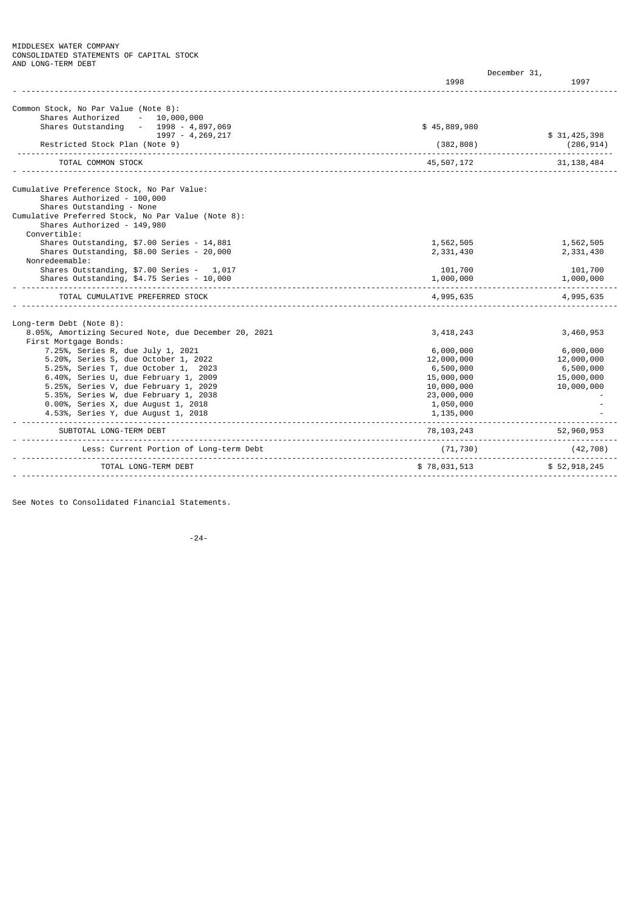MIDDLESEX WATER COMPANY CONSOLIDATED STATEMENTS OF CAPITAL STOCK AND LONG-TERM DEBT

|                                                          | December 31, |              |
|----------------------------------------------------------|--------------|--------------|
|                                                          | 1998         | 1997         |
| Common Stock, No Par Value (Note 8):                     |              |              |
| Shares Authorized<br>10,000,000<br><b>Contractor</b>     |              |              |
| Shares Outstanding<br>$-1998 - 4,897,069$                | \$45,889,980 |              |
| 1997 - 4, 269, 217                                       |              | \$31,425,398 |
| Restricted Stock Plan (Note 9)                           | (382, 808)   | (286, 914)   |
| TOTAL COMMON STOCK                                       | 45,507,172   | 31, 138, 484 |
|                                                          |              |              |
| Cumulative Preference Stock, No Par Value:               |              |              |
| Shares Authorized - 100,000<br>Shares Outstanding - None |              |              |
| Cumulative Preferred Stock, No Par Value (Note 8):       |              |              |
| Shares Authorized - 149,980                              |              |              |
| Convertible:                                             |              |              |
| Shares Outstanding, \$7.00 Series - 14,881               | 1,562,505    | 1,562,505    |
| Shares Outstanding, \$8.00 Series - 20,000               | 2,331,430    | 2,331,430    |
| Nonredeemable:                                           |              |              |
| Shares Outstanding, \$7.00 Series - 1,017                | 101,700      | 101,700      |
| Shares Outstanding, \$4.75 Series - 10,000               | 1,000,000    | 1,000,000    |
| TOTAL CUMULATIVE PREFERRED STOCK                         | 4,995,635    | 4,995,635    |
| Long-term Debt (Note 8):                                 |              |              |
| 8.05%, Amortizing Secured Note, due December 20, 2021    | 3, 418, 243  | 3,460,953    |
| First Mortgage Bonds:                                    |              |              |
| 7.25%, Series R, due July 1, 2021                        | 6,000,000    | 6,000,000    |
| 5.20%, Series S, due October 1, 2022                     | 12,000,000   | 12,000,000   |
| 5.25%, Series T, due October 1, 2023                     | 6,500,000    | 6,500,000    |
| 6.40%, Series U, due February 1, 2009                    | 15,000,000   | 15,000,000   |
| 5.25%, Series V, due February 1, 2029                    | 10,000,000   | 10,000,000   |
| 5.35%, Series W, due February 1, 2038                    | 23,000,000   |              |
| 0.00%, Series X, due August 1, 2018                      | 1,050,000    |              |
| 4.53%, Series Y, due August 1, 2018                      | 1,135,000    |              |
| SUBTOTAL LONG-TERM DEBT                                  | 78, 103, 243 | 52,960,953   |
| Less: Current Portion of Long-term Debt                  | (71, 730)    | (42, 708)    |
| TOTAL LONG-TERM DEBT                                     | \$78,031,513 | \$52,918,245 |
|                                                          |              |              |

See Notes to Consolidated Financial Statements.

-24-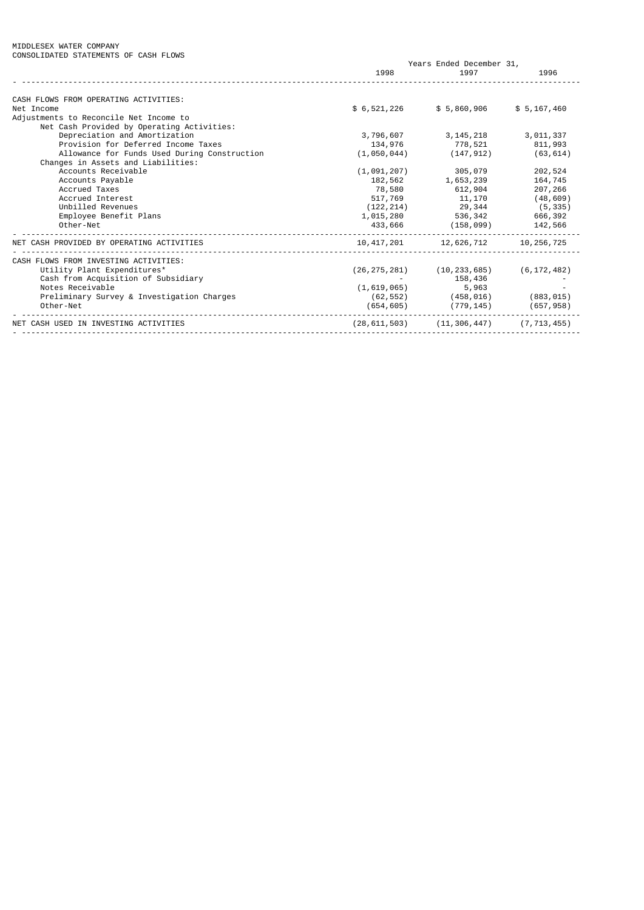### MIDDLESEX WATER COMPANY CONSOLIDATED STATEMENTS OF CASH FLOWS

|                                              | Years Ended December 31, |                |               |
|----------------------------------------------|--------------------------|----------------|---------------|
|                                              | 1998                     | 1997           | 1996          |
|                                              |                          |                |               |
| CASH FLOWS FROM OPERATING ACTIVITIES:        |                          |                |               |
| Net Income                                   | \$ 6,521,226             | \$5,860,906    | \$5, 167, 460 |
| Adjustments to Reconcile Net Income to       |                          |                |               |
| Net Cash Provided by Operating Activities:   |                          |                |               |
| Depreciation and Amortization                | 3,796,607                | 3, 145, 218    | 3,011,337     |
| Provision for Deferred Income Taxes          | 134,976                  | 778,521        | 811,993       |
| Allowance for Funds Used During Construction | (1,050,044)              | (147, 912)     | (63, 614)     |
| Changes in Assets and Liabilities:           |                          |                |               |
| Accounts Receivable                          | (1,091,207)              | 305,079        | 202,524       |
| Accounts Payable                             | 182,562                  | 1,653,239      | 164,745       |
| Accrued Taxes                                | 78,580                   | 612,904        | 207,266       |
| Accrued Interest                             | 517,769                  | 11,170         | (48, 609)     |
| Unbilled Revenues                            | (122, 214)               | 29,344         | (5, 335)      |
| Employee Benefit Plans                       | 1,015,280                | 536,342        | 666,392       |
| Other-Net                                    | 433,666                  | (158, 099)     | 142,566       |
| NET CASH PROVIDED BY OPERATING ACTIVITIES    | 10, 417, 201             | 12,626,712     | 10, 256, 725  |
| CASH FLOWS FROM INVESTING ACTIVITIES:        |                          |                |               |
| Utility Plant Expenditures*                  | (26, 275, 281)           | (10, 233, 685) | (6, 172, 482) |
| Cash from Acquisition of Subsidiary          |                          | 158,436        |               |
| Notes Receivable                             | (1,619,065)              | 5,963          |               |
| Preliminary Survey & Investigation Charges   | (62, 552)                | (458, 016)     | (883, 015)    |
| Other-Net                                    | (654, 605)               | (779, 145)     | (657, 958)    |
|                                              |                          |                |               |
| NET CASH USED IN INVESTING ACTIVITIES        | (28, 611, 503)           | (11, 306, 447) | (7, 713, 455) |
|                                              |                          |                |               |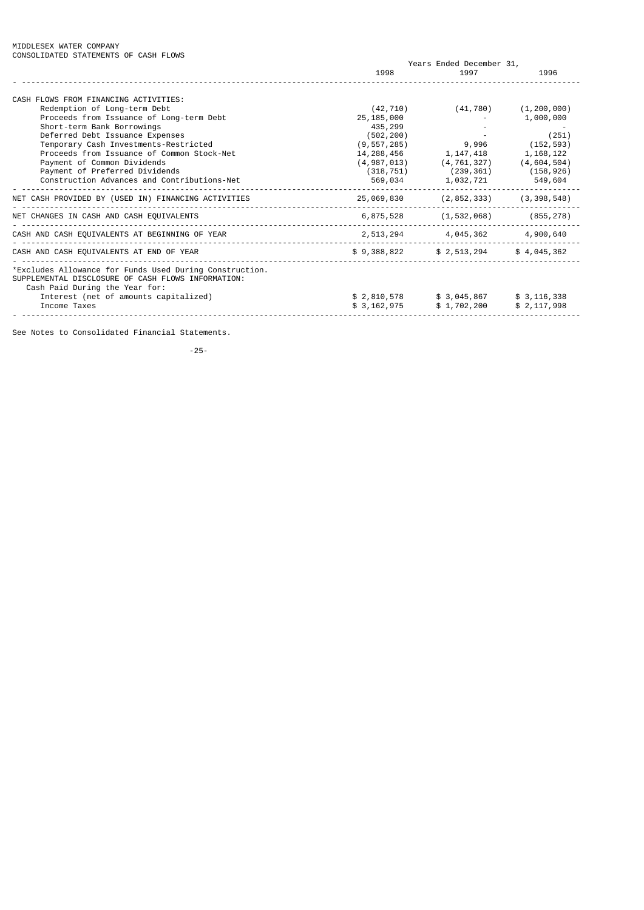| CONSULIDATED STATEMENTS OF CASH FLOWS                                                                                                           | Years Ended December 31, |               |               |
|-------------------------------------------------------------------------------------------------------------------------------------------------|--------------------------|---------------|---------------|
|                                                                                                                                                 | 1998                     | 1997          | 1996          |
| CASH FLOWS FROM FINANCING ACTIVITIES:                                                                                                           |                          |               |               |
| Redemption of Long-term Debt                                                                                                                    | (42, 710)                | (41, 780)     | (1, 200, 000) |
| Proceeds from Issuance of Long-term Debt                                                                                                        | 25, 185, 000             |               | 1,000,000     |
| Short-term Bank Borrowings                                                                                                                      | 435,299                  |               |               |
| Deferred Debt Issuance Expenses                                                                                                                 | (502, 200)               |               | (251)         |
| Temporary Cash Investments-Restricted                                                                                                           | (9, 557, 285)            | 9,996         | (152, 593)    |
| Proceeds from Issuance of Common Stock-Net                                                                                                      | 14, 288, 456             | 1, 147, 418   | 1, 168, 122   |
| Payment of Common Dividends                                                                                                                     | (4, 987, 013)            | (4, 761, 327) | (4,604,504)   |
| Payment of Preferred Dividends                                                                                                                  | (318, 751)               | (239,361)     | (158, 926)    |
| Construction Advances and Contributions-Net                                                                                                     | 569,034                  | 1,032,721     | 549,604       |
| NET CASH PROVIDED BY (USED IN) FINANCING ACTIVITIES                                                                                             | 25,069,830               | (2, 852, 333) | (3, 398, 548) |
| NET CHANGES IN CASH AND CASH EQUIVALENTS                                                                                                        | 6,875,528                | (1, 532, 068) | (855, 278)    |
| CASH AND CASH EQUIVALENTS AT BEGINNING OF YEAR                                                                                                  | 2,513,294                | 4,045,362     | 4,900,640     |
| CASH AND CASH EQUIVALENTS AT END OF YEAR                                                                                                        | \$9,388,822              | \$ 2,513,294  | \$4,045,362   |
| *Excludes Allowance for Funds Used During Construction.<br>SUPPLEMENTAL DISCLOSURE OF CASH FLOWS INFORMATION:<br>Cash Paid During the Year for: |                          |               |               |
| Interest (net of amounts capitalized)                                                                                                           | \$ 2,810,578             | \$3,045,867   | \$3, 116, 338 |
| Income Taxes                                                                                                                                    | \$3, 162, 975            | \$1,702,200   | \$2, 117, 998 |
|                                                                                                                                                 |                          |               |               |

See Notes to Consolidated Financial Statements.

-25-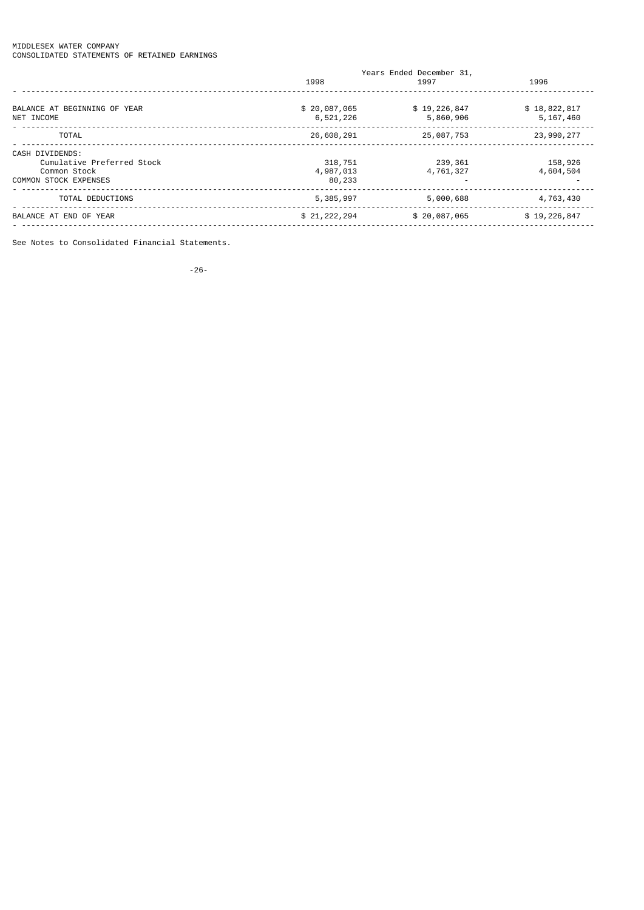### MIDDLESEX WATER COMPANY CONSOLIDATED STATEMENTS OF RETAINED EARNINGS

| Years Ended December 31,  |                           |  |  |
|---------------------------|---------------------------|--|--|
| 1997                      | 1996                      |  |  |
| \$19,226,847<br>5,860,906 | \$18,822,817<br>5,167,460 |  |  |
| 25,087,753                | 23,990,277                |  |  |
| 239,361<br>4,761,327      | 158,926<br>4,604,504      |  |  |
| 5,000,688                 | 4,763,430                 |  |  |
| \$20,087,065              | \$19,226,847              |  |  |
|                           |                           |  |  |

See Notes to Consolidated Financial Statements.

-26-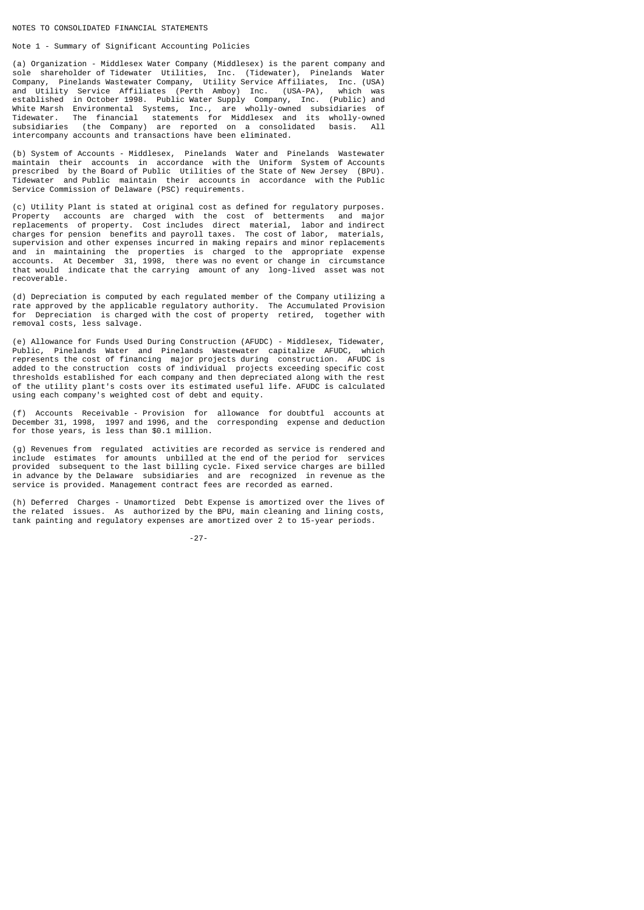### NOTES TO CONSOLIDATED FINANCIAL STATEMENTS

## Note 1 - Summary of Significant Accounting Policies

(a) Organization - Middlesex Water Company (Middlesex) is the parent company and<br>sole shareholder of Tidewater Utilities, Inc. (Tidewater), Pinelands Water sole shareholder of Tidewater Utilities, Inc. (Tidewater), Pinelands Water Company, Pinelands Wastewater Company, Utility Service Affiliates, Inc. (USA) and Utility Service Affiliates (Perth Amboy) Inc. (USA-PA), which was established in October 1998. Public Water Supply Company, Inc. (Public) and White Marsh Environmental Systems, Inc., are wholly-owned subsidiaries of Tidewater. The financial statements for Middlesex and its wholly-owned subsidiaries (the Company) are reported on a consolidated basis. All intercompany accounts and transactions have been eliminated.

(b) System of Accounts - Middlesex, Pinelands Water and Pinelands Wastewater maintain their accounts in accordance with the Uniform System of Accounts prescribed by the Board of Public Utilities of the State of New Jersey (BPU). Tidewater and Public maintain their accounts in accordance with the Public Service Commission of Delaware (PSC) requirements.

(c) Utility Plant is stated at original cost as defined for regulatory purposes. Property accounts are charged with the cost of betterments and major<br>replacements of property. Cost includes direct material, labor and indirect replacements of property. Cost includes direct material, labor and indirect charges for pension benefits and payroll taxes. The cost of labor, materials, supervision and other expenses incurred in making repairs and minor replacements and in maintaining the properties is charged to the appropriate expense accounts. At December 31, 1998, there was no event or change in circumstance that would indicate that the carrying amount of any long-lived asset was not recoverable.

(d) Depreciation is computed by each regulated member of the Company utilizing a rate approved by the applicable regulatory authority. The Accumulated Provision for Depreciation is charged with the cost of property retired, together with removal costs, less salvage.

(e) Allowance for Funds Used During Construction (AFUDC) - Middlesex, Tidewater, Public, Pinelands Water and Pinelands Wastewater capitalize AFUDC, which represents the cost of financing major projects during construction. AFUDC is added to the construction costs of individual projects exceeding specific cost thresholds established for each company and then depreciated along with the rest of the utility plant's costs over its estimated useful life. AFUDC is calculated using each company's weighted cost of debt and equity.

(f) Accounts Receivable - Provision for allowance for doubtful accounts at December 31, 1998, 1997 and 1996, and the corresponding expense and deduction for those years, is less than \$0.1 million.

(g) Revenues from regulated activities are recorded as service is rendered and include estimates for amounts unbilled at the end of the period for services provided subsequent to the last billing cycle. Fixed service charges are billed in advance by the Delaware subsidiaries and are recognized in revenue as the service is provided. Management contract fees are recorded as earned.

(h) Deferred Charges - Unamortized Debt Expense is amortized over the lives of the related issues. As authorized by the BPU, main cleaning and lining costs, tank painting and regulatory expenses are amortized over 2 to 15-year periods.

-27-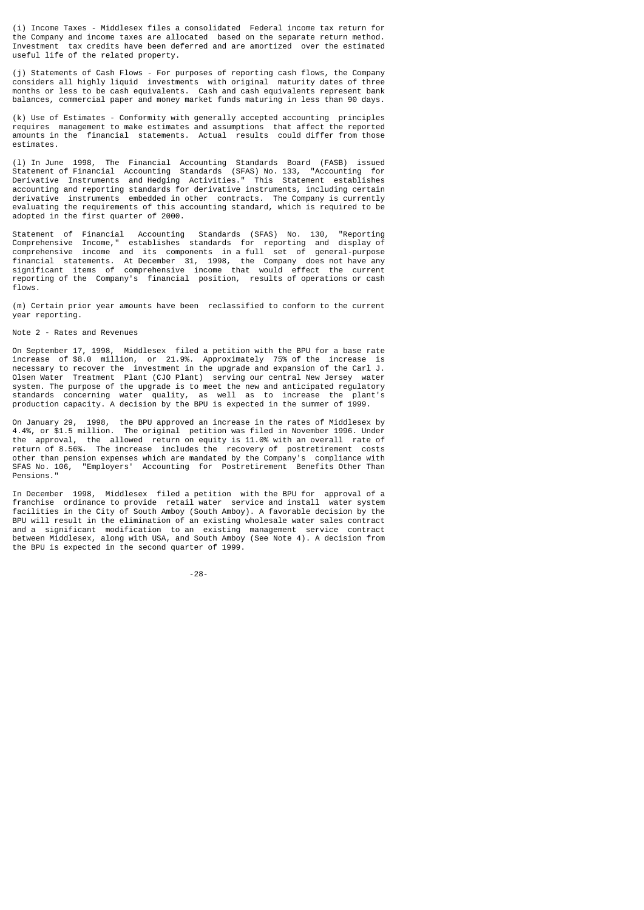(i) Income Taxes - Middlesex files a consolidated Federal income tax return for the Company and income taxes are allocated based on the separate return method. Investment tax credits have been deferred and are amortized over the estimated useful life of the related property.

(j) Statements of Cash Flows - For purposes of reporting cash flows, the Company considers all highly liquid investments with original maturity dates of three months or less to be cash equivalents. Cash and cash equivalents represent bank balances, commercial paper and money market funds maturing in less than 90 days.

(k) Use of Estimates - Conformity with generally accepted accounting principles requires management to make estimates and assumptions that affect the reported amounts in the financial statements. Actual results could differ from those estimates.

(l) In June 1998, The Financial Accounting Standards Board (FASB) issued Statement of Financial Accounting Standards (SFAS) No. 133, "Accounting for Derivative Instruments and Hedging Activities." This Statement establishes accounting and reporting standards for derivative instruments, including certain derivative instruments embedded in other contracts. The Company is currently evaluating the requirements of this accounting standard, which is required to be adopted in the first quarter of 2000.

Statement of Financial Accounting Standards (SFAS) No. 130, "Reporting Comprehensive Income," establishes standards for reporting and display of comprehensive income and its components in a full set of general-purpose financial statements. At December 31, 1998, the Company does not have any significant items of comprehensive income that would effect the current reporting of the Company's financial position, results of operations or cash flows.

(m) Certain prior year amounts have been reclassified to conform to the current year reporting.

### Note 2 - Rates and Revenues

On September 17, 1998, Middlesex filed a petition with the BPU for a base rate increase of \$8.0 million, or 21.9%. Approximately 75% of the increase is necessary to recover the investment in the upgrade and expansion of the Carl J. Olsen Water Treatment Plant (CJO Plant) serving our central New Jersey water system. The purpose of the upgrade is to meet the new and anticipated regulatory standards concerning water quality, as well as to increase the plant's production capacity. A decision by the BPU is expected in the summer of 1999.

On January 29, 1998, the BPU approved an increase in the rates of Middlesex by 4.4%, or \$1.5 million. The original petition was filed in November 1996. Under the approval, the allowed return on equity is  $11.0\%$  with an overall rate of return of 8.56%. The increase includes the recovery of postretirement costs recovery of postretirement costs other than pension expenses which are mandated by the Company's compliance with SFAS No. 106, "Employers' Accounting for Postretirement Benefits Other Than Pensions."

In December 1998, Middlesex filed a petition with the BPU for approval of a franchise ordinance to provide retail water service and install water system facilities in the City of South Amboy (South Amboy). A favorable decision by the BPU will result in the elimination of an existing wholesale water sales contract and a significant modification to an existing management service contract between Middlesex, along with USA, and South Amboy (See Note 4). A decision from the BPU is expected in the second quarter of 1999.

-28-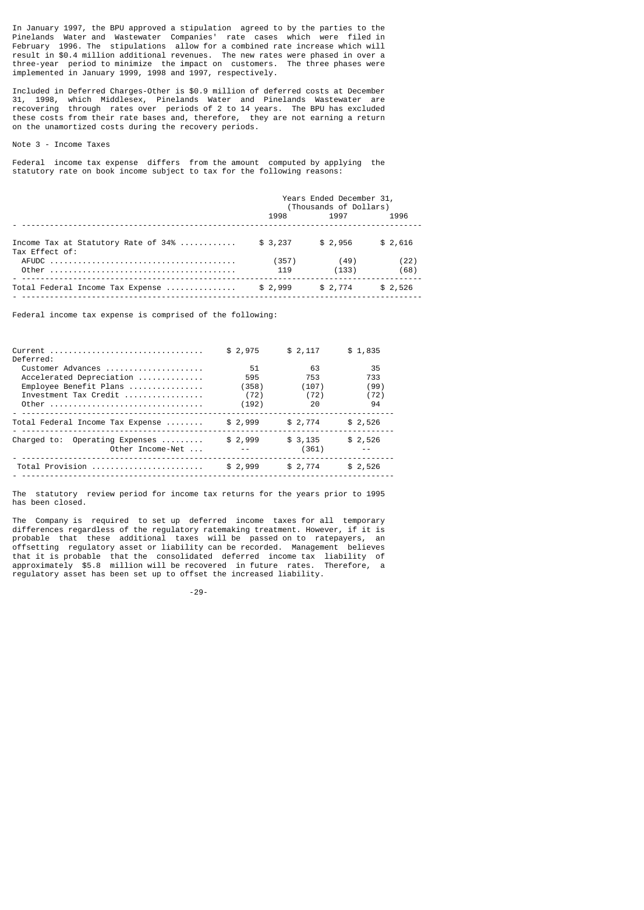In January 1997, the BPU approved a stipulation agreed to by the parties to the Pinelands Water and Wastewater Companies' rate cases which were filed in February 1996. The stipulations allow for a combined rate increase which will result in \$0.4 million additional revenues. The new rates were phased in over a three-year period to minimize the impact on customers. The three phases were implemented in January 1999, 1998 and 1997, respectively.

Included in Deferred Charges-Other is \$0.9 million of deferred costs at December 31, 1998, which Middlesex, Pinelands Water and Pinelands Wastewater are recovering through rates over periods of 2 to 14 years. The BPU has excluded these costs from their rate bases and, therefore, they are not earning a return on the unamortized costs during the recovery periods.

### Note 3 - Income Taxes

Federal income tax expense differs from the amount computed by applying the statutory rate on book income subject to tax for the following reasons:

|                                                       | Years Ended December 31,<br>(Thousands of Dollars) |               |              |
|-------------------------------------------------------|----------------------------------------------------|---------------|--------------|
|                                                       | 1997<br>1998 — 1998<br>1996                        |               |              |
| Income Tax at Statutory Rate of 34%<br>Tax Effect of: | \$3,237                                            | \$2,956       | \$2,616      |
|                                                       | (357)<br>119                                       | (49)<br>(133) | (22)<br>(68) |
| Total Federal Income Tax Expense                      | \$2,999                                            | \$2,774       | \$2.526      |

Federal income tax expense is comprised of the following:

| Current<br>Deferred:                               | \$2,975 | \$2,117          | \$1,835 |
|----------------------------------------------------|---------|------------------|---------|
| Customer Advances                                  | 51      | 63               | 35      |
| Accelerated Depreciation                           | 595     | 753              | 733     |
| Employee Benefit Plans                             | (358)   | (107)            | (99)    |
| Investment Tax Credit                              | (72)    | (72)             | (72)    |
| Other                                              | (192)   | 20               | 94      |
| Total Federal Income Tax Expense                   | \$2,999 | \$2,774          | \$2,526 |
| Charged to: Operating Expenses<br>Other Income-Net | \$2,999 | \$3,135<br>(361) | \$2,526 |
| Total Provision                                    | \$2,999 | \$2.774          | \$2,526 |

The statutory review period for income tax returns for the years prior to 1995 has been closed.

The Company is required to set up deferred income taxes for all temporary differences regardless of the regulatory ratemaking treatment. However, if it is probable that these additional taxes will be passed on to ratepayers, an offsetting regulatory asset or liability can be recorded. Management believes that it is probable that the consolidated deferred income tax liability of approximately \$5.8 million will be recovered in future rates. Therefore, a regulatory asset has been set up to offset the increased liability.

-29-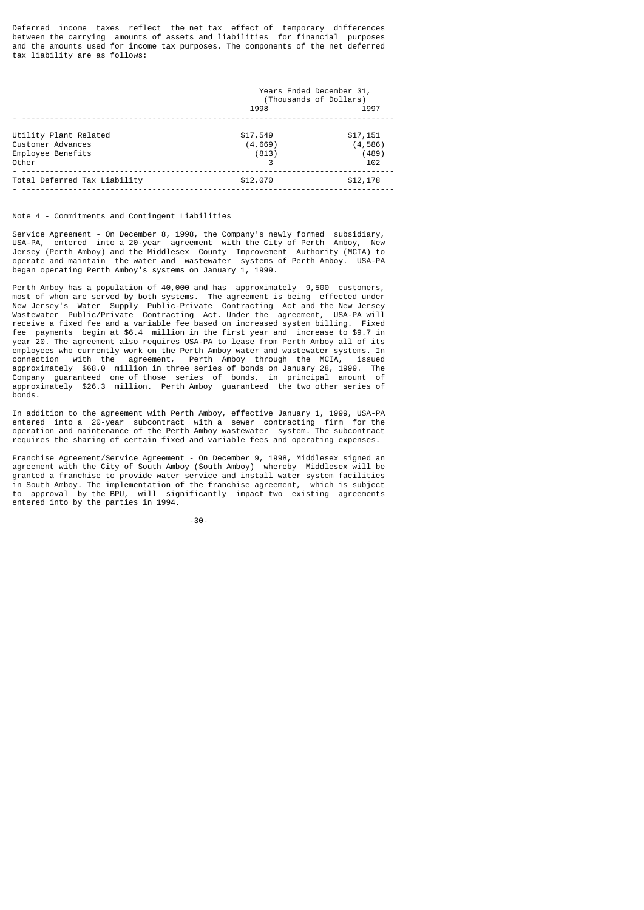Deferred income taxes reflect the net tax effect of temporary differences between the carrying amounts of assets and liabilities for financial purposes and the amounts used for income tax purposes. The components of the net deferred tax liability are as follows:

|                              | Years Ended December 31,<br>(Thousands of Dollars) |          |  |
|------------------------------|----------------------------------------------------|----------|--|
|                              | 1998                                               | 1997     |  |
|                              |                                                    |          |  |
| Utility Plant Related        | \$17,549                                           | \$17,151 |  |
| Customer Advances            | (4, 669)                                           | (4,586)  |  |
| Employee Benefits            | (813)                                              | (489)    |  |
| Other                        | 3                                                  | 102      |  |
| Total Deferred Tax Liability | \$12,070                                           | \$12,178 |  |

## Note 4 - Commitments and Contingent Liabilities

Service Agreement - On December 8, 1998, the Company's newly formed subsidiary, USA-PA, entered into a 20-year agreement with the City of Perth Amboy, New Jersey (Perth Amboy) and the Middlesex County Improvement Authority (MCIA) to operate and maintain the water and wastewater systems of Perth Amboy. USA-PA began operating Perth Amboy's systems on January 1, 1999.

Perth Amboy has a population of 40,000 and has approximately 9,500 customers, most of whom are served by both systems. The agreement is being effected under New Jersey's Water Supply Public-Private Contracting Act and the New Jersey Wastewater Public/Private Contracting Act. Under the agreement, USA-PA will receive a fixed fee and a variable fee based on increased system billing. Fixed fee payments begin at \$6.4 million in the first year and increase to \$9.7 in year 20. The agreement also requires USA-PA to lease from Perth Amboy all of its employees who currently work on the Perth Amboy water and wastewater systems. In connection with the agreement, Perth Amboy through the MCIA, issued agreement, Perth Amboy through the MCIA, approximately \$68.0 million in three series of bonds on January 28, 1999. The Company guaranteed one of those series of bonds, in principal amount of approximately \$26.3 million. Perth Amboy guaranteed the two other series of bonds.

In addition to the agreement with Perth Amboy, effective January 1, 1999, USA-PA entered into a 20-year subcontract with a sewer contracting firm for the operation and maintenance of the Perth Amboy wastewater system. The subcontract requires the sharing of certain fixed and variable fees and operating expenses.

Franchise Agreement/Service Agreement - On December 9, 1998, Middlesex signed an agreement with the City of South Amboy (South Amboy) whereby Middlesex will be granted a franchise to provide water service and install water system facilities in South Amboy. The implementation of the franchise agreement, which is subject to approval by the BPU, will significantly impact two existing agreements entered into by the parties in 1994.

-30-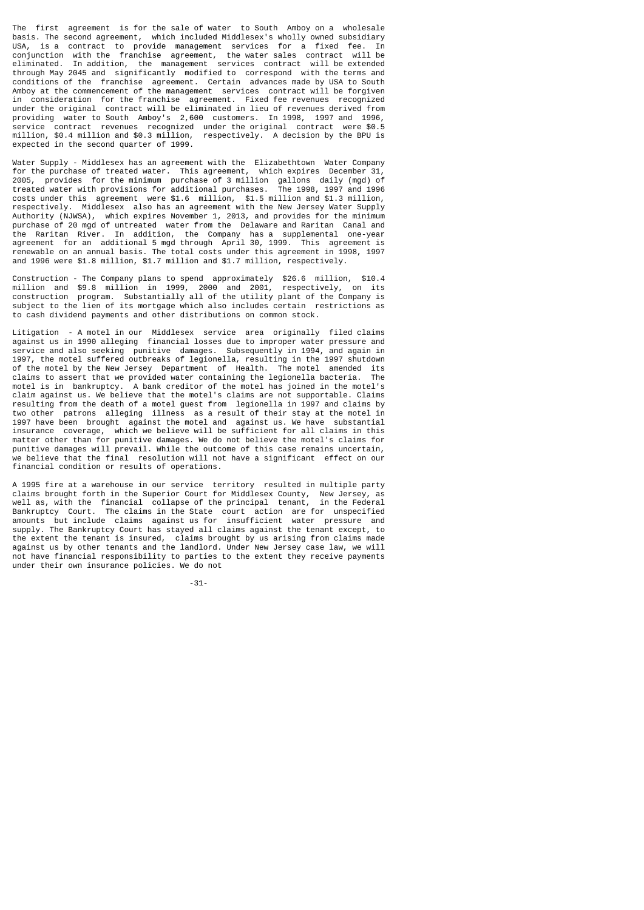The first agreement is for the sale of water to South Amboy on a wholesale basis. The second agreement, which included Middlesex's wholly owned subsidiary<br>USA is a contract to provide management services for a fixed fee. In is a contract to provide management services for a fixed fee. conjunction with the franchise agreement, the water sales contract will be eliminated. In addition, the management services contract will be extended through May 2045 and significantly modified to correspond with the terms and conditions of the franchise agreement. Certain advances made by USA to South Amboy at the commencement of the management services contract will be forgiven in consideration for the franchise agreement. Fixed fee revenues recognized under the original contract will be eliminated in lieu of revenues derived from providing water to South Amboy's 2,600 customers. In 1998, 1997 and 1996, service contract revenues recognized under the original contract were \$0.5 million, \$0.4 million and \$0.3 million, respectively. A decision by the BPU is expected in the second quarter of 1999.

Water Supply - Middlesex has an agreement with the Elizabethtown Water Company for the purchase of treated water. This agreement, which expires December 31, 2005, provides for the minimum purchase of 3 million gallons daily (mgd) of treated water with provisions for additional purchases. The 1998, 1997 and 1996 costs under this agreement were \$1.6 million, \$1.5 million and \$1.3 million, respectively. Middlesex also has an agreement with the New Jersey Water Supply Authority (NJWSA), which expires November 1, 2013, and provides for the minimum purchase of 20 mgd of untreated water from the Delaware and Raritan Canal and the Raritan River. In addition, the Company has a supplemental one-year agreement for an additional 5 mgd through April 30, 1999. This agreement is agreement for an additional 5 mgd through April 30, 1999. renewable on an annual basis. The total costs under this agreement in 1998, 1997 and 1996 were \$1.8 million, \$1.7 million and \$1.7 million, respectively.

Construction - The Company plans to spend approximately \$26.6 million, \$10.4 million and \$9.8 million in 1999, 2000 and 2001, respectively, on its construction program. Substantially all of the utility plant of the Company is subject to the lien of its mortgage which also includes certain restrictions as to cash dividend payments and other distributions on common stock.

Litigation - A motel in our Middlesex service area originally filed claims against us in 1990 alleging financial losses due to improper water pressure and service and also seeking punitive damages. Subsequently in 1994, and again in 1997, the motel suffered outbreaks of legionella, resulting in the 1997 shutdown of the motel by the New Jersey Department of Health. The motel amended its claims to assert that we provided water containing the legionella bacteria. The motel is in bankruptcy. A bank creditor of the motel has joined in the motel's claim against us. We believe that the motel's claims are not supportable. Claims resulting from the death of a motel guest from legionella in 1997 and claims by<br>two other patrons alleging illness as a result of their stay at the motel in patrons alleging illness as a result of their stay at the motel in 1997 have been brought against the motel and against us. We have substantial insurance coverage, which we believe will be sufficient for all claims in this matter other than for punitive damages. We do not believe the motel's claims for punitive damages will prevail. While the outcome of this case remains uncertain, we believe that the final resolution will not have a significant effect on our financial condition or results of operations.

A 1995 fire at a warehouse in our service territory resulted in multiple party claims brought forth in the Superior Court for Middlesex County, New Jersey, as well as, with the financial collapse of the principal tenant, in the Federal Bankruptcy Court. The claims in the State court action are for unspecified amounts but include claims against us for insufficient water pressure and supply. The Bankruptcy Court has stayed all claims against the tenant except, to the extent the tenant is insured, claims brought by us arising from claims made against us by other tenants and the landlord. Under New Jersey case law, we will not have financial responsibility to parties to the extent they receive payments under their own insurance policies. We do not

-31-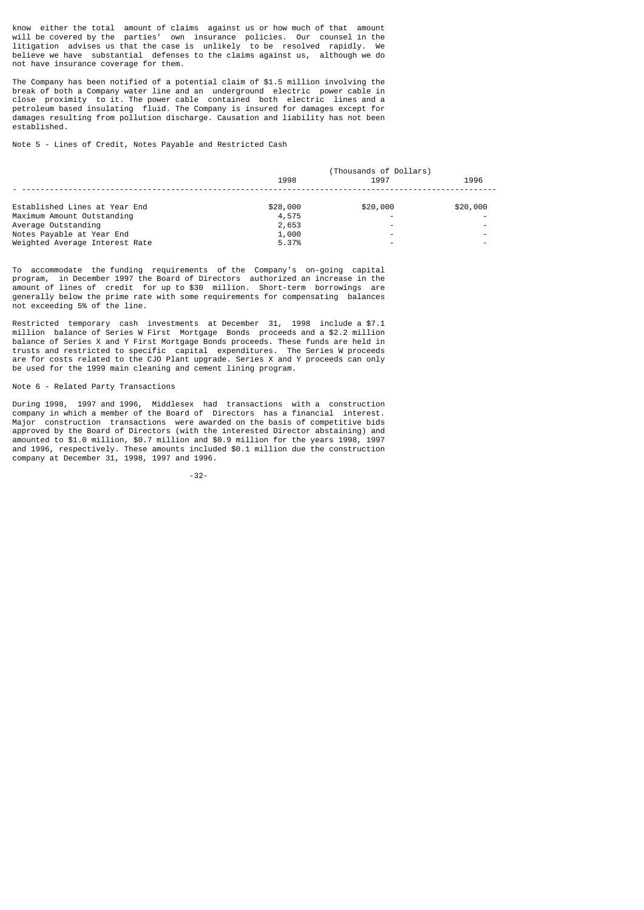know either the total amount of claims against us or how much of that amount will be covered by the parties' own insurance policies. Our counsel in the litigation advises us that the case is unlikely to be resolved rapidly. We believe we have substantial defenses to the claims against us, although we do not have insurance coverage for them.

The Company has been notified of a potential claim of \$1.5 million involving the break of both a Company water line and an underground electric power cable in close proximity to it. The power cable contained both electric lines and a petroleum based insulating fluid. The Company is insured for damages except for damages resulting from pollution discharge. Causation and liability has not been established.

Note 5 - Lines of Credit, Notes Payable and Restricted Cash

|                                | (Thousands of Dollars) |                          |                          |  |
|--------------------------------|------------------------|--------------------------|--------------------------|--|
|                                | 1998<br>1997           |                          | 1996                     |  |
|                                |                        |                          |                          |  |
| Established Lines at Year End  | \$28,000               | \$20,000                 | \$20,000                 |  |
| Maximum Amount Outstanding     | 4,575                  | $\overline{\phantom{0}}$ | $\overline{\phantom{0}}$ |  |
| Average Outstanding            | 2,653                  |                          | $\overline{\phantom{0}}$ |  |
| Notes Payable at Year End      | 1,000                  |                          | $\overline{\phantom{0}}$ |  |
| Weighted Average Interest Rate | 5.37%                  |                          | $\overline{\phantom{0}}$ |  |

To accommodate the funding requirements of the Company's on-going capital program, in December 1997 the Board of Directors authorized an increase in the amount of lines of credit for up to \$30 million. Short-term borrowings are generally below the prime rate with some requirements for compensating balances not exceeding 5% of the line.

Restricted temporary cash investments at December 31, 1998 include a \$7.1 million balance of Series W First Mortgage Bonds proceeds and a \$2.2 million balance of Series X and Y First Mortgage Bonds proceeds. These funds are held in trusts and restricted to specific capital expenditures. The Series W proceeds are for costs related to the CJO Plant upgrade. Series X and Y proceeds can only be used for the 1999 main cleaning and cement lining program.

## Note 6 - Related Party Transactions

During 1998, 1997 and 1996, Middlesex had transactions with a construction company in which a member of the Board of Directors has a financial interest. Major construction transactions were awarded on the basis of competitive bids approved by the Board of Directors (with the interested Director abstaining) and amounted to \$1.0 million, \$0.7 million and \$0.9 million for the years 1998, 1997 and 1996, respectively. These amounts included \$0.1 million due the construction company at December 31, 1998, 1997 and 1996.

-32-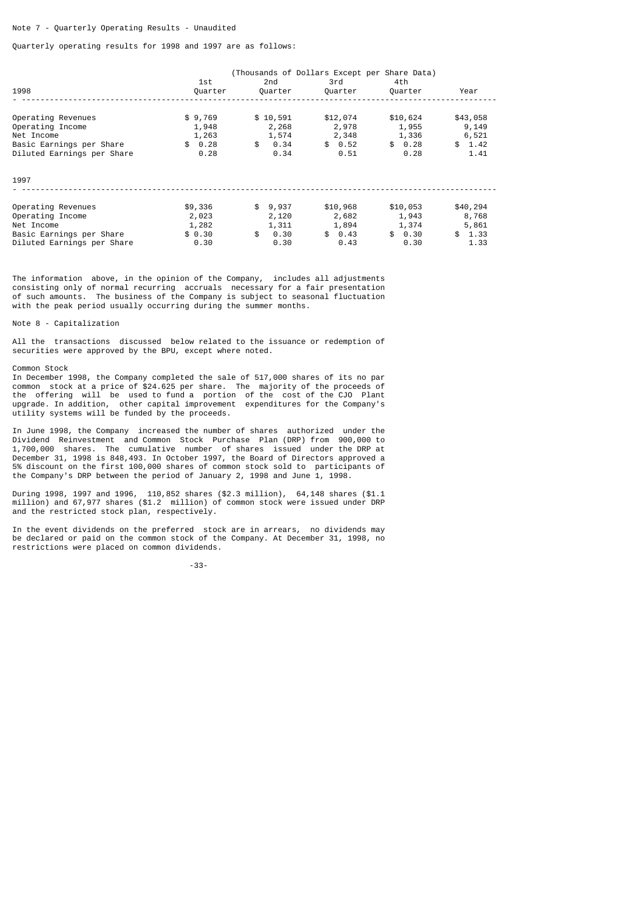## Note 7 - Quarterly Operating Results - Unaudited

## Quarterly operating results for 1998 and 1997 are as follows:

|                            | 1st     | (Thousands of Dollars Except per Share Data)<br>2nd | 3rd        | 4th      |            |
|----------------------------|---------|-----------------------------------------------------|------------|----------|------------|
| 1998                       | Quarter | Quarter                                             | Quarter    | Quarter  | Year       |
| Operating Revenues         | \$9,769 | \$10,591                                            | \$12,074   | \$10,624 | \$43,058   |
| Operating Income           | 1,948   | 2,268                                               | 2,978      | 1,955    | 9,149      |
| Net Income                 | 1,263   | 1,574                                               | 2,348      | 1,336    | 6,521      |
| Basic Earnings per Share   | \$0.28  | \$<br>0.34                                          | \$0.52     | \$0.28   | \$1.42     |
| Diluted Earnings per Share | 0.28    | 0.34                                                | 0.51       | 0.28     | 1.41       |
| 1997                       |         |                                                     |            |          |            |
| Operating Revenues         | \$9,336 | \$9,937                                             | \$10,968   | \$10,053 | \$40,294   |
| Operating Income           | 2,023   | 2,120                                               | 2,682      | 1,943    | 8,768      |
| Net Income                 | 1,282   | 1,311                                               | 1,894      | 1,374    | 5,861      |
| Basic Earnings per Share   | \$0.30  | \$<br>0.30                                          | 0.43<br>\$ | \$0.30   | \$<br>1.33 |
| Diluted Earnings per Share | 0.30    | 0.30                                                | 0.43       | 0.30     | 1.33       |

The information above, in the opinion of the Company, includes all adjustments consisting only of normal recurring accruals necessary for a fair presentation of such amounts. The business of the Company is subject to seasonal fluctuation with the peak period usually occurring during the summer months.

## Note 8 - Capitalization

All the transactions discussed below related to the issuance or redemption of securities were approved by the BPU, except where noted.

#### Common Stock

In December 1998, the Company completed the sale of 517,000 shares of its no par common stock at a price of \$24.625 per share. The majority of the proceeds of the offering will be used to fund a portion of the cost of the CJO Plant upgrade. In addition, other capital improvement expenditures for the Company's utility systems will be funded by the proceeds.

In June 1998, the Company increased the number of shares authorized under the Dividend Reinvestment and Common Stock Purchase Plan (DRP) from 900,000 to 1,700,000 shares. The cumulative number of shares issued under the DRP at December 31, 1998 is 848,493. In October 1997, the Board of Directors approved a 5% discount on the first 100,000 shares of common stock sold to participants of the Company's DRP between the period of January 2, 1998 and June 1, 1998.

During 1998, 1997 and 1996, 110,852 shares (\$2.3 million), 64,148 shares (\$1.1 million) and 67,977 shares (\$1.2 million) of common stock were issued under DRP and the restricted stock plan, respectively.

In the event dividends on the preferred stock are in arrears, no dividends may be declared or paid on the common stock of the Company. At December 31, 1998, no restrictions were placed on common dividends.

-33-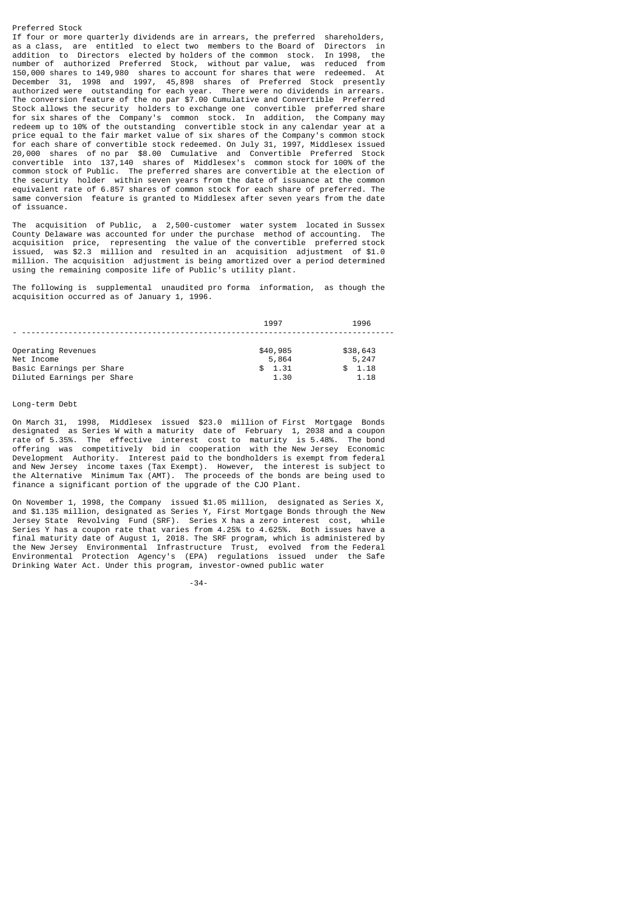Preferred Stock If four or more quarterly dividends are in arrears, the preferred shareholders, as a class. are entitled to elect two members to the Board of Directors in as a class, are entitled to elect two members to the Board of Directors in addition to Directors elected by holders of the common stock. In 1998, the addition to Directors elected by holders of the common stock. In 1998, the number of authorized Preferred Stock, without par value, was reduced from<br>150.000 shares to 149.980 shares to account for shares that were redeemed. At 150,000 shares to 149,980 shares to account for shares that were December 31, 1998 and 1997, 45,898 shares of Preferred Stock presently authorized were outstanding for each year. There were no dividends in arrears. The conversion feature of the no par \$7.00 Cumulative and Convertible Preferred Stock allows the security holders to exchange one convertible preferred share for six shares of the Company's common stock. In addition, the Company may redeem up to 10% of the outstanding convertible stock in any calendar year at a price equal to the fair market value of six shares of the Company's common stock for each share of convertible stock redeemed. On July 31, 1997, Middlesex issued 20,000 shares of no par \$8.00 Cumulative and Convertible Preferred Stock convertible into 137,140 shares of Middlesex's common stock for 100% of the common stock of Public. The preferred shares are convertible at the election of the security holder within seven years from the date of issuance at the common equivalent rate of 6.857 shares of common stock for each share of preferred. The same conversion feature is granted to Middlesex after seven years from the date of issuance.

The acquisition of Public, a 2,500-customer water system located in Sussex County Delaware was accounted for under the purchase method of accounting. The acquisition price, representing the value of the convertible preferred stock issued, was \$2.3 million and resulted in an acquisition adjustment of \$1.0 million. The acquisition adjustment is being amortized over a period determined using the remaining composite life of Public's utility plant.

The following is supplemental unaudited pro forma information, as though the acquisition occurred as of January 1, 1996.

|                            | 1997     | 1996     |
|----------------------------|----------|----------|
|                            |          |          |
| Operating Revenues         | \$40,985 | \$38,643 |
| Net Income                 | 5,864    | 5,247    |
| Basic Earnings per Share   | \$1.31   | \$1.18   |
| Diluted Earnings per Share | 1.30     | 1.18     |

### Long-term Debt

On March 31, 1998, Middlesex issued \$23.0 million of First Mortgage Bonds designated as Series W with a maturity date of February 1, 2038 and a coupon rate of 5.35%. The effective interest cost to maturity is 5.48%. The bond offering was competitively bid in cooperation with the New Jersey Economic Development Authority. Interest paid to the bondholders is exempt from federal and New Jersey income taxes (Tax Exempt). However, the interest is subject to the Alternative Minimum Tax (AMT). The proceeds of the bonds are being used to finance a significant portion of the upgrade of the CJO Plant.

On November 1, 1998, the Company issued \$1.05 million, designated as Series X, and \$1.135 million, designated as Series Y, First Mortgage Bonds through the New Jersey State Revolving Fund (SRF). Series X has a zero interest cost, while Series Y has a coupon rate that varies from 4.25% to 4.625%. Both issues have a final maturity date of August 1, 2018. The SRF program, which is administered by the New Jersey Environmental Infrastructure Trust, evolved from the Federal Environmental Protection Agency's (EPA) regulations issued under the Safe Drinking Water Act. Under this program, investor-owned public water

-34-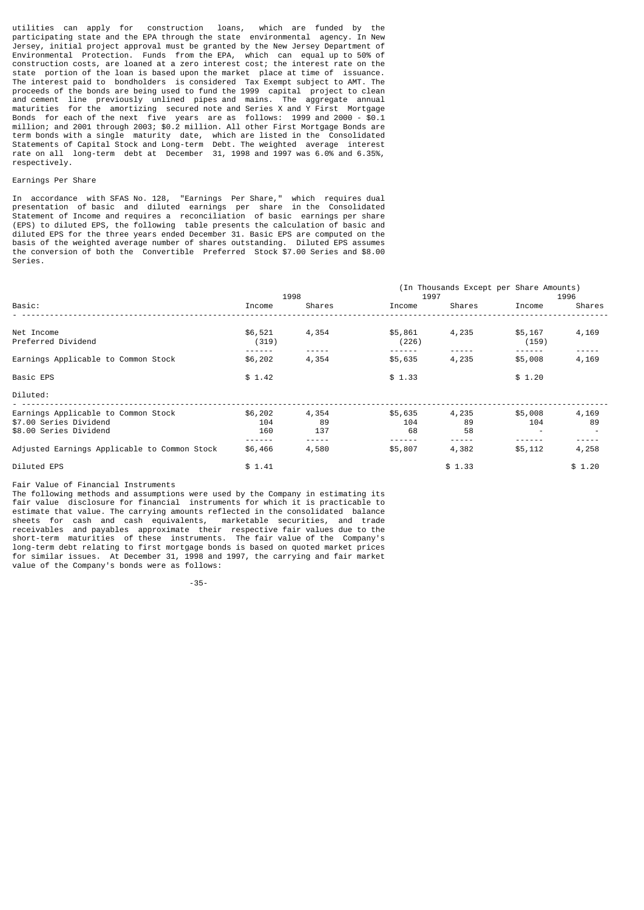utilities can apply for construction loans, which are funded by the participating state and the EPA through the state environmental agency. In New Jersey, initial project approval must be granted by the New Jersey Department of Environmental Protection. Funds from the EPA, which can equal up to 50% of construction costs, are loaned at a zero interest cost; the interest rate on the state portion of the loan is based upon the market place at time of issuance. The interest paid to bondholders is considered Tax Exempt subject to AMT. The proceeds of the bonds are being used to fund the 1999 capital project to clean and cement line previously unlined pipes and mains. The aggregate annual maturities for the amortizing secured note and Series X and Y First Mortgage Bonds for each of the next five years are as follows: 1999 and 2000 - \$0.1 million; and 2001 through 2003; \$0.2 million. All other First Mortgage Bonds are term bonds with a single maturity date, which are listed in the Consolidated Statements of Capital Stock and Long-term Debt. The weighted average interest rate on all long-term debt at December 31, 1998 and 1997 was 6.0% and 6.35%, respectively.

# Earnings Per Share

In accordance with SFAS No. 128, "Earnings Per Share," which requires dual presentation of basic and diluted earnings per share in the Consolidated Statement of Income and requires a reconciliation of basic earnings per share (EPS) to diluted EPS, the following table presents the calculation of basic and diluted EPS for the three years ended December 31. Basic EPS are computed on the basis of the weighted average number of shares outstanding. Diluted EPS assumes the conversion of both the Convertible Preferred Stock \$7.00 Series and \$8.00 Series.

|                                                                                         |                       | 1998               | 1997                 |                   | (In Thousands Except per Share Amounts) | 1996        |
|-----------------------------------------------------------------------------------------|-----------------------|--------------------|----------------------|-------------------|-----------------------------------------|-------------|
| Basic:                                                                                  | Income                | Shares             | Income               | Shares            | Income                                  | Shares      |
| Net Income<br>Preferred Dividend                                                        | \$6,521<br>(319)      | 4,354              | \$5,861<br>(226)     | 4,235             | \$5,167<br>(159)                        | 4,169       |
| Earnings Applicable to Common Stock                                                     | \$6,202               | 4,354              | \$5,635              | 4,235             | \$5,008                                 | 4,169       |
| <b>Basic EPS</b>                                                                        | \$1.42                |                    | \$1.33               |                   | \$1.20                                  |             |
| Diluted:                                                                                |                       |                    |                      |                   |                                         |             |
| Earnings Applicable to Common Stock<br>\$7.00 Series Dividend<br>\$8.00 Series Dividend | \$6,202<br>104<br>160 | 4,354<br>89<br>137 | \$5,635<br>104<br>68 | 4,235<br>89<br>58 | \$5,008<br>104                          | 4,169<br>89 |
| Adjusted Earnings Applicable to Common Stock                                            | \$6,466               | 4,580              | \$5,807              | 4,382             | \$5,112                                 | 4,258       |
| Diluted EPS                                                                             | \$1.41                |                    |                      | \$1.33            |                                         | \$1.20      |

#### Fair Value of Financial Instruments

The following methods and assumptions were used by the Company in estimating its fair value disclosure for financial instruments for which it is practicable to estimate that value. The carrying amounts reflected in the consolidated balance sheets for cash and cash equivalents, marketable securities, and trade receivables and payables approximate their respective fair values due to the short-term maturities of these instruments. The fair value of the Company's long-term debt relating to first mortgage bonds is based on quoted market prices for similar issues. At December 31, 1998 and 1997, the carrying and fair market value of the Company's bonds were as follows:

-35-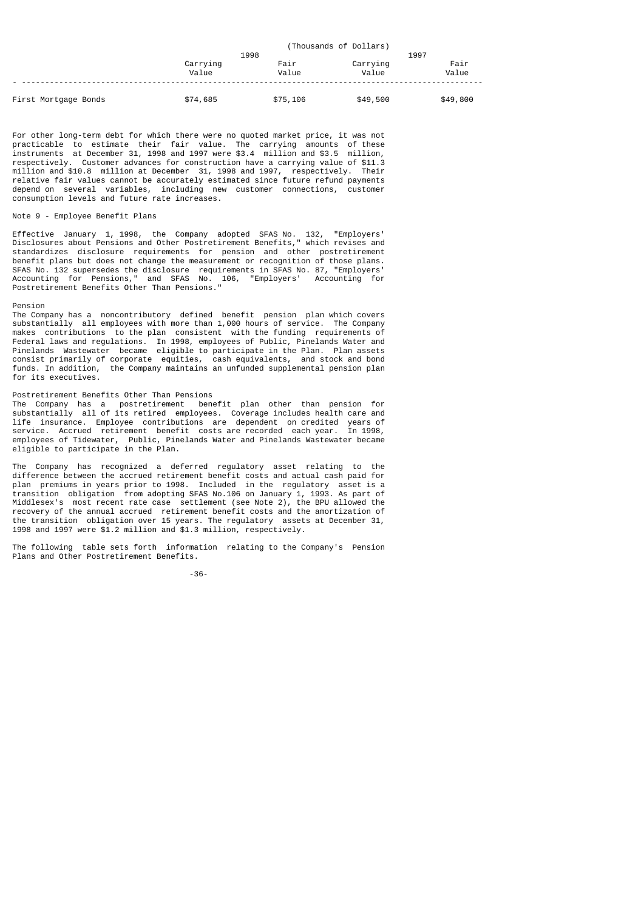|                      |                   |               | (Thousands of Dollars) |               |
|----------------------|-------------------|---------------|------------------------|---------------|
|                      |                   | 1998          |                        | 1997          |
|                      | Carrying<br>Value | Fair<br>Value | Carrying<br>Value      | Fair<br>Value |
| First Mortgage Bonds | \$74,685          | \$75,106      | \$49,500               | \$49,800      |

For other long-term debt for which there were no quoted market price, it was not practicable to estimate their fair value. The carrying amounts of these instruments at December 31, 1998 and 1997 were \$3.4 million and \$3.5 million, respectively. Customer advances for construction have a carrying value of \$11.3 million and \$10.8 million at December 31, 1998 and 1997, respectively. Their relative fair values cannot be accurately estimated since future refund payments depend on several variables, including new customer connections, customer consumption levels and future rate increases.

# Note 9 - Employee Benefit Plans

Effective January 1, 1998, the Company adopted SFAS No. 132, "Employers' Disclosures about Pensions and Other Postretirement Benefits," which revises and standardizes disclosure requirements for pension and other postretirement benefit plans but does not change the measurement or recognition of those plans. SFAS No. 132 supersedes the disclosure requirements in SFAS No. 87, "Employers' Accounting for Pensions," and SFAS No. 106, "Employers' Accounting for Postretirement Benefits Other Than Pensions."

### Pension

The Company has a noncontributory defined benefit pension plan which covers substantially all employees with more than 1,000 hours of service. The Company makes contributions to the plan consistent with the funding requirements of Federal laws and regulations. In 1998, employees of Public, Pinelands Water and Pinelands Wastewater became eligible to participate in the Plan. Plan assets consist primarily of corporate equities, cash equivalents, and stock and bond funds. In addition, the Company maintains an unfunded supplemental pension plan for its executives.

# Postretirement Benefits Other Than Pensions

The Company has a postretirement benefit plan other than pension for substantially all of its retired employees. Coverage includes health care and life insurance. Employee contributions are dependent on credited years of service. Accrued retirement benefit costs are recorded each year. In 1998, employees of Tidewater, Public, Pinelands Water and Pinelands Wastewater became eligible to participate in the Plan.

The Company has recognized a deferred regulatory asset relating to the difference between the accrued retirement benefit costs and actual cash paid for plan premiums in years prior to 1998. Included in the regulatory asset is a transition obligation from adopting SFAS No.106 on January 1, 1993. As part of Middlesex's most recent rate case settlement (see Note 2), the BPU allowed the recovery of the annual accrued retirement benefit costs and the amortization of the transition obligation over 15 years. The regulatory assets at December 31, 1998 and 1997 were \$1.2 million and \$1.3 million, respectively.

The following table sets forth information relating to the Company's Pension Plans and Other Postretirement Benefits.

-36-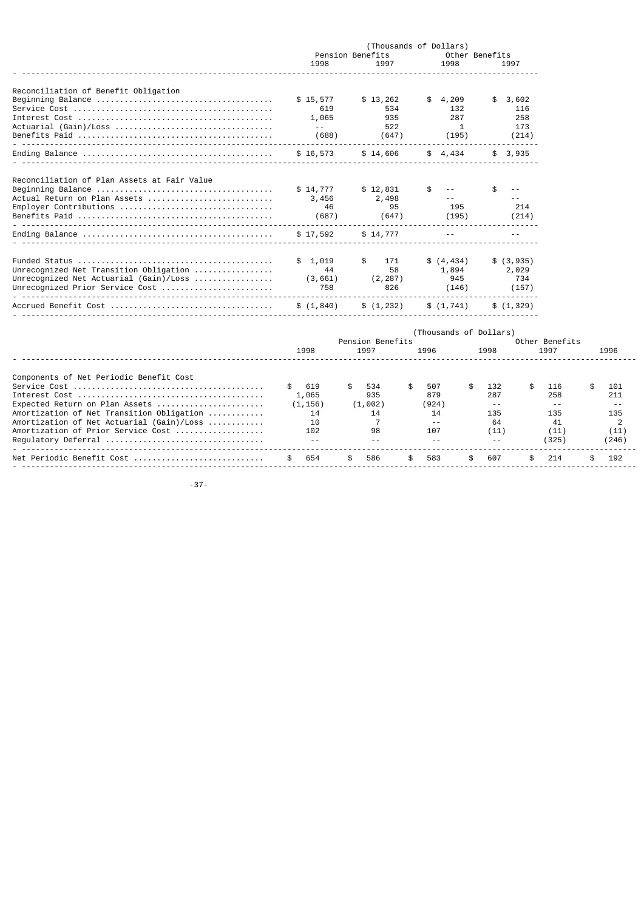|                                                                                                                                                                                                                                  | 1998                                                         | Pension Benefits<br>1997                                                   | (Thousands of Dollars)<br>1998                                           | Other Benefits<br>1997                                                        |                                                        |                                                                |
|----------------------------------------------------------------------------------------------------------------------------------------------------------------------------------------------------------------------------------|--------------------------------------------------------------|----------------------------------------------------------------------------|--------------------------------------------------------------------------|-------------------------------------------------------------------------------|--------------------------------------------------------|----------------------------------------------------------------|
| Reconciliation of Benefit Obligation                                                                                                                                                                                             | \$15,577                                                     | \$13,262                                                                   | 4,209<br>\$.                                                             | 3,602<br>\$                                                                   |                                                        |                                                                |
|                                                                                                                                                                                                                                  | 619<br>1,065<br>$\sim$ $\sim$<br>(688)                       | 534<br>935<br>522<br>(647)                                                 | 132<br>287<br>1<br>(195)                                                 | 116<br>258<br>173<br>(214)                                                    |                                                        |                                                                |
|                                                                                                                                                                                                                                  | \$16,573                                                     | \$14,606                                                                   | \$4,434                                                                  | \$3,935                                                                       |                                                        |                                                                |
| Reconciliation of Plan Assets at Fair Value                                                                                                                                                                                      | \$14,777                                                     | \$12,831                                                                   | \$<br>$\sim$ $-$                                                         | \$<br>$\sim$ $\sim$                                                           |                                                        |                                                                |
| Actual Return on Plan Assets<br>Employer Contributions                                                                                                                                                                           | 3,456<br>46<br>(687)                                         | 2,498<br>95<br>(647)                                                       | $ -$<br>195<br>(195)                                                     | $\sim$ $\sim$<br>214<br>(214)                                                 |                                                        |                                                                |
|                                                                                                                                                                                                                                  | \$17,592                                                     | \$14,777                                                                   |                                                                          |                                                                               |                                                        |                                                                |
| Unrecognized Net Transition Obligation<br>Unrecognized Net Actuarial (Gain)/Loss $\ldots \ldots \ldots \ldots$<br>Unrecognized Prior Service Cost                                                                                | \$1,019<br>44<br>(3, 661)<br>758                             | \$<br>171<br>58<br>(2, 287)<br>826                                         | \$(4, 434)<br>1,894<br>945<br>(146)                                      | \$(3, 935)<br>2,029<br>734<br>(157)                                           |                                                        |                                                                |
|                                                                                                                                                                                                                                  | \$(1, 840)                                                   | \$(1, 232)                                                                 | \$(1, 741)                                                               | \$(1, 329)                                                                    |                                                        |                                                                |
|                                                                                                                                                                                                                                  | 1998                                                         | Pension Benefits<br>1997                                                   | (Thousands of Dollars)<br>1996                                           | 1998                                                                          | Other Benefits<br>1997                                 | 1996                                                           |
| Components of Net Periodic Benefit Cost<br>Expected Return on Plan Assets<br>Amortization of Net Transition Obligation<br>Amortization of Net Actuarial (Gain)/Loss<br>Amortization of Prior Service Cost<br>Requlatory Deferral | 619<br>1,065<br>(1, 156)<br>14<br>10<br>102<br>$\sim$ $\sim$ | \$<br>534<br>935<br>(1,002)<br>14<br>$\overline{7}$<br>98<br>$\sim$ $\sim$ | \$<br>507<br>879<br>(924)<br>14<br>$\sim$ $\sim$<br>107<br>$\sim$ $\sim$ | \$<br>\$<br>132<br>287<br>$\sim$ $\sim$<br>135<br>64<br>(11)<br>$\sim$ $\sim$ | 116<br>258<br>$\sim$ $-$<br>135<br>41<br>(11)<br>(325) | \$<br>101<br>211<br>$\sim$ $\sim$<br>135<br>2<br>(11)<br>(246) |
| <u></u><br>Net Periodic Benefit Cost                                                                                                                                                                                             | 654<br>\$                                                    | \$<br>586                                                                  | \$<br>583                                                                | \$<br>607<br>\$                                                               | 214                                                    | \$<br>192                                                      |

- ------------------------------------------------------------------------------------------------------------------------------------

-37-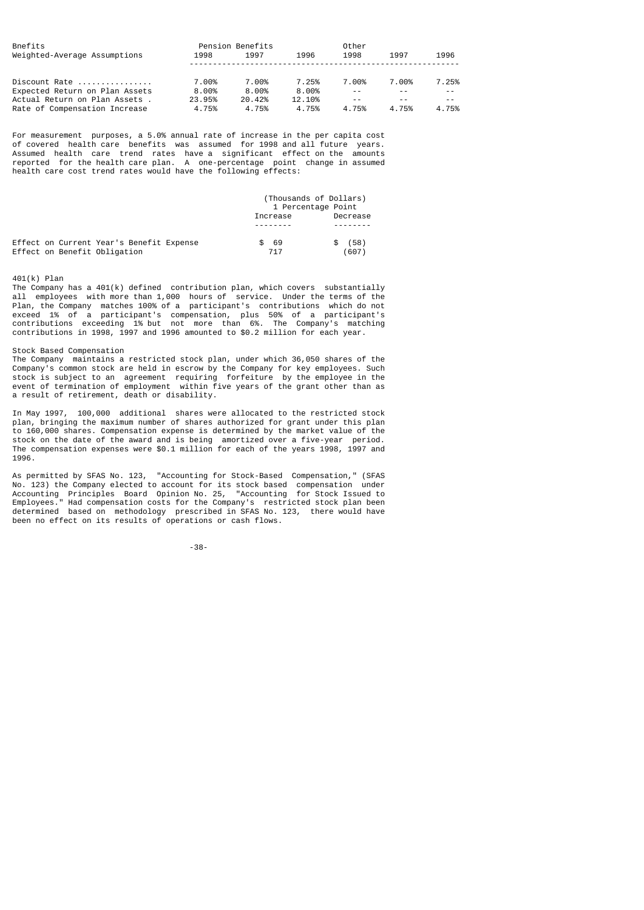| Bnefits<br>Weighted-Average Assumptions | Pension Benefits<br>1998 | 1997   | 1996   | Other<br>1998 | 1997  | 1996  |
|-----------------------------------------|--------------------------|--------|--------|---------------|-------|-------|
| Discount Rate $\ldots$ ,,,,,,,,,,,,,,   | 7.00%                    | 7.00%  | 7.25%  | 7.00%         | 7.00% | 7.25% |
| Expected Return on Plan Assets          | 8.00%                    | 8.00%  | 8.00%  | - -           |       |       |
| Actual Return on Plan Assets.           | 23.95%                   | 20.42% | 12.10% | $ -$          |       | $ -$  |
| Rate of Compensation Increase           | 4.75%                    | 4.75%  | 4.75%  | 4.75%         | 4.75% | 4.75% |

For measurement purposes, a 5.0% annual rate of increase in the per capita cost of covered health care benefits was assumed for 1998 and all future years. Assumed health care trend rates have a significant effect on the amounts reported for the health care plan. A one-percentage point change in assumed health care cost trend rates would have the following effects:

|                                                                          |             | (Thousands of Dollars)<br>1 Percentage Point |
|--------------------------------------------------------------------------|-------------|----------------------------------------------|
|                                                                          | Increase    | Decrease                                     |
|                                                                          |             |                                              |
| Effect on Current Year's Benefit Expense<br>Effect on Benefit Obligation | - 69<br>717 | (58)<br>(607)                                |

# 401(k) Plan

The Company has a  $401(k)$  defined contribution plan, which covers substantially all employees with more than 1,000 hours of service. Under the terms of the Plan, the Company matches 100% of a participant's contributions which do not exceed 1% of a participant's compensation, plus 50% of a participant's contributions exceeding 1% but not more than 6%. The Company's matching contributions in 1998, 1997 and 1996 amounted to \$0.2 million for each year.

#### Stock Based Compensation

The Company maintains a restricted stock plan, under which 36,050 shares of the Company's common stock are held in escrow by the Company for key employees. Such stock is subject to an agreement requiring forfeiture by the employee in the event of termination of employment within five years of the grant other than as a result of retirement, death or disability.

In May 1997, 100,000 additional shares were allocated to the restricted stock plan, bringing the maximum number of shares authorized for grant under this plan<br>to 160.000 shares. Compensation expense is determined by the market value of the to 160,000 shares. Compensation expense is determined by the market value of stock on the date of the award and is being amortized over a five-year period. The compensation expenses were \$0.1 million for each of the years 1998, 1997 and 1996.

As permitted by SFAS No. 123, "Accounting for Stock-Based Compensation," (SFAS No. 123) the Company elected to account for its stock based compensation under Accounting Principles Board Opinion No. 25, "Accounting for Stock Issued to Employees." Had compensation costs for the Company's restricted stock plan been determined based on methodology prescribed in SFAS No. 123, there would have been no effect on its results of operations or cash flows.

-38-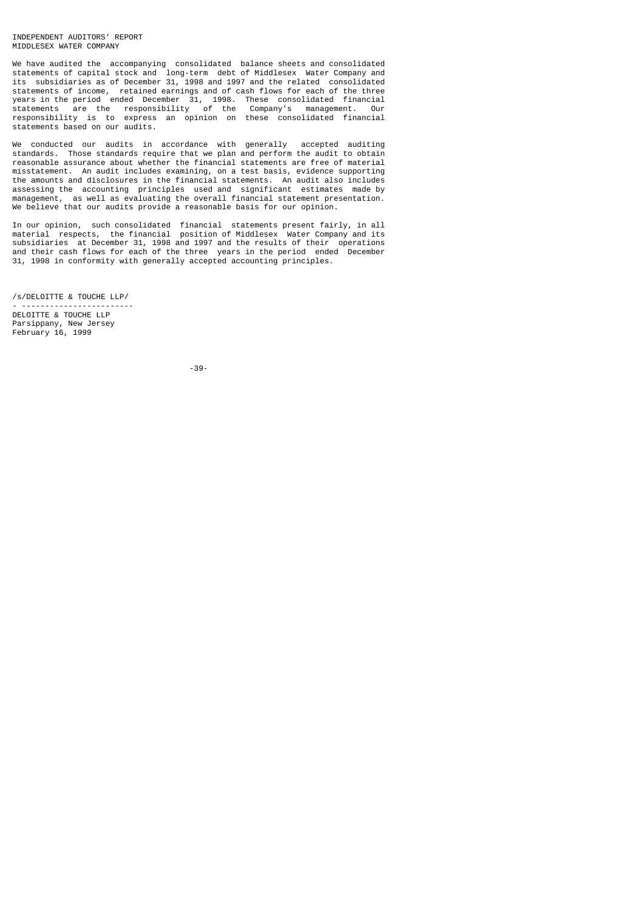### INDEPENDENT AUDITORS' REPORT MIDDLESEX WATER COMPANY

We have audited the accompanying consolidated balance sheets and consolidated statements of capital stock and long-term debt of Middlesex Water Company and its subsidiaries as of December 31, 1998 and 1997 and the related consolidated statements of income, retained earnings and of cash flows for each of the three years in the period ended December 31, 1998. These consolidated financial statements are the responsibility of the Company's management. Our responsibility is to express an opinion on these consolidated financial statements based on our audits.

We conducted our audits in accordance with generally accepted auditing standards. Those standards require that we plan and perform the audit to obtain reasonable assurance about whether the financial statements are free of material misstatement. An audit includes examining, on a test basis, evidence supporting the amounts and disclosures in the financial statements. An audit also includes assessing the accounting principles used and significant estimates made by management, as well as evaluating the overall financial statement presentation. We believe that our audits provide a reasonable basis for our opinion.

In our opinion, such consolidated financial statements present fairly, in all material respects, the financial position of Middlesex Water Company and its subsidiaries at December 31, 1998 and 1997 and the results of their operations and their cash flows for each of the three years in the period ended December 31, 1998 in conformity with generally accepted accounting principles.

/s/DELOITTE & TOUCHE LLP/

- ------------------------ DELOITTE & TOUCHE LLP Parsippany, New Jersey February 16, 1999

-39-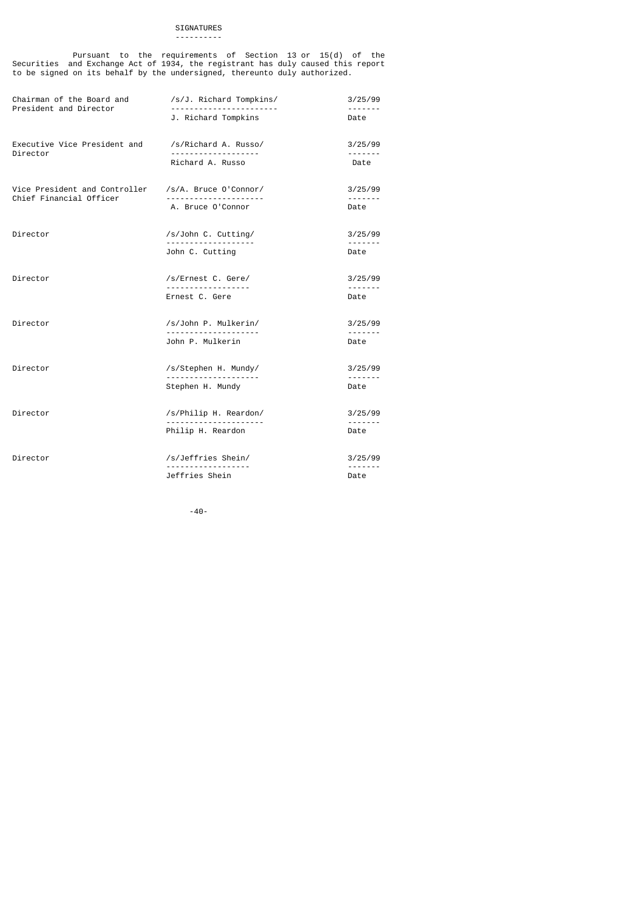#### SIGNATURES ----------

 Pursuant to the requirements of Section 13 or 15(d) of the Securities and Exchange Act of 1934, the registrant has duly caused this report to be signed on its behalf by the undersigned, thereunto duly authorized.

| Chairman of the Board and<br>President and Director      | /s/J. Richard Tompkins/                    | 3/25/99             |
|----------------------------------------------------------|--------------------------------------------|---------------------|
|                                                          | J. Richard Tompkins                        | Date                |
| Executive Vice President and<br>Director                 | /s/Richard A. Russo/                       | 3/25/99<br><u>.</u> |
|                                                          | Richard A. Russo                           | Date                |
| Vice President and Controller<br>Chief Financial Officer | /s/A. Bruce 0'Connor/                      | 3/25/99<br><u>.</u> |
|                                                          | A. Bruce O'Connor                          | Date                |
| Director                                                 | /s/John C. Cutting/<br>------------------- | 3/25/99<br>.        |
|                                                          | John C. Cutting                            | Date                |
| Director                                                 | /s/Ernest C. Gere/                         | 3/25/99<br><u>.</u> |
|                                                          | Ernest C. Gere                             | Date                |
| Director                                                 | /s/John P. Mulkerin/                       | 3/25/99<br>.        |
|                                                          | John P. Mulkerin                           | Date                |
| Director                                                 | /s/Stephen H. Mundy/                       | 3/25/99<br>.        |
|                                                          | Stephen H. Mundy                           | Date                |
| Director                                                 | /s/Philip H. Reardon/                      | 3/25/99<br><u>.</u> |
|                                                          | Philip H. Reardon                          | Date                |
| Director                                                 | /s/Jeffries Shein/<br><u>.</u>             | 3/25/99<br><u>.</u> |
|                                                          | Jeffries Shein                             | Date                |

-40-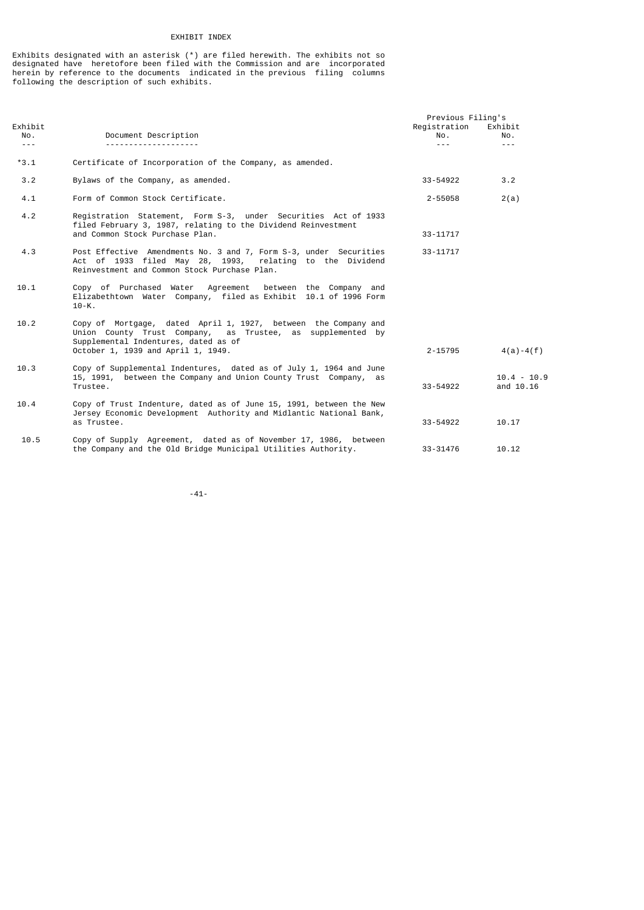# EXHIBIT INDEX

Exhibits designated with an asterisk (\*) are filed herewith. The exhibits not so designated have heretofore been filed with the Commission and are incorporated herein by reference to the documents indicated in the previous filing columns following the description of such exhibits.

|                                                                                                                                                                                                                                                                                                                                                                                              |                                                                                                                                                                                                            | Previous Filing's                     |                                                                                                                                                                                                                                                                                                                                                                                              |
|----------------------------------------------------------------------------------------------------------------------------------------------------------------------------------------------------------------------------------------------------------------------------------------------------------------------------------------------------------------------------------------------|------------------------------------------------------------------------------------------------------------------------------------------------------------------------------------------------------------|---------------------------------------|----------------------------------------------------------------------------------------------------------------------------------------------------------------------------------------------------------------------------------------------------------------------------------------------------------------------------------------------------------------------------------------------|
| Exhibit<br>NO.                                                                                                                                                                                                                                                                                                                                                                               | Document Description                                                                                                                                                                                       | Registration<br>NO.                   | Exhibit<br>No.                                                                                                                                                                                                                                                                                                                                                                               |
| $\frac{1}{2} \frac{1}{2} \frac{1}{2} \frac{1}{2} \frac{1}{2} \frac{1}{2} \frac{1}{2} \frac{1}{2} \frac{1}{2} \frac{1}{2} \frac{1}{2} \frac{1}{2} \frac{1}{2} \frac{1}{2} \frac{1}{2} \frac{1}{2} \frac{1}{2} \frac{1}{2} \frac{1}{2} \frac{1}{2} \frac{1}{2} \frac{1}{2} \frac{1}{2} \frac{1}{2} \frac{1}{2} \frac{1}{2} \frac{1}{2} \frac{1}{2} \frac{1}{2} \frac{1}{2} \frac{1}{2} \frac{$ |                                                                                                                                                                                                            | $\omega_{\rm c}$ and $\omega_{\rm c}$ | $\frac{1}{2} \frac{1}{2} \frac{1}{2} \frac{1}{2} \frac{1}{2} \frac{1}{2} \frac{1}{2} \frac{1}{2} \frac{1}{2} \frac{1}{2} \frac{1}{2} \frac{1}{2} \frac{1}{2} \frac{1}{2} \frac{1}{2} \frac{1}{2} \frac{1}{2} \frac{1}{2} \frac{1}{2} \frac{1}{2} \frac{1}{2} \frac{1}{2} \frac{1}{2} \frac{1}{2} \frac{1}{2} \frac{1}{2} \frac{1}{2} \frac{1}{2} \frac{1}{2} \frac{1}{2} \frac{1}{2} \frac{$ |
| $*3.1$                                                                                                                                                                                                                                                                                                                                                                                       | Certificate of Incorporation of the Company, as amended.                                                                                                                                                   |                                       |                                                                                                                                                                                                                                                                                                                                                                                              |
| 3.2                                                                                                                                                                                                                                                                                                                                                                                          | Bylaws of the Company, as amended.                                                                                                                                                                         | 33-54922                              | 3.2                                                                                                                                                                                                                                                                                                                                                                                          |
| 4.1                                                                                                                                                                                                                                                                                                                                                                                          | Form of Common Stock Certificate.                                                                                                                                                                          | 2-55058                               | 2(a)                                                                                                                                                                                                                                                                                                                                                                                         |
| 4.2                                                                                                                                                                                                                                                                                                                                                                                          | Registration Statement, Form S-3, under Securities Act of 1933<br>filed February 3, 1987, relating to the Dividend Reinvestment<br>and Common Stock Purchase Plan.                                         | $33 - 11717$                          |                                                                                                                                                                                                                                                                                                                                                                                              |
| 4.3                                                                                                                                                                                                                                                                                                                                                                                          | Post Effective Amendments No. 3 and 7, Form S-3, under Securities<br>Act of 1933 filed May 28, 1993, relating to the Dividend<br>Reinvestment and Common Stock Purchase Plan.                              | 33-11717                              |                                                                                                                                                                                                                                                                                                                                                                                              |
| 10.1                                                                                                                                                                                                                                                                                                                                                                                         | Copy of Purchased Water Agreement between the Company and<br>Elizabethtown Water Company, filed as Exhibit 10.1 of 1996 Form<br>$10-K.$                                                                    |                                       |                                                                                                                                                                                                                                                                                                                                                                                              |
| 10.2                                                                                                                                                                                                                                                                                                                                                                                         | Copy of Mortgage, dated April 1, 1927, between the Company and<br>Union County Trust Company, as Trustee, as supplemented by<br>Supplemental Indentures, dated as of<br>October 1, 1939 and April 1, 1949. | 2-15795                               | $4(a) - 4(f)$                                                                                                                                                                                                                                                                                                                                                                                |
| 10.3                                                                                                                                                                                                                                                                                                                                                                                         | Copy of Supplemental Indentures, dated as of July 1, 1964 and June<br>15, 1991, between the Company and Union County Trust Company, as<br>Trustee.                                                         | 33-54922                              | $10.4 - 10.9$<br>and 10.16                                                                                                                                                                                                                                                                                                                                                                   |
| 10.4                                                                                                                                                                                                                                                                                                                                                                                         | Copy of Trust Indenture, dated as of June 15, 1991, between the New<br>Jersey Economic Development Authority and Midlantic National Bank,<br>as Trustee.                                                   | 33-54922                              | 10.17                                                                                                                                                                                                                                                                                                                                                                                        |
| 10.5                                                                                                                                                                                                                                                                                                                                                                                         | Copy of Supply Agreement, dated as of November 17, 1986, between<br>the Company and the Old Bridge Municipal Utilities Authority.                                                                          | 33-31476                              | 10.12                                                                                                                                                                                                                                                                                                                                                                                        |

-41-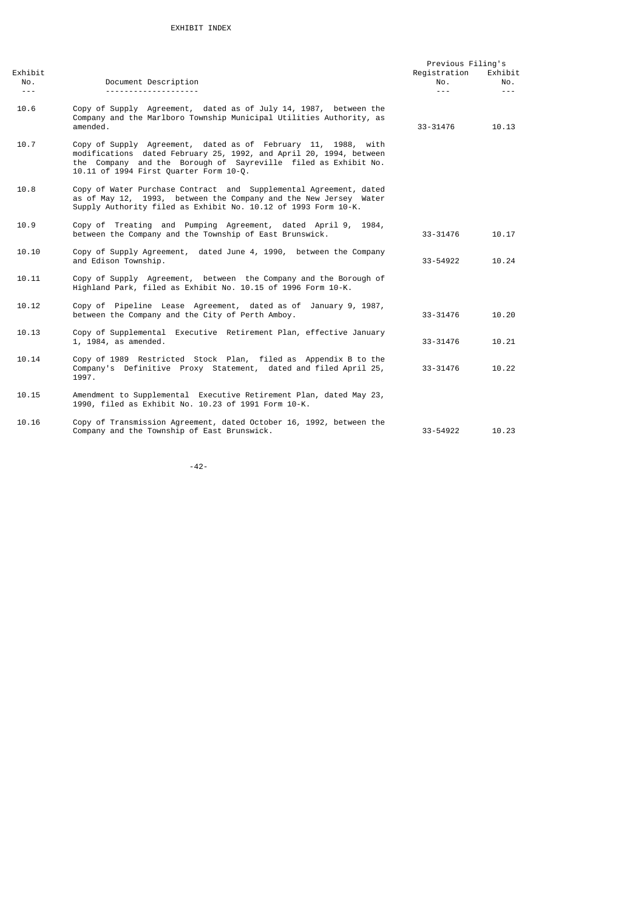|                           |                                                                                                                                                                                                                                                 | Previous Filing's              |                           |
|---------------------------|-------------------------------------------------------------------------------------------------------------------------------------------------------------------------------------------------------------------------------------------------|--------------------------------|---------------------------|
| Exhibit<br>NO.<br>$- - -$ | Document Description                                                                                                                                                                                                                            | Registration<br>NO.<br>$- - -$ | Exhibit<br>NO.<br>$- - -$ |
| 10.6                      | Copy of Supply Agreement, dated as of July 14, 1987, between the<br>Company and the Marlboro Township Municipal Utilities Authority, as<br>amended.                                                                                             | 33-31476                       | 10.13                     |
| 10.7                      | Copy of Supply Agreement, dated as of February 11, 1988, with<br>modifications dated February 25, 1992, and April 20, 1994, between<br>the Company and the Borough of Sayreville filed as Exhibit No.<br>10.11 of 1994 First Quarter Form 10-Q. |                                |                           |
| 10.8                      | Copy of Water Purchase Contract and Supplemental Agreement, dated<br>as of May 12, 1993, between the Company and the New Jersey Water<br>Supply Authority filed as Exhibit No. 10.12 of 1993 Form 10-K.                                         |                                |                           |
| 10.9                      | Copy of Treating and Pumping Agreement, dated April 9, 1984,<br>between the Company and the Township of East Brunswick.                                                                                                                         | 33-31476                       | 10.17                     |
| 10.10                     | Copy of Supply Agreement, dated June 4, 1990, between the Company<br>and Edison Township.                                                                                                                                                       | 33-54922                       | 10.24                     |
| 10.11                     | Copy of Supply Agreement, between the Company and the Borough of<br>Highland Park, filed as Exhibit No. 10.15 of 1996 Form 10-K.                                                                                                                |                                |                           |
| 10.12                     | Copy of Pipeline Lease Agreement, dated as of January 9, 1987,<br>between the Company and the City of Perth Amboy.                                                                                                                              | 33-31476                       | 10.20                     |
| 10.13                     | Copy of Supplemental Executive Retirement Plan, effective January<br>1, 1984, as amended.                                                                                                                                                       | 33-31476                       | 10.21                     |
| 10.14                     | Copy of 1989 Restricted Stock Plan, filed as Appendix B to the<br>Company's Definitive Proxy Statement, dated and filed April 25,<br>1997.                                                                                                      | 33-31476                       | 10.22                     |
| 10.15                     | Amendment to Supplemental Executive Retirement Plan, dated May 23,<br>1990, filed as Exhibit No. 10.23 of 1991 Form 10-K.                                                                                                                       |                                |                           |
| 10.16                     | Copy of Transmission Agreement, dated October 16, 1992, between the<br>Company and the Township of East Brunswick.                                                                                                                              | 33-54922                       | 10.23                     |

-42-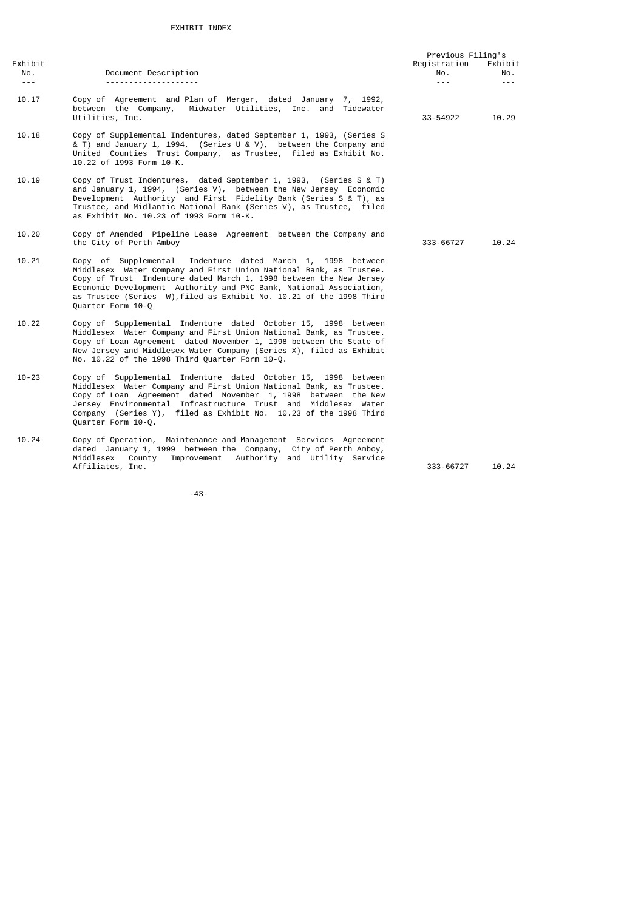|                             |                                                                                                                                                                                                                                                                                                                                                                             | Previous Filing's |                             |
|-----------------------------|-----------------------------------------------------------------------------------------------------------------------------------------------------------------------------------------------------------------------------------------------------------------------------------------------------------------------------------------------------------------------------|-------------------|-----------------------------|
| Exhibit                     |                                                                                                                                                                                                                                                                                                                                                                             | Registration      | Exhibit                     |
| No.<br>$\sim$ $\sim$ $\sim$ | Document Description                                                                                                                                                                                                                                                                                                                                                        | NO.<br>$- - -$    | No.<br>$\omega$ in $\omega$ |
| 10.17                       | Copy of Agreement and Plan of Merger, dated January 7, 1992,<br>between the Company, Midwater Utilities, Inc. and Tidewater<br>Utilities, Inc.                                                                                                                                                                                                                              | 33-54922          | 10.29                       |
| 10.18                       | Copy of Supplemental Indentures, dated September 1, 1993, (Series S<br>& T) and January 1, 1994, (Series U & V), between the Company and<br>United Counties Trust Company, as Trustee, filed as Exhibit No.<br>10.22 of 1993 Form 10-K.                                                                                                                                     |                   |                             |
| 10.19                       | Copy of Trust Indentures, dated September 1, 1993, (Series S & T)<br>and January 1, 1994, (Series V), between the New Jersey Economic<br>Development Authority and First Fidelity Bank (Series S & T), as<br>Trustee, and Midlantic National Bank (Series V), as Trustee, filed<br>as Exhibit No. 10.23 of 1993 Form 10-K.                                                  |                   |                             |
| 10.20                       | Copy of Amended Pipeline Lease Agreement between the Company and<br>the City of Perth Amboy                                                                                                                                                                                                                                                                                 | 333-66727         | 10.24                       |
| 10.21                       | Copy of Supplemental<br>Indenture dated March 1, 1998 between<br>Middlesex Water Company and First Union National Bank, as Trustee.<br>Copy of Trust Indenture dated March 1, 1998 between the New Jersey<br>Economic Development Authority and PNC Bank, National Association,<br>as Trustee (Series W), filed as Exhibit No. 10.21 of the 1998 Third<br>Quarter Form 10-Q |                   |                             |
| 10.22                       | Copy of Supplemental Indenture dated October 15, 1998 between<br>Middlesex Water Company and First Union National Bank, as Trustee.<br>Copy of Loan Agreement dated November 1, 1998 between the State of<br>New Jersey and Middlesex Water Company (Series X), filed as Exhibit<br>No. 10.22 of the 1998 Third Quarter Form 10-Q.                                          |                   |                             |
| $10 - 23$                   | Copy of Supplemental Indenture dated October 15, 1998 between<br>Middlesex Water Company and First Union National Bank, as Trustee.<br>Copy of Loan Agreement dated November 1, 1998 between the New<br>Jersey Environmental Infrastructure Trust and Middlesex Water<br>Company (Series Y), filed as Exhibit No. 10.23 of the 1998 Third<br>Quarter Form 10-Q.             |                   |                             |
| 10.24                       | Copy of Operation, Maintenance and Management Services Agreement<br>dated January 1, 1999 between the Company, City of Perth Amboy,<br>County Improvement Authority and Utility Service<br>Middlesex<br>Affiliates, Inc.                                                                                                                                                    | 333-66727         | 10.24                       |

-43-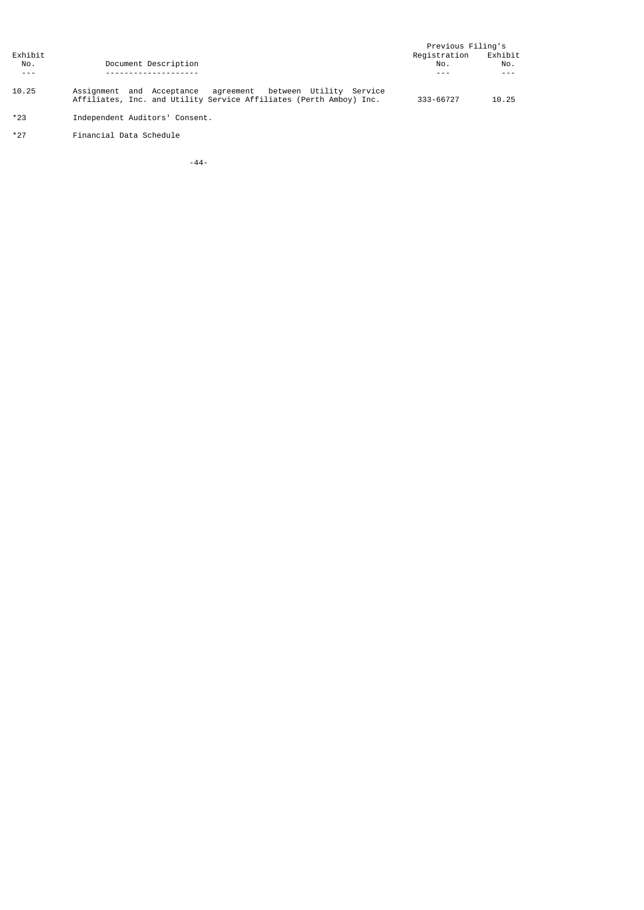|         |                                                                                                                                   | Previous Filing's |         |
|---------|-----------------------------------------------------------------------------------------------------------------------------------|-------------------|---------|
| Exhibit |                                                                                                                                   | Registration      | Exhibit |
| No.     | Document Description                                                                                                              | No.               | No.     |
| $- - -$ |                                                                                                                                   |                   |         |
| 10.25   | Assignment and Acceptance agreement between Utility Service<br>Affiliates, Inc. and Utility Service Affiliates (Perth Amboy) Inc. | 333-66727         | 10.25   |
| $*23$   | Independent Auditors' Consent.                                                                                                    |                   |         |

- 
- \*27 Financial Data Schedule

-44-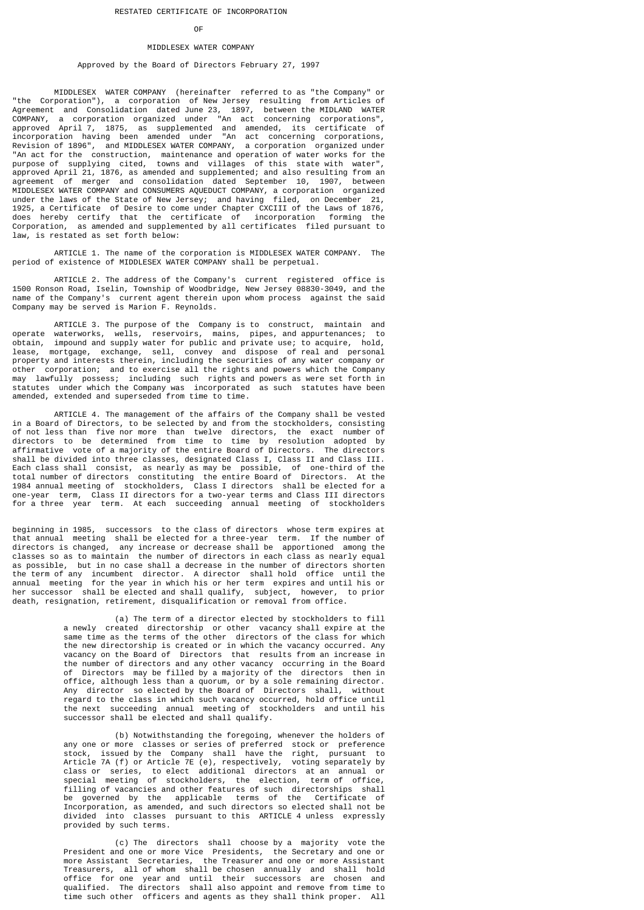#### **OF** the contract of the contract of the contract of the contract of the contract of the contract of the contract of the contract of the contract of the contract of the contract of the contract of the contract of the contr

# MIDDLESEX WATER COMPANY

# Approved by the Board of Directors February 27, 1997

 MIDDLESEX WATER COMPANY (hereinafter referred to as "the Company" or "the Corporation"), a corporation of New Jersey resulting from Articles of Agreement and Consolidation dated June 23, 1897, between the MIDLAND WATER COMPANY, a corporation organized under "An act concerning corporations", approved April 7, 1875, as supplemented and amended, its certificate of incorporation having been amended under "An act concerning corporations, Revision of 1896", and MIDDLESEX WATER COMPANY, a corporation organized under "An act for the construction, maintenance and operation of water works for the purpose of supplying cited, towns and villages of this state with water", approved April 21, 1876, as amended and supplemented; and also resulting from an agreement of merger and consolidation dated September 10, 1907, between MIDDLESEX WATER COMPANY and CONSUMERS AQUEDUCT COMPANY, a corporation organized under the laws of the State of New Jersey; and having filed, on December 21, 1925, a Certificate of Desire to come under Chapter CXCIII of the Laws of 1876, does hereby certify that the certificate of incorporation forming the Corporation, as amended and supplemented by all certificates filed pursuant to law, is restated as set forth below:

 ARTICLE 1. The name of the corporation is MIDDLESEX WATER COMPANY. The period of existence of MIDDLESEX WATER COMPANY shall be perpetual.

 ARTICLE 2. The address of the Company's current registered office is 1500 Ronson Road, Iselin, Township of Woodbridge, New Jersey 08830-3049, and the name of the Company's current agent therein upon whom process against the said Company may be served is Marion F. Reynolds.

 ARTICLE 3. The purpose of the Company is to construct, maintain and operate waterworks, wells, reservoirs, mains, pipes, and appurtenances; to obtain, impound and supply water for public and private use; to acquire, hold, lease, mortgage, exchange, sell, convey and dispose of real and personal property and interests therein, including the securities of any water company or other corporation; and to exercise all the rights and powers which the Company may lawfully possess; including such rights and powers as were set forth in statutes under which the Company was incorporated as such statutes have been amended, extended and superseded from time to time.

 ARTICLE 4. The management of the affairs of the Company shall be vested in a Board of Directors, to be selected by and from the stockholders, consisting of not less than five nor more than twelve directors, the exact number of directors to be determined from time to time by resolution adopted by affirmative vote of a majority of the entire Board of Directors. The directors shall be divided into three classes, designated Class I, Class II and Class III. Each class shall consist, as nearly as may be possible, of one-third of the total number of directors constituting the entire Board of Directors. At the 1984 annual meeting of stockholders, Class I directors shall be elected for a one-year term, Class II directors for a two-year terms and Class III directors for a three year term. At each succeeding annual meeting of stockholders

beginning in 1985, successors to the class of directors whose term expires at that annual meeting shall be elected for a three-year term. If the number of directors is changed, any increase or decrease shall be apportioned among the classes so as to maintain the number of directors in each class as nearly equal as possible, but in no case shall a decrease in the number of directors shorten the term of any incumbent director. A director shall hold office until the annual meeting for the year in which his or her term expires and until his or her successor shall be elected and shall qualify, subject, however, to prior death, resignation, retirement, disqualification or removal from office.

 (a) The term of a director elected by stockholders to fill a newly created directorship or other vacancy shall expire at the same time as the terms of the other directors of the class for which the new directorship is created or in which the vacancy occurred. Any vacancy on the Board of Directors that results from an increase in the number of directors and any other vacancy occurring in the Board of Directors may be filled by a majority of the directors then in office, although less than a quorum, or by a sole remaining director. Any director so elected by the Board of Directors shall, without regard to the class in which such vacancy occurred, hold office until the next succeeding annual meeting of stockholders and until his successor shall be elected and shall qualify.

 (b) Notwithstanding the foregoing, whenever the holders of any one or more classes or series of preferred stock or preference stock, issued by the Company shall have the right, pursuant to Article 7A (f) or Article 7E (e), respectively, voting separately by class or series, to elect additional directors at an annual or special meeting of stockholders, the election, term of office, filling of vacancies and other features of such directorships shall be governed by the applicable terms of the Certificate of Incorporation, as amended, and such directors so elected shall not be divided into classes pursuant to this ARTICLE 4 unless expressly provided by such terms.

 (c) The directors shall choose by a majority vote the President and one or more Vice Presidents, the Secretary and one or more Assistant Secretaries, the Treasurer and one or more Assistant Treasurers, all of whom shall be chosen annually and shall hold office for one year and until their successors are chosen and qualified. The directors shall also appoint and remove from time to time such other officers and agents as they shall think proper. All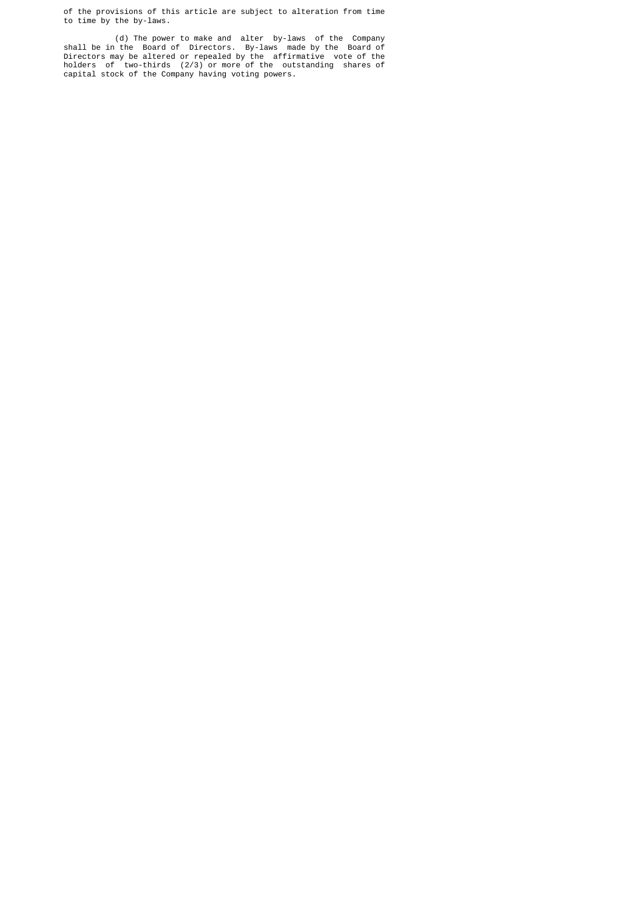of the provisions of this article are subject to alteration from time to time by the by-laws.

 (d) The power to make and alter by-laws of the Company shall be in the Board of Directors. By-laws made by the Board of Directors may be altered or repealed by the affirmative vote of the holders of two-thirds (2/3) or more of the outstanding shares of capital stock of the Company having voting powers.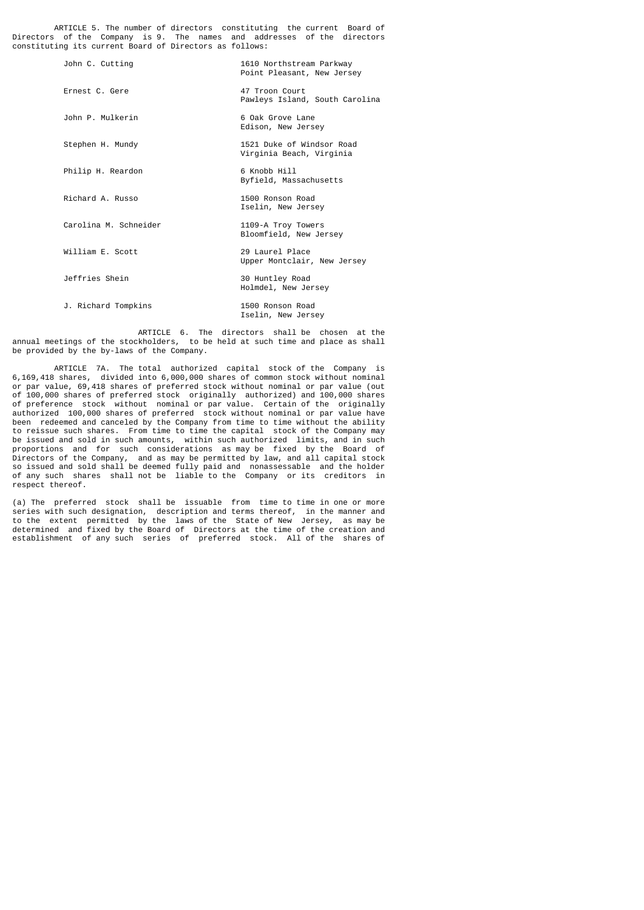ARTICLE 5. The number of directors constituting the current Board of Directors of the Company is 9. The names and addresses of the directors constituting its current Board of Directors as follows:

| John C. Cutting       | 1610 Northstream Parkway<br>Point Pleasant, New Jersey |
|-----------------------|--------------------------------------------------------|
| Ernest C. Gere        | 47 Troon Court<br>Pawleys Island, South Carolina       |
| John P. Mulkerin      | 6 Oak Grove Lane<br>Edison, New Jersey                 |
| Stephen H. Mundy      | 1521 Duke of Windsor Road<br>Virginia Beach, Virginia  |
| Philip H. Reardon     | 6 Knobb Hill<br>Byfield, Massachusetts                 |
| Richard A. Russo      | 1500 Ronson Road<br>Iselin, New Jersey                 |
| Carolina M. Schneider | 1109-A Troy Towers<br>Bloomfield, New Jersey           |
| William E. Scott      | 29 Laurel Place<br>Upper Montclair, New Jersey         |
| Jeffries Shein        | 30 Huntley Road<br>Holmdel, New Jersey                 |
| J. Richard Tompkins   | 1500 Ronson Road<br>Iselin, New Jersey                 |

 ARTICLE 6. The directors shall be chosen at the annual meetings of the stockholders, to be held at such time and place as shall be provided by the by-laws of the Company.

ARTICLE 7A. The total authorized capital stock of the Company is 6.169.418 shares, divided into 6,000,000 shares of common stock without nominal divided into 6,000,000 shares of common stock without nominal or par value, 69,418 shares of preferred stock without nominal or par value (out of 100,000 shares of preferred stock originally authorized) and 100,000 shares of preference stock without nominal or par value. Certain of the originally authorized 100,000 shares of preferred stock without nominal or par value have been redeemed and canceled by the Company from time to time without the ability to reissue such shares. From time to time the capital stock of the Company may be issued and sold in such amounts, within such authorized limits, and in such proportions and for such considerations as may be fixed by the Board of Directors of the Company, and as may be permitted by law, and all capital stock so issued and sold shall be deemed fully paid and nonassessable and the holder of any such shares shall not be liable to the Company or its creditors in respect thereof.

(a) The preferred stock shall be issuable from time to time in one or more series with such designation, description and terms thereof, in the manner and to the extent permitted by the laws of the State of New Jersey, as may be determined and fixed by the Board of Directors at the time of the creation and establishment of any such series of preferred stock. All of the shares of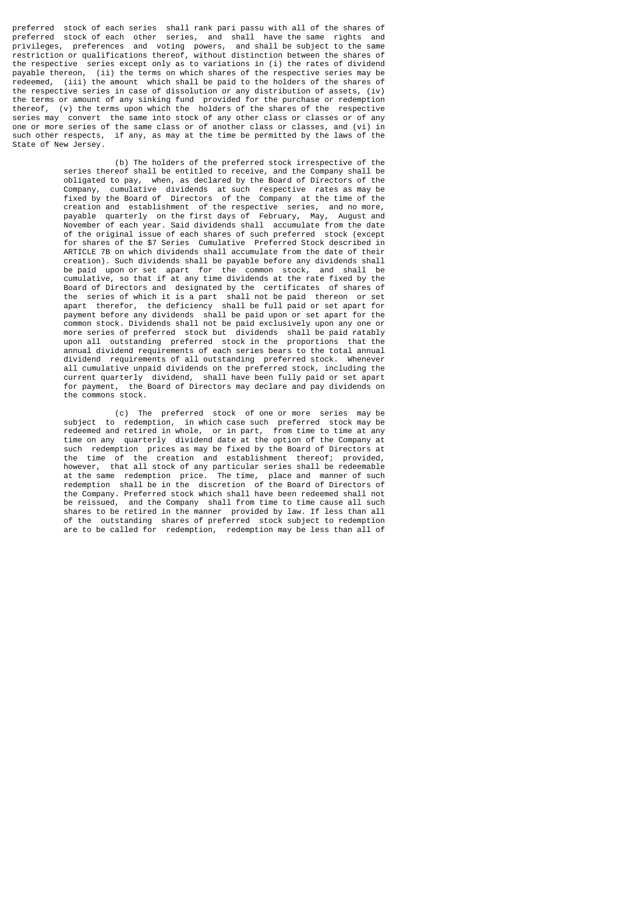preferred stock of each series shall rank pari passu with all of the shares of preferred stock of each other series, and shall have the same rights and privileges, preferences and voting powers, and shall be subject to the same restriction or qualifications thereof, without distinction between the shares of the respective series except only as to variations in (i) the rates of dividend navable thereon. (ii) the terms on which shares of the respective series may be (ii) the terms on which shares of the respective series may be redeemed, (iii) the amount which shall be paid to the holders of the shares of the respective series in case of dissolution or any distribution of assets, (iv) the terms or amount of any sinking fund provided for the purchase or redemption thereof, (v) the terms upon which the holders of the shares of the respective series may convert the same into stock of any other class or classes or of any one or more series of the same class or of another class or classes, and (vi) in such other respects, if any, as may at the time be permitted by the laws of the State of New Jersey.

 (b) The holders of the preferred stock irrespective of the series thereof shall be entitled to receive, and the Company shall be obligated to pay, when, as declared by the Board of Directors of the Company, cumulative dividends at such respective rates as may be fixed by the Board of Directors of the Company at the time of the creation and establishment of the respective series, and no more, payable quarterly on the first days of February, May, August and November of each year. Said dividends shall accumulate from the date of the original issue of each shares of such preferred stock (except for shares of the \$7 Series Cumulative Preferred Stock described in ARTICLE 7B on which dividends shall accumulate from the date of their creation). Such dividends shall be payable before any dividends shall be paid upon or set apart for the common stock, and shall be cumulative, so that if at any time dividends at the rate fixed by the Board of Directors and designated by the certificates of shares of the series of which it is a part shall not be paid thereon or set apart therefor, the deficiency shall be full paid or set apart for payment before any dividends shall be paid upon or set apart for the common stock. Dividends shall not be paid exclusively upon any one or more series of preferred stock but dividends shall be paid ratably upon all outstanding preferred stock in the proportions that the annual dividend requirements of each series bears to the total annual dividend requirements of all outstanding preferred stock. Whenever all cumulative unpaid dividends on the preferred stock, including the current quarterly dividend, shall have been fully paid or set apart for payment, the Board of Directors may declare and pay dividends on the commons stock.

 (c) The preferred stock of one or more series may be subject to redemption, in which case such preferred stock may be redeemed and retired in whole, or in part, from time to time at any time on any quarterly dividend date at the option of the Company at such redemption prices as may be fixed by the Board of Directors at the time of the creation and establishment thereof; provided, however, that all stock of any particular series shall be redeemable at the same redemption price. The time, place and manner of such redemption shall be in the discretion of the Board of Directors of the Company. Preferred stock which shall have been redeemed shall not be reissued, and the Company shall from time to time cause all such shares to be retired in the manner provided by law. If less than all of the outstanding shares of preferred stock subject to redemption are to be called for redemption, redemption may be less than all of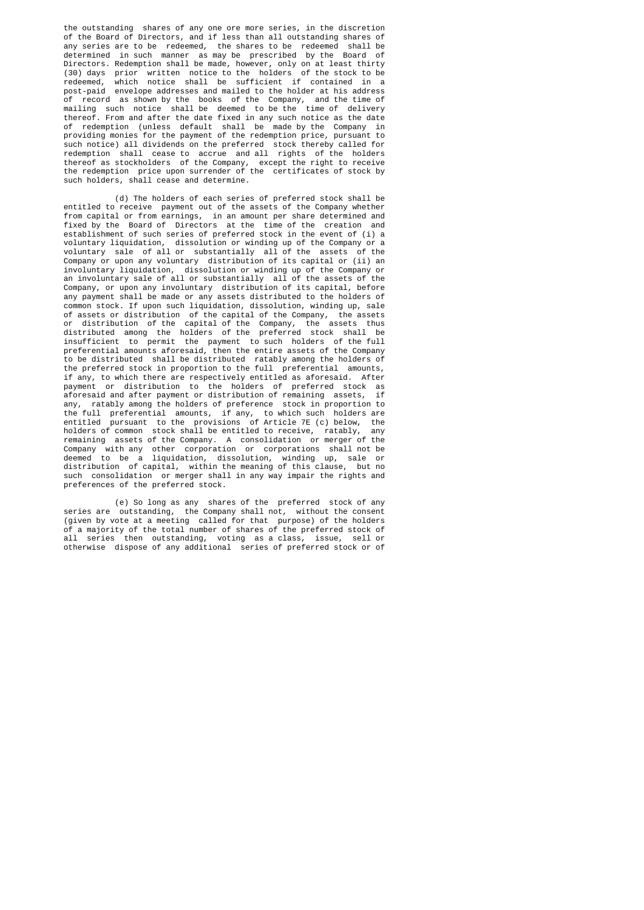the outstanding shares of any one ore more series, in the discretion of the Board of Directors, and if less than all outstanding shares of any series are to be redeemed, the shares to be redeemed shall be determined in such manner as may be prescribed by the Board of Directors. Redemption shall be made, however, only on at least thirty (30) days prior written notice to the holders of the stock to be redeemed, which notice shall be sufficient if contained in a post-paid envelope addresses and mailed to the holder at his address of record as shown by the books of the Company, and the time of mailing such notice shall be deemed to be the time of delivery thereof. From and after the date fixed in any such notice as the date of redemption (unless default shall be made by the Company in providing monies for the payment of the redemption price, pursuant to such notice) all dividends on the preferred stock thereby called for redemption shall cease to accrue and all rights of the holders thereof as stockholders of the Company, except the right to receive the redemption price upon surrender of the certificates of stock by such holders, shall cease and determine.

 (d) The holders of each series of preferred stock shall be entitled to receive payment out of the assets of the Company whether from capital or from earnings, in an amount per share determined and fixed by the Board of Directors at the time of the creation and establishment of such series of preferred stock in the event of (i) a voluntary liquidation, dissolution or winding up of the Company or a voluntary sale of all or substantially all of the assets of the Company or upon any voluntary distribution of its capital or (ii) an involuntary liquidation, dissolution or winding up of the Company or an involuntary sale of all or substantially all of the assets of the Company, or upon any involuntary distribution of its capital, before any payment shall be made or any assets distributed to the holders of common stock. If upon such liquidation, dissolution, winding up, sale of assets or distribution of the capital of the Company, the assets or distribution of the capital of the Company, the assets thus distributed among the holders of the preferred stock shall be insufficient to permit the payment to such holders of the full preferential amounts aforesaid, then the entire assets of the Company to be distributed shall be distributed ratably among the holders of the preferred stock in proportion to the full preferential amounts, if any, to which there are respectively entitled as aforesaid. After payment or distribution to the holders of preferred stock as aforesaid and after payment or distribution of remaining assets, if any, ratably among the holders of preference stock in proportion to the full preferential amounts, if any, to which such holders are entitled pursuant to the provisions of Article 7E (c) below, the holders of common stock shall be entitled to receive, ratably, any remaining assets of the Company. A consolidation or merger of the Company with any other corporation or corporations shall not be deemed to be a liquidation, dissolution, winding up, sale or distribution of capital, within the meaning of this clause, but no such consolidation or merger shall in any way impair the rights and preferences of the preferred stock.

 (e) So long as any shares of the preferred stock of any series are outstanding, the Company shall not, without the consent (given by vote at a meeting called for that purpose) of the holders of a majority of the total number of shares of the preferred stock of all series then outstanding, voting as a class, issue, sell or otherwise dispose of any additional series of preferred stock or of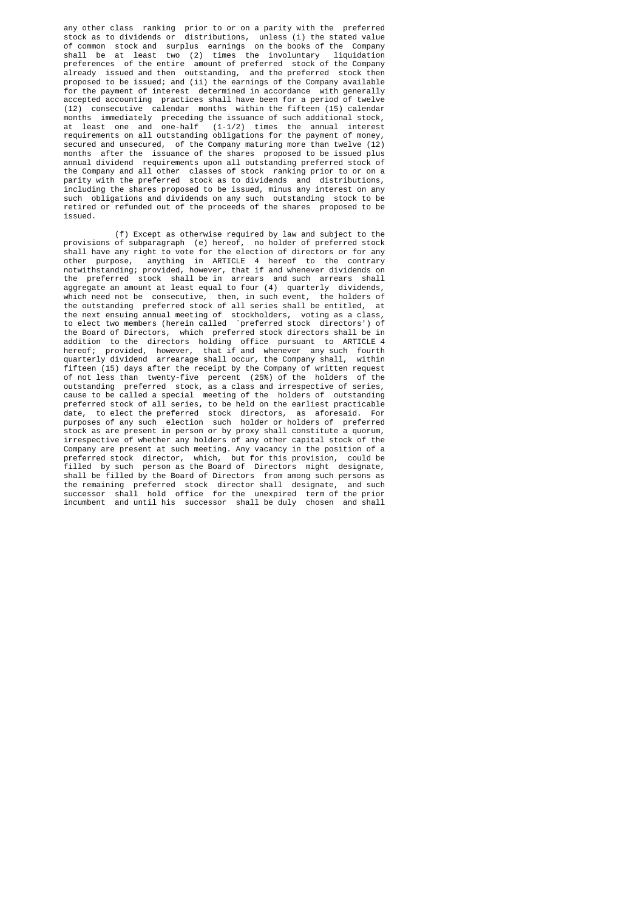any other class ranking prior to or on a parity with the preferred stock as to dividends or distributions, unless (i) the stated value of common stock and surplus earnings on the books of the Company shall be at least two (2) times the involuntary liquidation preferences of the entire amount of preferred stock of the Company already issued and then outstanding, and the preferred stock then proposed to be issued; and (ii) the earnings of the Company available for the payment of interest determined in accordance with generally accepted accounting practices shall have been for a period of twelve (12) consecutive calendar months within the fifteen (15) calendar months immediately preceding the issuance of such additional stock, at least one and one-half (1-1/2) times the annual interest requirements on all outstanding obligations for the payment of money, secured and unsecured, of the Company maturing more than twelve (12) months after the issuance of the shares proposed to be issued plus annual dividend requirements upon all outstanding preferred stock of the Company and all other classes of stock ranking prior to or on a parity with the preferred stock as to dividends and distributions, including the shares proposed to be issued, minus any interest on any such obligations and dividends on any such outstanding stock to be retired or refunded out of the proceeds of the shares proposed to be issued.

 (f) Except as otherwise required by law and subject to the provisions of subparagraph (e) hereof, no holder of preferred stock shall have any right to vote for the election of directors or for any other purpose, anything in ARTICLE 4 hereof to the contrary notwithstanding; provided, however, that if and whenever dividends on the preferred stock shall be in arrears and such arrears shall aggregate an amount at least equal to four (4) quarterly dividends, which need not be consecutive, then, in such event, the holders of the outstanding preferred stock of all series shall be entitled, at the next ensuing annual meeting of stockholders, voting as a class, to elect two members (herein called `preferred stock directors') of the Board of Directors, which preferred stock directors shall be in addition to the directors holding office pursuant to ARTICLE 4 hereof; provided, however, that if and whenever any such fourth quarterly dividend arrearage shall occur, the Company shall, within fifteen (15) days after the receipt by the Company of written request of not less than twenty-five percent (25%) of the holders of the outstanding preferred stock, as a class and irrespective of series, cause to be called a special meeting of the holders of outstanding preferred stock of all series, to be held on the earliest practicable date, to elect the preferred stock directors, as aforesaid. For purposes of any such election such holder or holders of preferred stock as are present in person or by proxy shall constitute a quorum, irrespective of whether any holders of any other capital stock of the Company are present at such meeting. Any vacancy in the position of a preferred stock director, which, but for this provision, could be filled by such person as the Board of Directors might designate, shall be filled by the Board of Directors from among such persons as the remaining preferred stock director shall designate, and such successor shall hold office for the unexpired term of the prior incumbent and until his successor shall be duly chosen and shall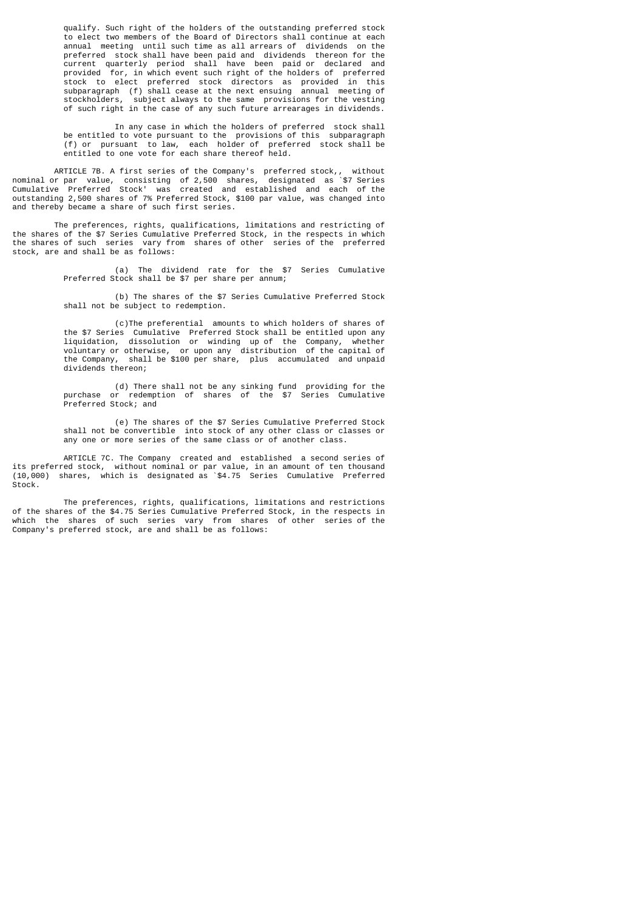qualify. Such right of the holders of the outstanding preferred stock to elect two members of the Board of Directors shall continue at each annual meeting until such time as all arrears of dividends on the preferred stock shall have been paid and dividends thereon for the current quarterly period shall have been paid or declared and provided for, in which event such right of the holders of preferred stock to elect preferred stock directors as provided in this subparagraph (f) shall cease at the next ensuing annual meeting of stockholders, subject always to the same provisions for the vesting subject always to the same provisions for the vesting of such right in the case of any such future arrearages in dividends.

 In any case in which the holders of preferred stock shall be entitled to vote pursuant to the provisions of this subparagraph (f) or pursuant to law, each holder of preferred stock shall be entitled to one vote for each share thereof held.

 ARTICLE 7B. A first series of the Company's preferred stock,, without nominal or par value, consisting of 2,500 shares, designated as `\$7 Series Cumulative Preferred Stock' was created and established and each of the outstanding 2,500 shares of 7% Preferred Stock, \$100 par value, was changed into and thereby became a share of such first series.

 The preferences, rights, qualifications, limitations and restricting of the shares of the \$7 Series Cumulative Preferred Stock, in the respects in which the shares of such series vary from shares of other series of the preferred stock, are and shall be as follows:

> (a) The dividend rate for the \$7 Series Cumulative Preferred Stock shall be \$7 per share per annum;

> (b) The shares of the \$7 Series Cumulative Preferred Stock shall not be subject to redemption.

 (c)The preferential amounts to which holders of shares of the \$7 Series Cumulative Preferred Stock shall be entitled upon any liquidation, dissolution or winding up of the Company, whether voluntary or otherwise, or upon any distribution of the capital of the Company, shall be \$100 per share, plus accumulated and unpaid dividends thereon;

 (d) There shall not be any sinking fund providing for the purchase or redemption of shares of the \$7 Series Cumulative Preferred Stock; and

 (e) The shares of the \$7 Series Cumulative Preferred Stock shall not be convertible into stock of any other class or classes or any one or more series of the same class or of another class.

 ARTICLE 7C. The Company created and established a second series of its preferred stock, without nominal or par value, in an amount of ten thousand (10,000) shares, which is designated as `\$4.75 Series Cumulative Preferred  $strock$ 

 The preferences, rights, qualifications, limitations and restrictions of the shares of the \$4.75 Series Cumulative Preferred Stock, in the respects in which the shares of such series vary from shares of other series of the Company's preferred stock, are and shall be as follows: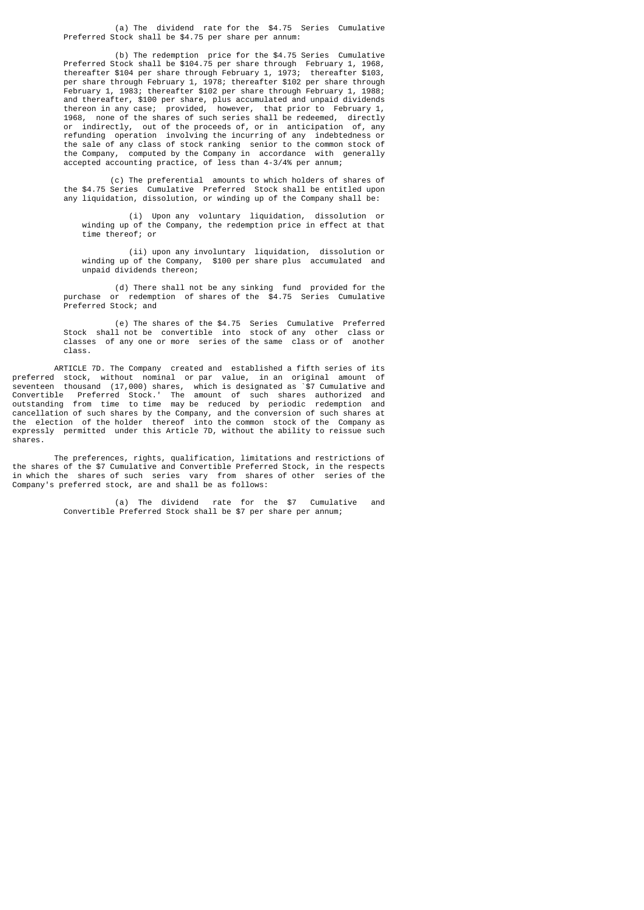(a) The dividend rate for the \$4.75 Series Cumulative Preferred Stock shall be \$4.75 per share per annum:

 (b) The redemption price for the \$4.75 Series Cumulative Preferred Stock shall be \$104.75 per share through February 1, 1968, thereafter \$104 per share through February 1, 1973; thereafter \$103. thereafter \$104 per share through February 1, 1973; thereafter per share through February 1, 1978; thereafter \$102 per share through February 1, 1983; thereafter \$102 per share through February 1, 1988; and thereafter, \$100 per share, plus accumulated and unpaid dividends thereon in any case; provided, however, that prior to February 1, 1968, none of the shares of such series shall be redeemed, directly or indirectly, out of the proceeds of, or in anticipation of, any refunding operation involving the incurring of any indebtedness or the sale of any class of stock ranking senior to the common stock of the Company, computed by the Company in accordance with generally accepted accounting practice, of less than 4-3/4% per annum;

 (c) The preferential amounts to which holders of shares of the \$4.75 Series Cumulative Preferred Stock shall be entitled upon any liquidation, dissolution, or winding up of the Company shall be:

 (i) Upon any voluntary liquidation, dissolution or winding up of the Company, the redemption price in effect at that time thereof; or

 (ii) upon any involuntary liquidation, dissolution or winding up of the Company, \$100 per share plus accumulated and unpaid dividends thereon;

 (d) There shall not be any sinking fund provided for the purchase or redemption of shares of the \$4.75 Series Cumulative Preferred Stock; and

 (e) The shares of the \$4.75 Series Cumulative Preferred Stock shall not be convertible into stock of any other class or classes of any one or more series of the same class or of another class.

 ARTICLE 7D. The Company created and established a fifth series of its preferred stock, without nominal or par value, in an original amount of seventeen thousand (17,000) shares, which is designated as `\$7 Cumulative and Convertible Preferred Stock.' The amount of such shares authorized and outstanding from time to time may be reduced by periodic redemption and cancellation of such shares by the Company, and the conversion of such shares at the election of the holder thereof into the common stock of the Company as expressly permitted under this Article 7D, without the ability to reissue such shares.

 The preferences, rights, qualification, limitations and restrictions of the shares of the \$7 Cumulative and Convertible Preferred Stock, in the respects in which the shares of such series vary from shares of other series of the Company's preferred stock, are and shall be as follows:

> (a) The dividend rate for the \$7 Cumulative and Convertible Preferred Stock shall be \$7 per share per annum;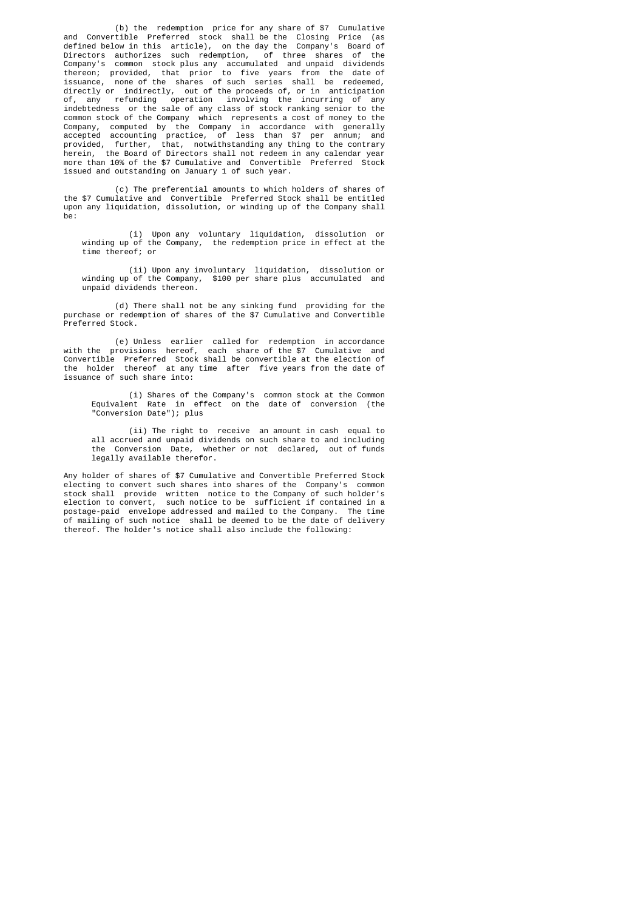(b) the redemption price for any share of \$7 Cumulative and Convertible Preferred stock shall be the Closing Price (as defined below in this article), on the day the Company's Board of Directors authorizes such redemption, of three shares of the Company's common stock plus any accumulated and unpaid dividends thereon; provided, that prior to five years from the date of issuance, none of the shares of such series shall be redeemed, directly or indirectly, out of the proceeds of, or in anticipation of, any refunding operation involving the incurring of any indebtedness or the sale of any class of stock ranking senior to the common stock of the Company which represents a cost of money to the Company, computed by the Company in accordance with generally accepted accounting practice, of less than \$7 per annum; and provided, further, that, notwithstanding any thing to the contrary herein, the Board of Directors shall not redeem in any calendar year more than 10% of the \$7 Cumulative and Convertible Preferred Stock issued and outstanding on January 1 of such year.

> (c) The preferential amounts to which holders of shares of the \$7 Cumulative and Convertible Preferred Stock shall be entitled upon any liquidation, dissolution, or winding up of the Company shall be:

 (i) Upon any voluntary liquidation, dissolution or winding up of the Company, the redemption price in effect at the time thereof; or

 (ii) Upon any involuntary liquidation, dissolution or winding up of the Company, \$100 per share plus accumulated and unpaid dividends thereon.

> (d) There shall not be any sinking fund providing for the purchase or redemption of shares of the \$7 Cumulative and Convertible Preferred Stock.

 (e) Unless earlier called for redemption in accordance with the provisions hereof, each share of the \$7 Cumulative and Convertible Preferred Stock shall be convertible at the election of the holder thereof at any time after five years from the date of issuance of such share into:

 (i) Shares of the Company's common stock at the Common Equivalent Rate in effect on the date of conversion (the "Conversion Date"); plus

> (ii) The right to receive an amount in cash equal to all accrued and unpaid dividends on such share to and including the Conversion Date, whether or not declared, out of funds legally available therefor.

 Any holder of shares of \$7 Cumulative and Convertible Preferred Stock electing to convert such shares into shares of the Company's common stock shall provide written notice to the Company of such holder's election to convert, such notice to be sufficient if contained in a postage-paid envelope addressed and mailed to the Company. The time of mailing of such notice shall be deemed to be the date of delivery thereof. The holder's notice shall also include the following: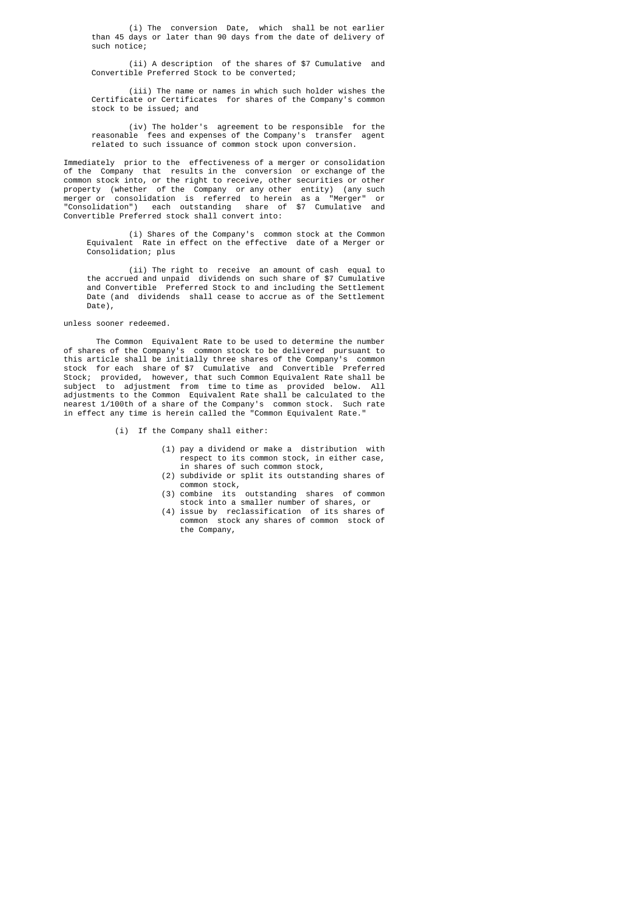(i) The conversion Date, which shall be not earlier than 45 days or later than 90 days from the date of delivery of such notice;

 (ii) A description of the shares of \$7 Cumulative and Convertible Preferred Stock to be converted;

 (iii) The name or names in which such holder wishes the Certificate or Certificates for shares of the Company's common stock to be issued; and

 (iv) The holder's agreement to be responsible for the reasonable fees and expenses of the Company's transfer agent related to such issuance of common stock upon conversion.

 Immediately prior to the effectiveness of a merger or consolidation of the Company that results in the conversion or exchange of the common stock into, or the right to receive, other securities or other property (whether of the Company or any other entity) (any such merger or consolidation is referred to herein as a "Merger" or "Consolidation") each outstanding share of \$7 Cumulative and Convertible Preferred stock shall convert into:

 (i) Shares of the Company's common stock at the Common Equivalent Rate in effect on the effective date of a Merger or Consolidation; plus

> (ii) The right to receive an amount of cash equal to the accrued and unpaid dividends on such share of \$7 Cumulative and Convertible Preferred Stock to and including the Settlement Date (and dividends shall cease to accrue as of the Settlement Date),

# unless sooner redeemed.

 The Common Equivalent Rate to be used to determine the number of shares of the Company's common stock to be delivered pursuant to this article shall be initially three shares of the Company's common stock for each share of \$7 Cumulative and Convertible Preferred Stock; provided, however, that such Common Equivalent Rate shall be subject to adjustment from time to time as provided below. All adjustments to the Common Equivalent Rate shall be calculated to the nearest 1/100th of a share of the Company's common stock. Such rate in effect any time is herein called the "Common Equivalent Rate."

- (i) If the Company shall either:
	- (1) pay a dividend or make a distribution with respect to its common stock, in either case, in shares of such common stock,
	- (2) subdivide or split its outstanding shares of common stock,
	- $(3)$  combine its outstanding shares of common stock into a smaller number of shares, or
	- (4) issue by reclassification of its shares of common stock any shares of common stock of the Company,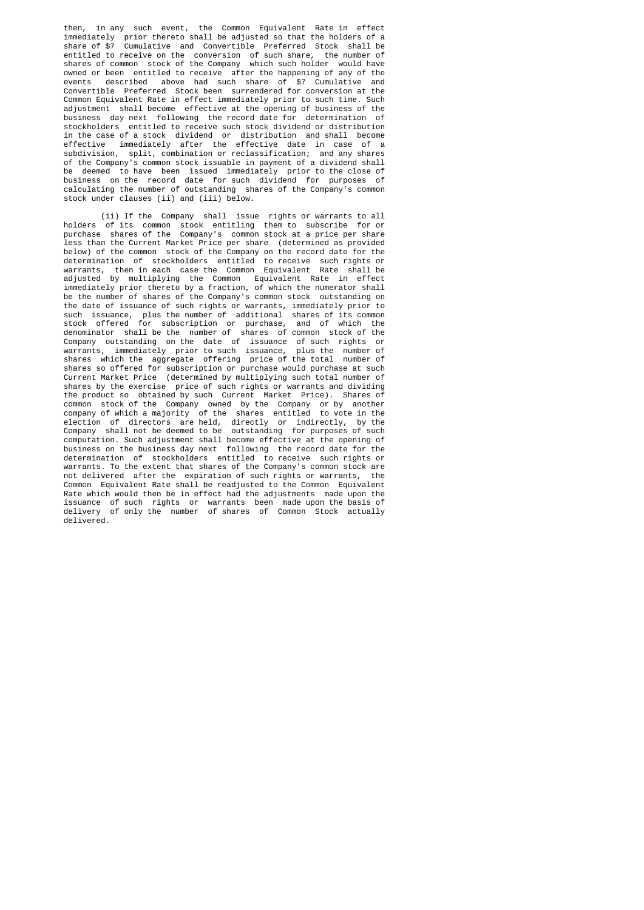then, in any such event, the Common Equivalent Rate in effect immediately prior thereto shall be adjusted so that the holders of a share of \$7 Cumulative and Convertible Preferred Stock shall be entitled to receive on the conversion of such share, the number of shares of common stock of the Company which such holder would have owned or been entitled to receive  $\overline{a}$  after the happening of any of the events described above had such share of \$7 Cumulative and described above had such share of \$7 Cumulative and Convertible Preferred Stock been surrendered for conversion at the Common Equivalent Rate in effect immediately prior to such time. Such adjustment shall become effective at the opening of business of the business day next following the record date for determination of stockholders entitled to receive such stock dividend or distribution in the case of a stock dividend or distribution and shall become effective immediately after the effective date in case of a subdivision, split, combination or reclassification; and any shares of the Company's common stock issuable in payment of a dividend shall be deemed to have been issued immediately prior to the close of business on the record date for such dividend for purposes of calculating the number of outstanding shares of the Company's common stock under clauses (ii) and (iii) below.

 (ii) If the Company shall issue rights or warrants to all holders of its common stock entitling them to subscribe for or purchase shares of the Company's common stock at a price per share less than the Current Market Price per share (determined as provided below) of the common stock of the Company on the record date for the determination of stockholders entitled to receive such rights or warrants, then in each case the Common Equivalent Rate shall be adjusted by multiplying the Common Equivalent Rate in effect immediately prior thereto by a fraction, of which the numerator shall be the number of shares of the Company's common stock outstanding on the date of issuance of such rights or warrants, immediately prior to such issuance, plus the number of additional shares of its common stock offered for subscription or purchase, and of which the denominator shall be the number of shares of common stock of the Company outstanding on the date of issuance of such rights or warrants, immediately prior to such issuance, plus the number of shares which the aggregate offering price of the total number of shares so offered for subscription or purchase would purchase at such Current Market Price (determined by multiplying such total number of shares by the exercise price of such rights or warrants and dividing the product so obtained by such Current Market Price). Shares of common stock of the Company owned by the Company or by another company of which a majority of the shares entitled to vote in the election of directors are held, directly or indirectly, by the Company shall not be deemed to be outstanding for purposes of such computation. Such adjustment shall become effective at the opening of<br>business on the business day next following the record date for the business on the business day next following the record date for determination of stockholders entitled to receive such rights or warrants. To the extent that shares of the Company's common stock are not delivered after the expiration of such rights or warrants, the Common Equivalent Rate shall be readjusted to the Common Equivalent Rate which would then be in effect had the adjustments made upon the issuance of such rights or warrants been made upon the basis of delivery of only the number of shares of Common Stock actually delivered.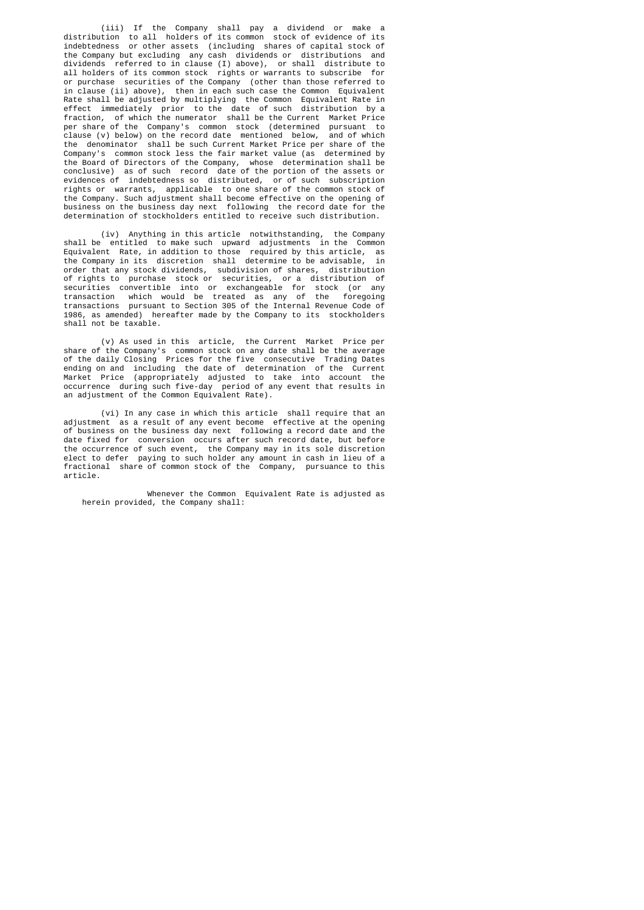(iii) If the Company shall pay a dividend or make a distribution to all holders of its common stock of evidence of its indebtedness or other assets (including shares of capital stock of the Company but excluding any cash dividends or distributions and dividends referred to in clause (I) above), or shall distribute to all holders of its common stock rights or warrants to subscribe for or purchase securities of the Company (other than those referred to in clause (ii) above), then in each such case the Common Equivalent Rate shall be adjusted by multiplying the Common Equivalent Rate in effect immediately prior to the date of such distribution by a fraction, of which the numerator shall be the Current Market Price per share of the Company's common stock (determined pursuant to clause (v) below) on the record date mentioned below, and of which  $clause (v) below)$  on the record date mentioned below, the denominator shall be such Current Market Price per share of the Company's common stock less the fair market value (as determined by the Board of Directors of the Company, whose determination shall be conclusive) as of such record date of the portion of the assets or evidences of indebtedness so distributed, or of such subscription rights or warrants, applicable to one share of the common stock of the Company. Such adjustment shall become effective on the opening of business on the business day next following the record date for the determination of stockholders entitled to receive such distribution.

 (iv) Anything in this article notwithstanding, the Company shall be entitled to make such upward adjustments in the Common Equivalent Rate, in addition to those required by this article, as<br>Equivalent Rate, in addition to those required by this article, as<br>the Company in its discretion shall determine to be advisable, in the Company in its discretion shall determine to be advisable, order that any stock dividends, subdivision of shares, distribution of rights to purchase stock or securities, or a distribution of securities convertible into or exchangeable for stock (or any transaction which would be treated as any of the foregoing transactions pursuant to Section 305 of the Internal Revenue Code of 1986, as amended) hereafter made by the Company to its stockholders shall not be taxable.

 (v) As used in this article, the Current Market Price per share of the Company's common stock on any date shall be the average of the daily Closing Prices for the five consecutive Trading Dates ending on and including the date of determination of the Current Market Price (appropriately adjusted to take into account the occurrence during such five-day period of any event that results in an adjustment of the Common Equivalent Rate).

 (vi) In any case in which this article shall require that an adjustment as a result of any event become effective at the opening of business on the business day next following a record date and the date fixed for conversion occurs after such record date, but before the occurrence of such event, the Company may in its sole discretion elect to defer paying to such holder any amount in cash in lieu of a fractional share of common stock of the Company, pursuance to this article.

> Whenever the Common Equivalent Rate is adjusted as herein provided, the Company shall: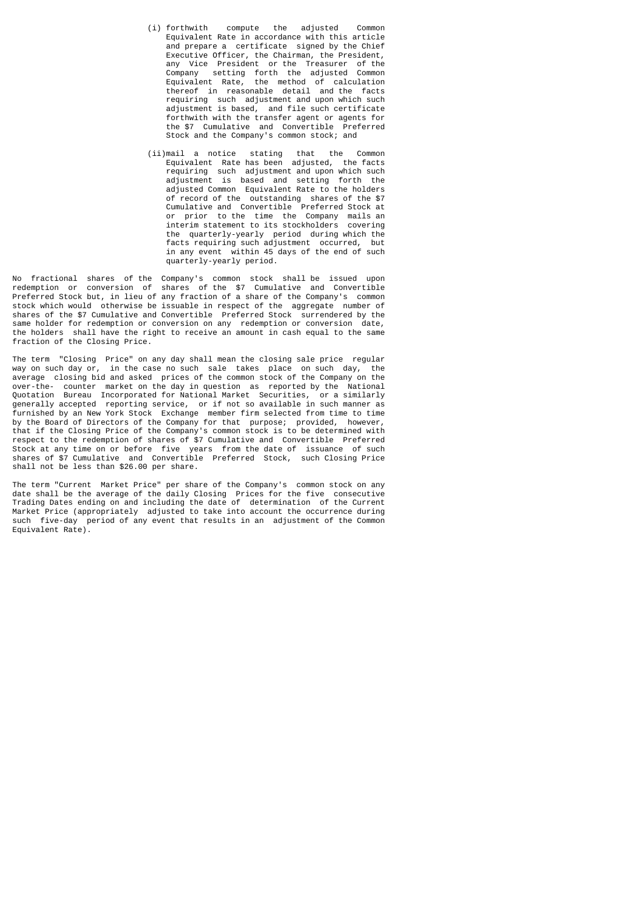- (i) forthwith compute the adjusted Common Equivalent Rate in accordance with this article and prepare a certificate signed by the Chief Executive Officer, the Chairman, the President, any Vice President or the Treasurer of the Company setting forth the adjusted Common Equivalent Rate, the method of calculation thereof in reasonable detail and the facts requiring such adjustment and upon which such adjustment is based, and file such certificate forthwith with the transfer agent or agents for the \$7 Cumulative and Convertible Preferred Stock and the Company's common stock; and
- (ii)mail a notice stating that the Common Equivalent Rate has been adjusted, the facts requiring such adjustment and upon which such adjustment is based and setting forth the adjusted Common Equivalent Rate to the holders of record of the outstanding shares of the \$7 Cumulative and Convertible Preferred Stock at or prior to the time the Company mails an interim statement to its stockholders covering the quarterly-yearly period during which the<br>facts requiring such adjustment occurred. but facts requiring such adjustment occurred, but in any event within 45 days of the end of such quarterly-yearly period.

No fractional shares of the Company's common stock shall be issued upon redemption or conversion of shares of the \$7 Cumulative and Convertible Preferred Stock but, in lieu of any fraction of a share of the Company's common stock which would otherwise be issuable in respect of the aggregate number of shares of the \$7 Cumulative and Convertible Preferred Stock surrendered by the same holder for redemption or conversion on any redemption or conversion date, the holders shall have the right to receive an amount in cash equal to the same fraction of the Closing Price.

The term "Closing Price" on any day shall mean the closing sale price regular way on such day or, in the case no such sale takes place on such day, the average closing bid and asked prices of the common stock of the Company on the over-the- counter market on the day in question as reported by the National Quotation Bureau Incorporated for National Market Securities, or a similarly generally accepted reporting service, or if not so available in such manner as furnished by an New York Stock Exchange member firm selected from time to time by the Board of Directors of the Company for that purpose; provided, however, that if the Closing Price of the Company's common stock is to be determined with respect to the redemption of shares of \$7 Cumulative and Convertible Preferred Stock at any time on or before five years from the date of issuance of such shares of \$7 Cumulative and Convertible Preferred Stock, such Closing Price shall not be less than \$26.00 per share.

The term "Current Market Price" per share of the Company's common stock on any date shall be the average of the daily Closing Prices for the five consecutive Trading Dates ending on and including the date of determination of the Current Market Price (appropriately adjusted to take into account the occurrence during such five-day period of any event that results in an adjustment of the Common Equivalent Rate).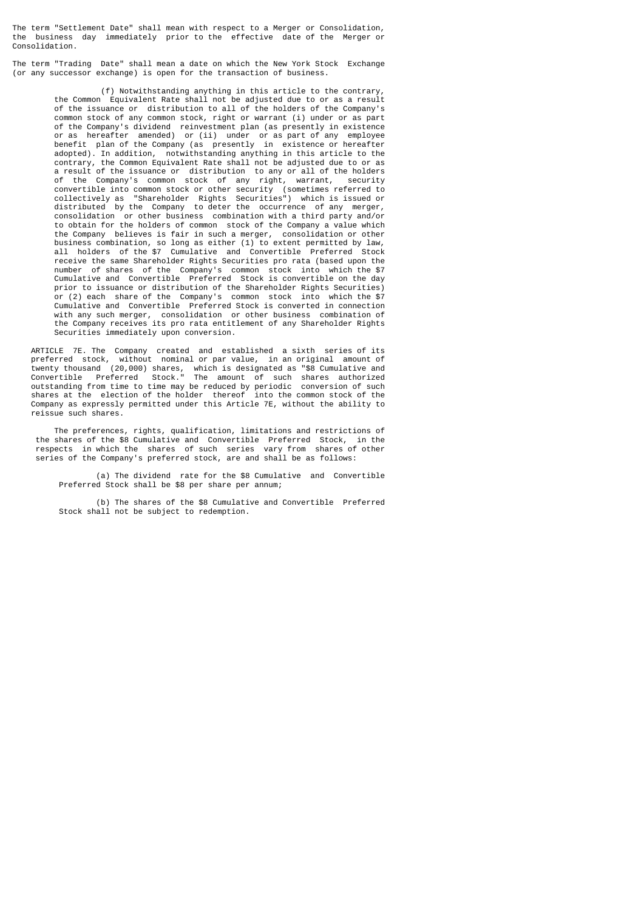The term "Settlement Date" shall mean with respect to a Merger or Consolidation, the business day immediately prior to the effective date of the Merger or Consolidation.

The term "Trading Date" shall mean a date on which the New York Stock Exchange (or any successor exchange) is open for the transaction of business.

 (f) Notwithstanding anything in this article to the contrary, the Common Equivalent Rate shall not be adjusted due to or as a result of the issuance or distribution to all of the holders of the Company's common stock of any common stock, right or warrant (i) under or as part of the Company's dividend reinvestment plan (as presently in existence or as hereafter amended) or (ii) under or as part of any employee benefit plan of the Company (as presently in existence or hereafter adopted). In addition, notwithstanding anything in this article to the contrary, the Common Equivalent Rate shall not be adjusted due to or as a result of the issuance or distribution to any or all of the holders of the Company's common stock of any right, warrant, security convertible into common stock or other security (sometimes referred to collectively as "Shareholder Rights Securities") which is issued or distributed by the Company to deter the occurrence of any merger, consolidation or other business combination with a third party and/or to obtain for the holders of common stock of the Company a value which the Company believes is fair in such a merger, consolidation or other business combination, so long as either (1) to extent permitted by law, all holders of the \$7 Cumulative and Convertible Preferred Stock receive the same Shareholder Rights Securities pro rata (based upon the number of shares of the Company's common stock into which the \$7 Cumulative and Convertible Preferred Stock is convertible on the day prior to issuance or distribution of the Shareholder Rights Securities) or (2) each share of the Company's common stock into which the \$7 Cumulative and Convertible Preferred Stock is converted in connection with any such merger, consolidation or other business combination of the Company receives its pro rata entitlement of any Shareholder Rights Securities immediately upon conversion.

 ARTICLE 7E. The Company created and established a sixth series of its preferred stock, without nominal or par value, in an original amount of twenty thousand (20,000) shares, which is designated as "\$8 Cumulative and Convertible Preferred Stock." The amount of such shares authorized outstanding from time to time may be reduced by periodic conversion of such shares at the election of the holder thereof into the common stock of the Company as expressly permitted under this Article 7E, without the ability to reissue such shares.

 The preferences, rights, qualification, limitations and restrictions of the shares of the \$8 Cumulative and Convertible Preferred Stock, in the respects in which the shares of such series vary from shares of other series of the Company's preferred stock, are and shall be as follows:

 (a) The dividend rate for the \$8 Cumulative and Convertible Preferred Stock shall be \$8 per share per annum;

 (b) The shares of the \$8 Cumulative and Convertible Preferred Stock shall not be subject to redemption.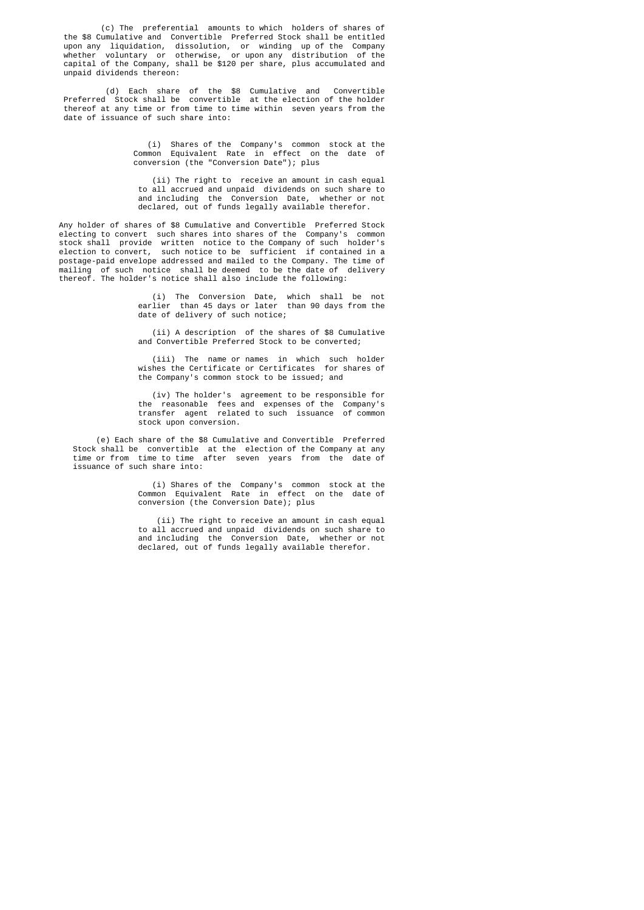(c) The preferential amounts to which holders of shares of the \$8 Cumulative and Convertible Preferred Stock shall be entitled upon any liquidation, dissolution, or winding up of the Company whether voluntary or otherwise, or upon any distribution of the capital of the Company, shall be \$120 per share, plus accumulated and unpaid dividends thereon:

> (d) Each share of the \$8 Cumulative and Convertible Preferred Stock shall be convertible at the election of the holder thereof at any time or from time to time within seven years from the date of issuance of such share into:

> > (i) Shares of the Company's common stock at the Common Equivalent Rate in effect on the date of conversion (the "Conversion Date"); plus

 (ii) The right to receive an amount in cash equal to all accrued and unpaid dividends on such share to and including the Conversion Date, whether or not declared, out of funds legally available therefor.

 Any holder of shares of \$8 Cumulative and Convertible Preferred Stock electing to convert such shares into shares of the Company's common stock shall provide written notice to the Company of such holder's election to convert, such notice to be sufficient if contained in a postage-paid envelope addressed and mailed to the Company. The time of mailing of such notice shall be deemed to be the date of delivery thereof. The holder's notice shall also include the following:

 (i) The Conversion Date, which shall be not earlier than 45 days or later than 90 days from the date of delivery of such notice;

> (ii) A description of the shares of \$8 Cumulative and Convertible Preferred Stock to be converted;

> (iii) The name or names in which such holder wishes the Certificate or Certificates for shares of the Company's common stock to be issued; and

 (iv) The holder's agreement to be responsible for the reasonable fees and expenses of the Company's transfer agent related to such issuance of common stock upon conversion.

 (e) Each share of the \$8 Cumulative and Convertible Preferred Stock shall be convertible at the election of the Company at any time or from time to time after seven years from the date of issuance of such share into:

> (i) Shares of the Company's common stock at the Common Equivalent Rate in effect on the date of conversion (the Conversion Date); plus

> (ii) The right to receive an amount in cash equal to all accrued and unpaid dividends on such share to and including the Conversion Date, whether or not declared, out of funds legally available therefor.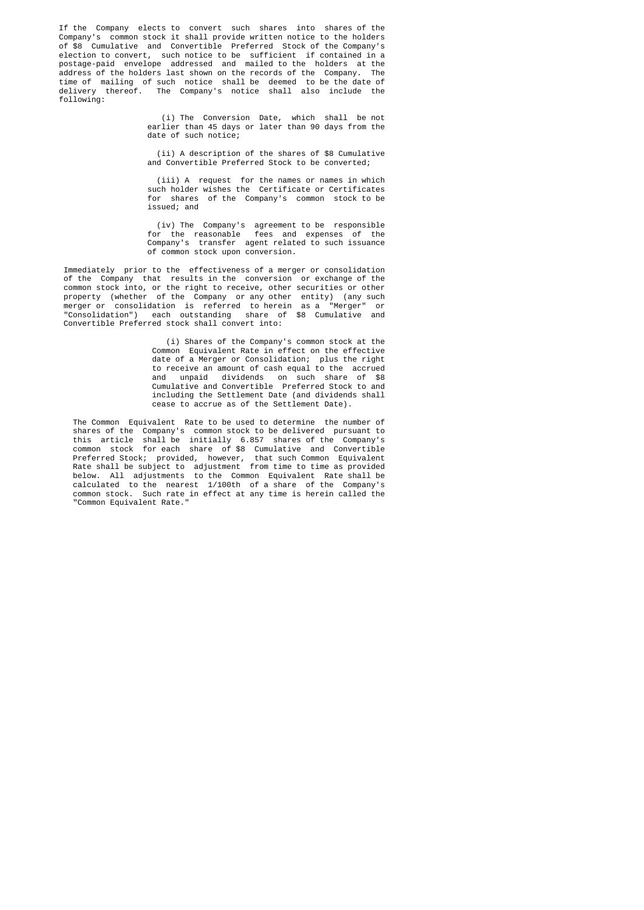If the Company elects to convert such shares into shares of the Company's common stock it shall provide written notice to the holders of \$8 Cumulative and Convertible Preferred Stock of the Company's election to convert, such notice to be sufficient if contained in a postage-paid envelope addressed and mailed to the holders at the address of the holders last shown on the records of the Company. The address of the holders last shown on the records of the Company. time of mailing of such notice shall be deemed to be the date of delivery thereof. The Company's notice shall also include the following:

 (i) The Conversion Date, which shall be not earlier than 45 days or later than 90 days from the date of such notice;

> (ii) A description of the shares of \$8 Cumulative and Convertible Preferred Stock to be converted;

 (iii) A request for the names or names in which such holder wishes the Certificate or Certificates for shares of the Company's common stock to be issued; and

 (iv) The Company's agreement to be responsible for the reasonable fees and expenses of the Company's transfer agent related to such issuance of common stock upon conversion.

> Immediately prior to the effectiveness of a merger or consolidation of the Company that results in the conversion or exchange of the common stock into, or the right to receive, other securities or other property (whether of the Company or any other entity) (any such merger or consolidation is referred to herein as a "Merger" or "Consolidation") each outstanding share of \$8 Cumulative and Convertible Preferred stock shall convert into:

 (i) Shares of the Company's common stock at the Common Equivalent Rate in effect on the effective date of a Merger or Consolidation; plus the right to receive an amount of cash equal to the accrued and unpaid dividends on such share of \$8 Cumulative and Convertible Preferred Stock to and including the Settlement Date (and dividends shall cease to accrue as of the Settlement Date).

 The Common Equivalent Rate to be used to determine the number of shares of the Company's common stock to be delivered pursuant to this article shall be initially 6.857 shares of the Company's common stock for each share of \$8 Cumulative and Convertible Preferred Stock; provided, however, that such Common Equivalent Rate shall be subject to adjustment from time to time as provided below. All adjustments to the Common Equivalent Rate shall be calculated to the nearest 1/100th of a share of the Company's common stock. Such rate in effect at any time is herein called the "Common Equivalent Rate."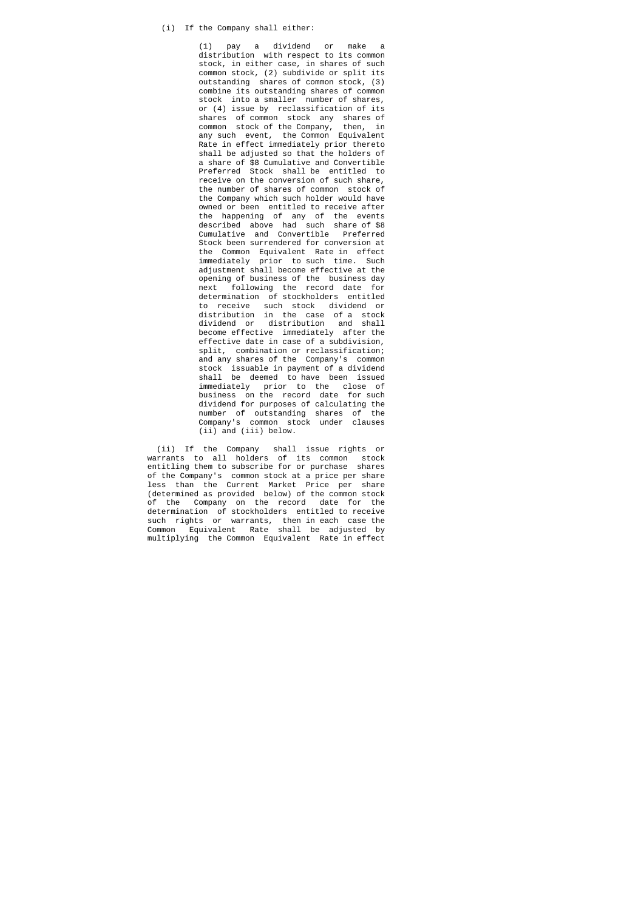# (i) If the Company shall either:

 (1) pay a dividend or make a distribution with respect to its common stock, in either case, in shares of such common stock, (2) subdivide or split its outstanding shares of common stock, (3) combine its outstanding shares of common stock into a smaller number of shares, or (4) issue by reclassification of its shares of common stock any shares of common stock of the Company, then, in any such event, the Common Equivalent Rate in effect immediately prior thereto shall be adjusted so that the holders of a share of \$8 Cumulative and Convertible Preferred Stock shall be entitled to receive on the conversion of such share, the number of shares of common stock of the Company which such holder would have owned or been entitled to receive after the happening of any of the events described above had such share of \$8 Cumulative and Convertible Preferred Stock been surrendered for conversion at the Common Equivalent Rate in effect immediately prior to such time. Such adjustment shall become effective at the opening of business of the business day next following the record date for determination of stockholders entitled to receive such stock dividend or distribution in the case of a stock dividend or distribution and shall become effective immediately after the effective date in case of a subdivision, split, combination or reclassification; and any shares of the Company's common stock issuable in payment of a dividend shall be deemed to have been issued immediately prior to the close of business on the record date for such dividend for purposes of calculating the number of outstanding shares of the Company's common stock under clauses (ii) and (iii) below.

 (ii) If the Company shall issue rights or warrants to all holders of its common stock entitling them to subscribe for or purchase shares of the Company's common stock at a price per share less than the Current Market Price per share (determined as provided below) of the common stock of the Company on the record date for the determination of stockholders entitled to receive such rights or warrants, then in each case the Common Equivalent Rate shall be adjusted by multiplying the Common Equivalent Rate in effect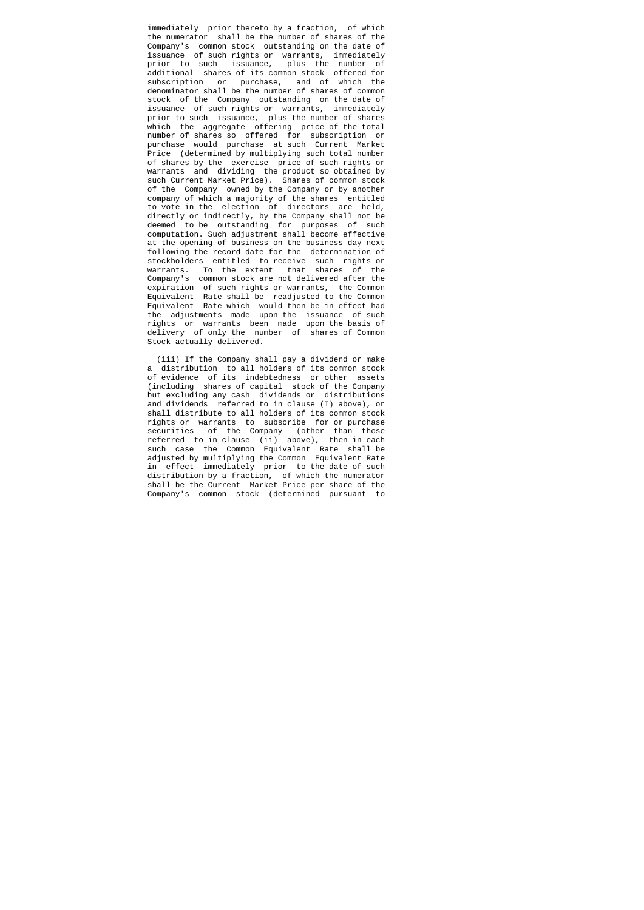immediately prior thereto by a fraction, of which the numerator shall be the number of shares of the Company's common stock outstanding on the date of issuance of such rights or warrants, immediately prior to such issuance, plus the number of additional shares of its common stock offered for subscription or purchase, and of which the denominator shall be the number of shares of common stock of the Company outstanding on the date of issuance of such rights or warrants, immediately prior to such issuance, plus the number of shares which the aggregate offering price of the total number of shares so offered for subscription or purchase would purchase at such Current Market Price (determined by multiplying such total number of shares by the exercise price of such rights or warrants and dividing the product so obtained by such Current Market Price). Shares of common stock of the Company owned by the Company or by another company of which a majority of the shares entitled to vote in the election of directors are held, directly or indirectly, by the Company shall not be deemed to be outstanding for purposes of such computation. Such adjustment shall become effective at the opening of business on the business day next following the record date for the determination of stockholders entitled to receive such rights or warrants. To the extent that shares of the Company's common stock are not delivered after the expiration of such rights or warrants, the Common Equivalent Rate shall be readjusted to the Common Equivalent Rate which would then be in effect had the adjustments made upon the issuance of such rights or warrants been made upon the basis of delivery of only the number of shares of Common Stock actually delivered.

 (iii) If the Company shall pay a dividend or make a distribution to all holders of its common stock of evidence of its indebtedness or other assets (including shares of capital stock of the Company but excluding any cash dividends or distributions and dividends referred to in clause (I) above), or shall distribute to all holders of its common stock rights or warrants to subscribe for or purchase securities of the Company (other than those referred to in clause (ii) above), then in each such case the Common Equivalent Rate shall be adjusted by multiplying the Common Equivalent Rate in effect immediately prior to the date of such distribution by a fraction, of which the numerator shall be the Current Market Price per share of the Company's common stock (determined pursuant to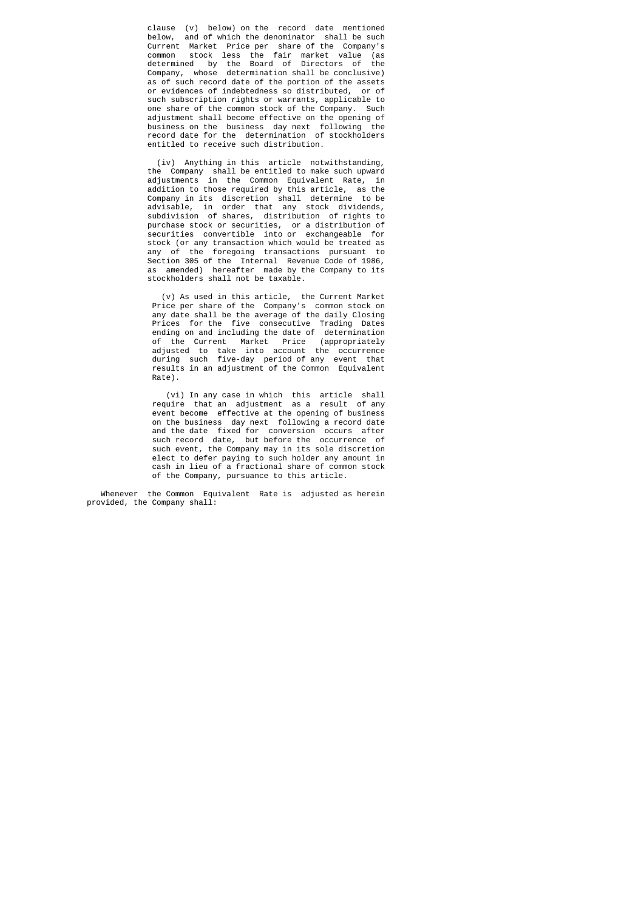clause (v) below) on the record date mentioned below, and of which the denominator shall be such Current Market Price per share of the Company's common stock less the fair market value (as determined by the Board of Directors of the Company, whose determination shall be conclusive) as of such record date of the portion of the assets or evidences of indebtedness so distributed, or of such subscription rights or warrants, applicable to one share of the common stock of the Company. Such adjustment shall become effective on the opening of business on the business day next following record date for the determination of stockholders entitled to receive such distribution.

 (iv) Anything in this article notwithstanding, the Company shall be entitled to make such upward adjustments in the Common Equivalent Rate, in addition to those required by this article, as the Company in its discretion shall determine to be advisable, in order that any stock dividends, subdivision of shares, distribution of rights to purchase stock or securities, or a distribution of securities convertible into or exchangeable for stock (or any transaction which would be treated as any of the foregoing transactions pursuant to Section 305 of the Internal Revenue Code of 1986, as amended) hereafter made by the Company to its stockholders shall not be taxable.

 (v) As used in this article, the Current Market Price per share of the Company's common stock on any date shall be the average of the daily Closing Prices for the five consecutive Trading Dates ending on and including the date of determination of the Current Market Price (appropriately adjusted to take into account the occurrence during such five-day period of any event that results in an adjustment of the Common Equivalent Rate).

 (vi) In any case in which this article shall require that an adjustment as a result of any event become effective at the opening of business on the business day next following a record date and the date fixed for conversion occurs after such record date, but before the occurrence of such event, the Company may in its sole discretion elect to defer paying to such holder any amount in cash in lieu of a fractional share of common stock of the Company, pursuance to this article.

> Whenever the Common Equivalent Rate is adjusted as herein provided, the Company shall: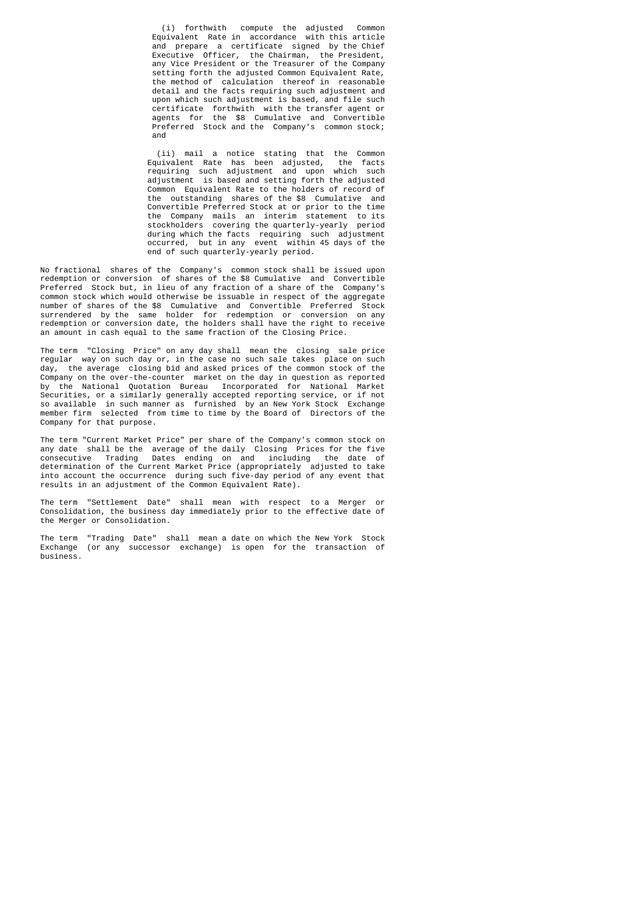(i) forthwith compute the adjusted Common Equivalent Rate in accordance with this article and prepare a certificate signed by the Chief Executive Officer, the Chairman, the President, any Vice President or the Treasurer of the Company setting forth the adjusted Common Equivalent Rate, the method of calculation thereof in reasonable detail and the facts requiring such adjustment and upon which such adjustment is based, and file such certificate forthwith with the transfer agent or agents for the \$8 Cumulative and Convertible Preferred Stock and the Company's common stock; and

 (ii) mail a notice stating that the Common Equivalent Rate has been adjusted, the facts requiring such adjustment and upon which such adjustment is based and setting forth the adjusted Common Equivalent Rate to the holders of record of the outstanding shares of the \$8 Cumulative and Convertible Preferred Stock at or prior to the time the Company mails an interim statement to its stockholders covering the quarterly-yearly period during which the facts requiring such adjustment occurred, but in any event within 45 days of the end of such quarterly-yearly period.

 No fractional shares of the Company's common stock shall be issued upon redemption or conversion of shares of the \$8 Cumulative and Convertible Preferred Stock but, in lieu of any fraction of a share of the Company's common stock which would otherwise be issuable in respect of the aggregate number of shares of the \$8 Cumulative and Convertible Preferred Stock surrendered by the same holder for redemption or conversion on any redemption or conversion date, the holders shall have the right to receive an amount in cash equal to the same fraction of the Closing Price.

 The term "Closing Price" on any day shall mean the closing sale price regular way on such day or, in the case no such sale takes place on such day, the average closing bid and asked prices of the common stock of the Company on the over-the-counter market on the day in question as reported by the National Quotation Bureau Incorporated for National Market Securities, or a similarly generally accepted reporting service, or if not so available in such manner as furnished by an New York Stock Exchange member firm selected from time to time by the Board of Directors of the Company for that purpose.

 The term "Current Market Price" per share of the Company's common stock on any date shall be the average of the daily Closing Prices for the five consecutive Trading Dates ending on and including the date of determination of the Current Market Price (appropriately adjusted to take into account the occurrence during such five-day period of any event that results in an adjustment of the Common Equivalent Rate).

 The term "Settlement Date" shall mean with respect to a Merger or Consolidation, the business day immediately prior to the effective date of the Merger or Consolidation.

 The term "Trading Date" shall mean a date on which the New York Stock Exchange (or any successor exchange) is open for the transaction of business.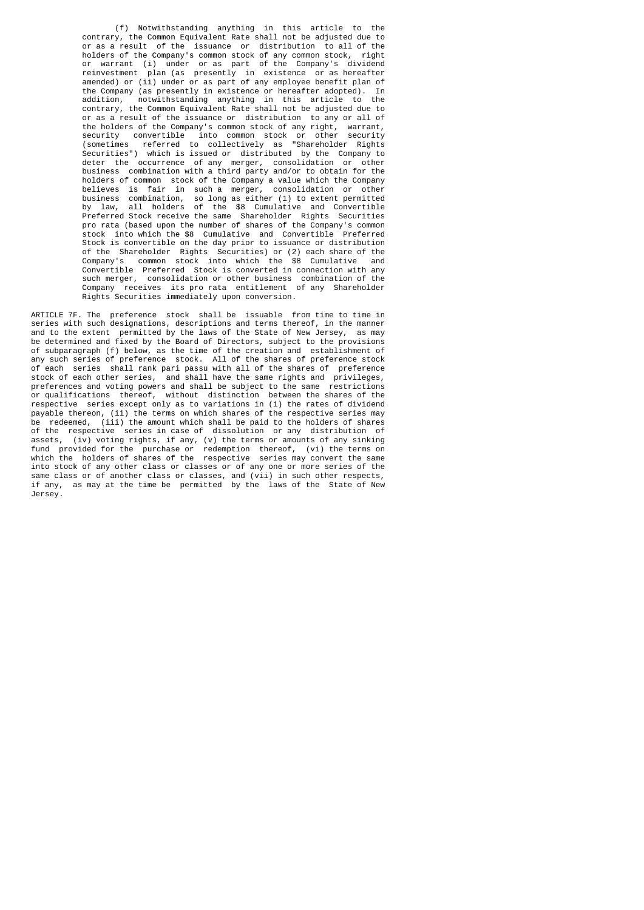(f) Notwithstanding anything in this article to the contrary, the Common Equivalent Rate shall not be adjusted due to or as a result of the issuance or distribution to all of the holders of the Company's common stock of any common stock, right or warrant (i) under or as part of the Company's dividend reinvestment plan (as presently in existence or as hereafter amended) or (ii) under or as part of any employee benefit plan of the Company (as presently in existence or hereafter adopted). In addition, notwithstanding anything in this article to the notwithstanding anything in this article to the contrary, the Common Equivalent Rate shall not be adjusted due to or as a result of the issuance or distribution to any or all of the holders of the Company's common stock of any right, warrant, security convertible into common stock or other security (sometimes referred to collectively as "Shareholder Rights Securities") which is issued or distributed by the Company to deter the occurrence of any merger, consolidation or other business combination with a third party and/or to obtain for the holders of common stock of the Company a value which the Company believes is fair in such a merger, consolidation or other business combination, so long as either (1) to extent permitted by law, all holders of the \$8 Cumulative and Convertible Preferred Stock receive the same Shareholder Rights Securities pro rata (based upon the number of shares of the Company's common stock into which the \$8 Cumulative and Convertible Preferred Stock is convertible on the day prior to issuance or distribution of the Shareholder Rights Securities) or (2) each share of the Company's common stock into which the \$8 Cumulative and Convertible Preferred Stock is converted in connection with any such merger, consolidation or other business combination of the Company receives its pro rata entitlement of any Shareholder Rights Securities immediately upon conversion.

 ARTICLE 7F. The preference stock shall be issuable from time to time in series with such designations, descriptions and terms thereof, in the manner and to the extent permitted by the laws of the State of New Jersey, as may be determined and fixed by the Board of Directors, subject to the provisions of subparagraph (f) below, as the time of the creation and establishment of any such series of preference stock. All of the shares of preference stock of each series shall rank pari passu with all of the shares of preference stock of each other series, and shall have the same rights and privileges, preferences and voting powers and shall be subject to the same restrictions or qualifications thereof, without distinction between the shares of the respective series except only as to variations in (i) the rates of dividend payable thereon, (ii) the terms on which shares of the respective series may be redeemed, (iii) the amount which shall be paid to the holders of shares of the respective series in case of dissolution or any distribution of assets, (iv) voting rights, if any, (v) the terms or amounts of any sinking fund provided for the purchase or redemption thereof, (vi) the terms on which the holders of shares of the respective series may convert the same into stock of any other class or classes or of any one or more series of the same class or of another class or classes, and (vii) in such other respects, if any, as may at the time be permitted by the laws of the State of New Jersey.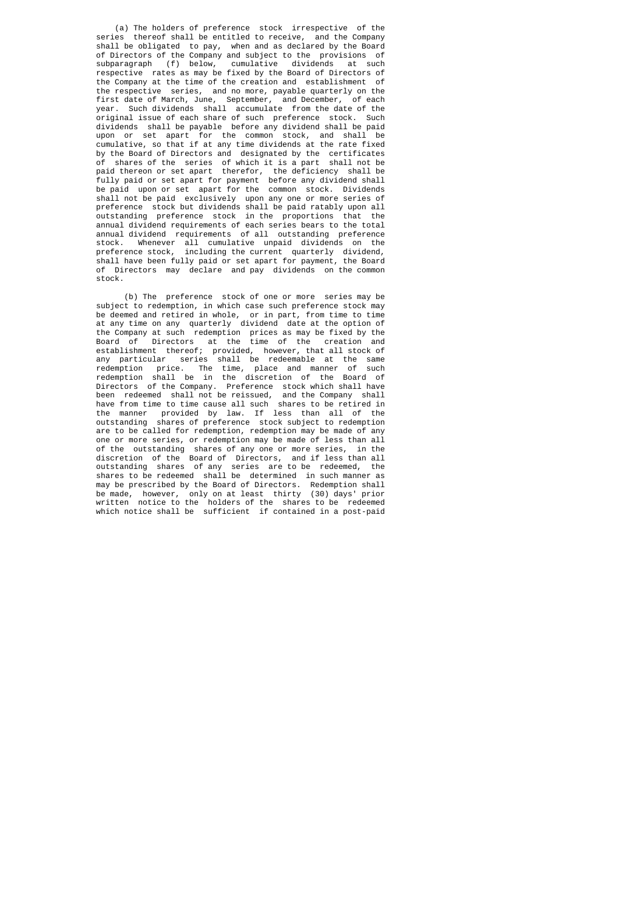(a) The holders of preference stock irrespective of the series thereof shall be entitled to receive, and the Company shall be obligated to pay, when and as declared by the Board of Directors of the Company and subject to the provisions of subparagraph (f) below, cumulative dividends at such respective rates as may be fixed by the Board of Directors of the Company at the time of the creation and establishment of the respective series, and no more, payable quarterly on the first date of March, June, September, and December, of each year. Such dividends shall accumulate from the date of the original issue of each share of such preference stock. Such dividends shall be payable before any dividend shall be paid upon or set apart for the common stock, and shall be cumulative, so that if at any time dividends at the rate fixed by the Board of Directors and designated by the certificates of shares of the series of which it is a part shall not be paid thereon or set apart therefor, the deficiency shall be fully paid or set apart for payment before any dividend shall be paid upon or set apart for the common stock. Dividends shall not be paid exclusively upon any one or more series of preference stock but dividends shall be paid ratably upon all outstanding preference stock in the proportions that the annual dividend requirements of each series bears to the total annual dividend requirements of all outstanding preference stock. Whenever all cumulative unpaid dividends on the preference stock, including the current quarterly dividend, shall have been fully paid or set apart for payment, the Board of Directors may declare and pay dividends on the common stock.

 (b) The preference stock of one or more series may be subject to redemption, in which case such preference stock may be deemed and retired in whole, or in part, from time to time at any time on any quarterly dividend date at the option of the Company at such redemption prices as may be fixed by the Board of Directors at the time of the creation and establishment thereof; provided, however, that all stock of any particular series shall be redeemable at the same redemption price. The time, place and manner of such redemption shall be in the discretion of the Board of Directors of the Company. Preference stock which shall have been redeemed shall not be reissued, and the Company shall have from time to time cause all such shares to be retired in the manner provided by law. If less than all of the outstanding shares of preference stock subject to redemption are to be called for redemption, redemption may be made of any one or more series, or redemption may be made of less than all<br>of the outstanding shares of any one or more series, in the of the outstanding shares of any one or more series, discretion of the Board of Directors, and if less than all outstanding shares of any series are to be redeemed, the shares to be redeemed shall be determined in such manner as may be prescribed by the Board of Directors. Redemption shall be made, however, only on at least thirty (30) days' prior written notice to the holders of the shares to be redeemed which notice shall be sufficient if contained in a post-paid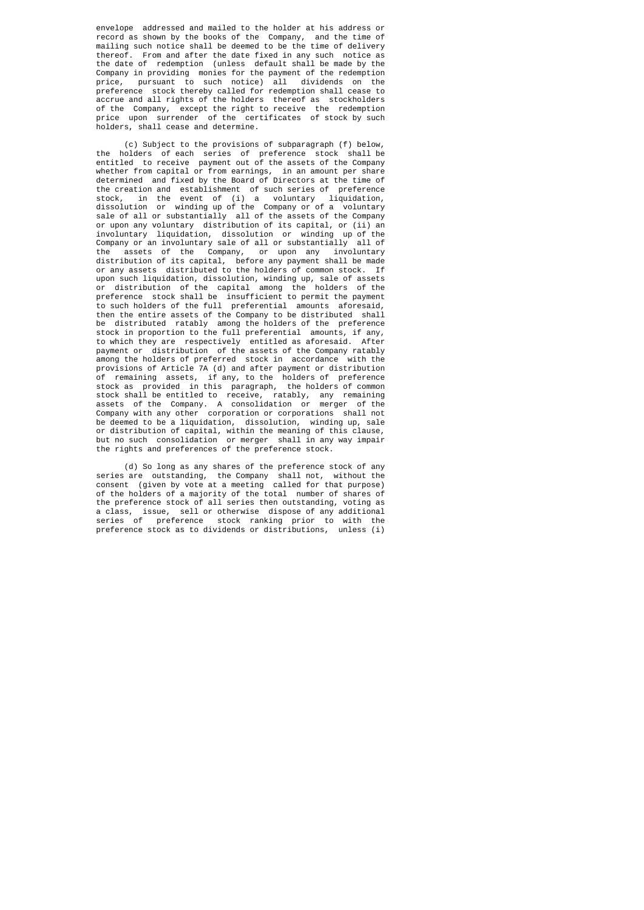envelope addressed and mailed to the holder at his address or record as shown by the books of the Company, and the time of mailing such notice shall be deemed to be the time of delivery thereof. From and after the date fixed in any such notice as the date of redemption (unless default shall be made by the Company in providing monies for the payment of the redemption price. pursuant to such notice) all dividends on the pursuant to such notice) all dividends on the preference stock thereby called for redemption shall cease to accrue and all rights of the holders thereof as stockholders of the Company, except the right to receive the redemption price upon surrender of the certificates of stock by such holders, shall cease and determine.

 (c) Subject to the provisions of subparagraph (f) below, the holders of each series of preference stock shall be entitled to receive payment out of the assets of the Company whether from capital or from earnings, in an amount per share determined and fixed by the Board of Directors at the time of the creation and establishment of such series of preference stock, in the event of (i) a voluntary liquidation, dissolution or winding up of the Company or of a voluntary sale of all or substantially all of the assets of the Company or upon any voluntary distribution of its capital, or (ii) an involuntary liquidation, dissolution or winding up of the Company or an involuntary sale of all or substantially all of the assets of the Company, or upon any involuntary distribution of its capital, before any payment shall be made or any assets distributed to the holders of common stock. If upon such liquidation, dissolution, winding up, sale of assets or distribution of the capital among the holders of the preference stock shall be insufficient to permit the payment to such holders of the full preferential amounts aforesaid, then the entire assets of the Company to be distributed shall be distributed ratably among the holders of the preference stock in proportion to the full preferential amounts, if any, to which they are respectively entitled as aforesaid. After payment or distribution of the assets of the Company ratably among the holders of preferred stock in accordance with the provisions of Article 7A (d) and after payment or distribution of remaining assets, if any, to the holders of preference stock as provided in this paragraph, the holders of common stock shall be entitled to receive, ratably, any remaining assets of the Company. A consolidation or merger of the Company with any other corporation or corporations shall not be deemed to be a liquidation, dissolution, winding up, sale or distribution of capital, within the meaning of this clause, but no such consolidation or merger shall in any way impair the rights and preferences of the preference stock.

 (d) So long as any shares of the preference stock of any series are outstanding, the Company shall not, without the consent (given by vote at a meeting called for that purpose) of the holders of a majority of the total number of shares of the preference stock of all series then outstanding, voting as a class, issue, sell or otherwise dispose of any additional series of preference stock ranking prior to with the preference stock as to dividends or distributions, unless (i)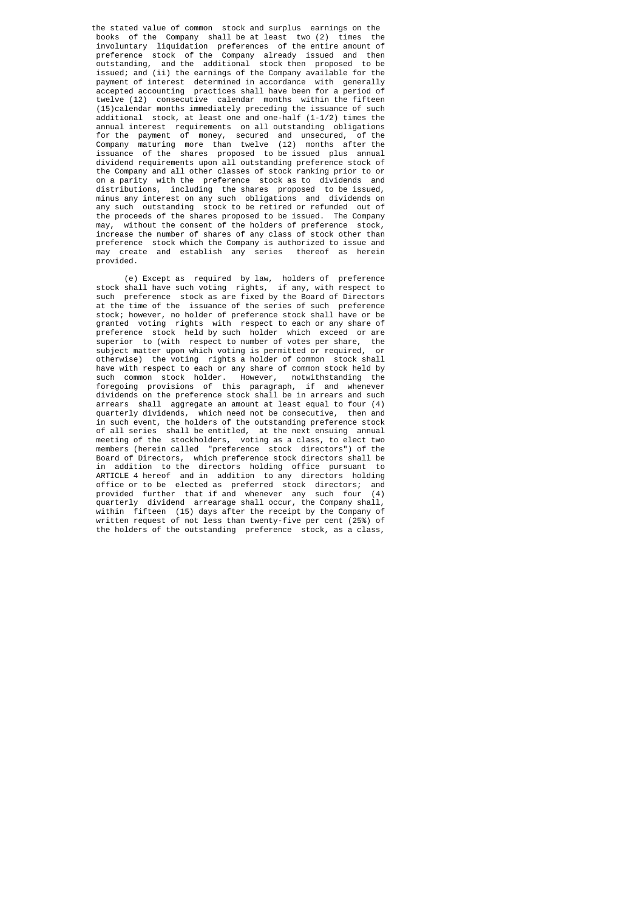the stated value of common stock and surplus earnings on the books of the Company shall be at least two (2) times the involuntary liquidation preferences of the entire amount of preference stock of the Company already issued and then preference stock of the Company already issued and then<br>outstanding, and the additional stock then proposed to be issued; and (ii) the earnings of the Company available for the payment of interest determined in accordance with generally accepted accounting practices shall have been for a period of twelve (12) consecutive calendar months within the fifteen (15)calendar months immediately preceding the issuance of such additional stock, at least one and one-half (1-1/2) times the annual interest requirements on all outstanding obligations<br>for the payment of money, secured and unsecured, of the for the payment of money, secured and unsecured, Company maturing more than twelve (12) months after the issuance of the shares proposed to be issued plus annual dividend requirements upon all outstanding preference stock of the Company and all other classes of stock ranking prior to or on a parity with the preference stock as to dividends and distributions, including the shares proposed to be issued, minus any interest on any such obligations and dividends on any such outstanding stock to be retired or refunded out of the proceeds of the shares proposed to be issued. The Company may, without the consent of the holders of preference stock, increase the number of shares of any class of stock other than preference stock which the Company is authorized to issue and may create and establish any series thereof as herein provided.

 (e) Except as required by law, holders of preference stock shall have such voting rights, if any, with respect to such preference stock as are fixed by the Board of Directors at the time of the issuance of the series of such preference stock; however, no holder of preference stock shall have or be granted voting rights with respect to each or any share of preference stock held by such holder which exceed or are superior to (with respect to number of votes per share, the subject matter upon which voting is permitted or required, or otherwise) the voting rights a holder of common stock shall have with respect to each or any share of common stock held by such common stock holder. However, notwithstanding the foregoing provisions of this paragraph, if and whenever dividends on the preference stock shall be in arrears and such arrears shall aggregate an amount at least equal to four (4) quarterly dividends, which need not be consecutive, then and in such event, the holders of the outstanding preference stock of all series shall be entitled, at the next ensuing annual meeting of the stockholders, voting as a class, to elect two members (herein called "preference stock directors") of the Board of Directors, which preference stock directors shall be in addition to the directors holding office pursuant to ARTICLE 4 hereof and in addition to any directors holding office or to be elected as preferred stock directors; and provided further that if and whenever any such four (4) provided further that if and whenever any such four quarterly dividend arrearage shall occur, the Company shall, within fifteen (15) days after the receipt by the Company of written request of not less than twenty-five per cent (25%) of the holders of the outstanding preference stock, as a class,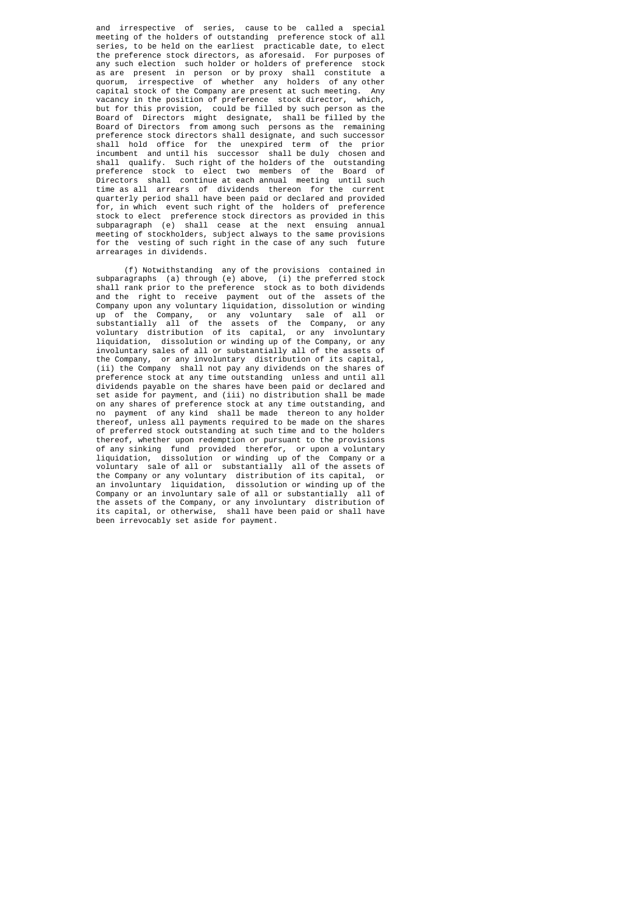and irrespective of series, cause to be called a special meeting of the holders of outstanding preference stock of all series, to be held on the earliest practicable date, to elect the preference stock directors, as aforesaid. For purposes of any such election such holder or holders of preference stock as are present in person or by proxy shall constitute a quorum, irrespective of whether any holders of any other capital stock of the Company are present at such meeting. Any vacancy in the position of preference stock director, which, but for this provision, could be filled by such person as the Board of Directors might designate, shall be filled by the Board of Directors from among such persons as the remaining preference stock directors shall designate, and such successor shall hold office for the unexpired term of the prior incumbent and until his successor shall be duly chosen and shall qualify. Such right of the holders of the outstanding preference stock to elect two members of the Board of Directors shall continue at each annual meeting until such time as all arrears of dividends thereon for the current quarterly period shall have been paid or declared and provided for, in which event such right of the holders of preference stock to elect preference stock directors as provided in this subparagraph (e) shall cease at the next ensuing annual meeting of stockholders, subject always to the same provisions for the vesting of such right in the case of any such future arrearages in dividends.

 (f) Notwithstanding any of the provisions contained in subparagraphs (a) through  $(e)$  above, shall rank prior to the preference stock as to both dividends and the right to receive payment out of the assets of the Company upon any voluntary liquidation, dissolution or winding up of the Company, or any voluntary sale of all or substantially all of the assets of the Company, or any voluntary distribution of its capital, or any involuntary liquidation, dissolution or winding up of the Company, or any involuntary sales of all or substantially all of the assets of the Company, or any involuntary distribution of its capital, (ii) the Company shall not pay any dividends on the shares of preference stock at any time outstanding unless and until all dividends payable on the shares have been paid or declared and set aside for payment, and (iii) no distribution shall be made on any shares of preference stock at any time outstanding, and no payment of any kind shall be made thereon to any holder thereof, unless all payments required to be made on the shares of preferred stock outstanding at such time and to the holders thereof, whether upon redemption or pursuant to the provisions of any sinking fund provided therefor, or upon a voluntary<br>liquidation, dissolution or winding up of the Company or a dissolution or winding up of the Company or a voluntary sale of all or substantially all of the assets of the Company or any voluntary distribution of its capital, or an involuntary liquidation, dissolution or winding up of the Company or an involuntary sale of all or substantially all of the assets of the Company, or any involuntary distribution of its capital, or otherwise, shall have been paid or shall have been irrevocably set aside for payment.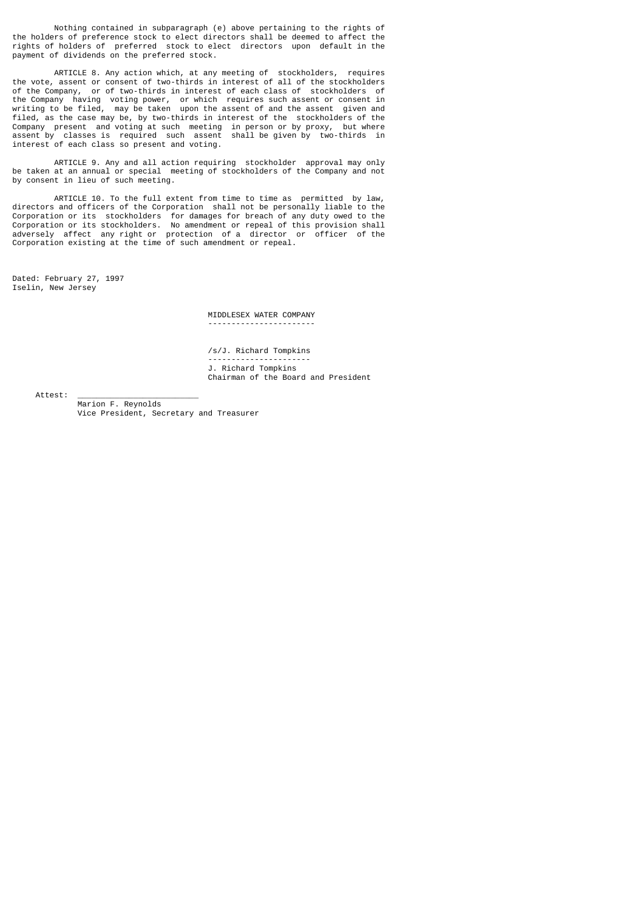Nothing contained in subparagraph (e) above pertaining to the rights of the holders of preference stock to elect directors shall be deemed to affect the rights of holders of preferred stock to elect directors upon default in the payment of dividends on the preferred stock.

 ARTICLE 8. Any action which, at any meeting of stockholders, requires the vote, assent or consent of two-thirds in interest of all of the stockholders of the Company, or of two-thirds in interest of each class of stockholders of the Company having voting power, or which requires such assent or consent in writing to be filed, may be taken upon the assent of and the assent given and filed, as the case may be, by two-thirds in interest of the stockholders of the Company present and voting at such meeting in person or by proxy, but where assent by classes is required such assent shall be given by two-thirds in interest of each class so present and voting.

 ARTICLE 9. Any and all action requiring stockholder approval may only be taken at an annual or special meeting of stockholders of the Company and not by consent in lieu of such meeting.

 ARTICLE 10. To the full extent from time to time as permitted by law, directors and officers of the Corporation shall not be personally liable to the Corporation or its stockholders for damages for breach of any duty owed to the Corporation or its stockholders. No amendment or repeal of this provision shall adversely affect any right or protection of a director or officer of the Corporation existing at the time of such amendment or repeal.

Dated: February 27, 1997 Iselin, New Jersey

 MIDDLESEX WATER COMPANY -----------------------

 /s/J. Richard Tompkins ---------------------- J. Richard Tompkins Chairman of the Board and President

Attest:

 Marion F. Reynolds Vice President, Secretary and Treasurer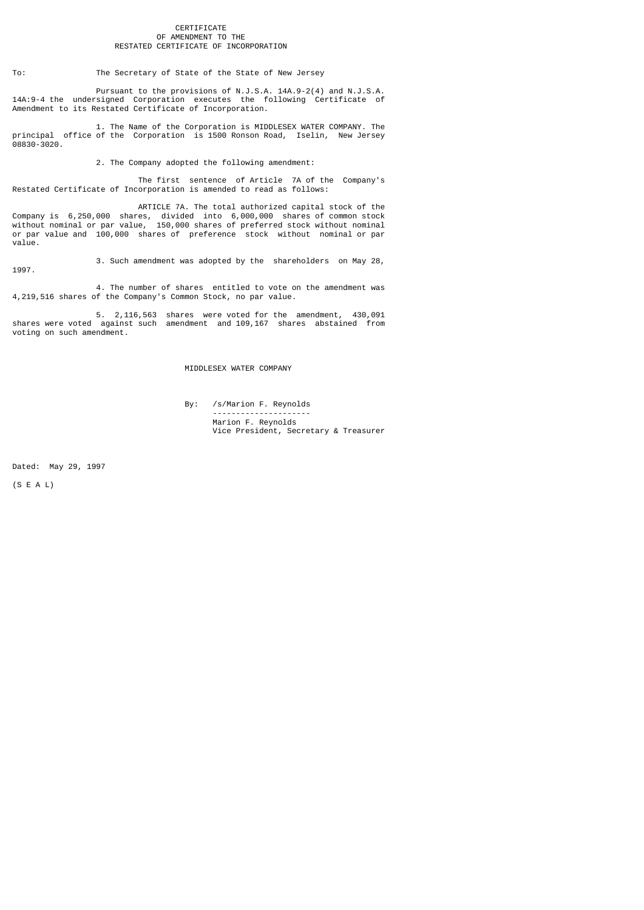#### CERTIFICATE OF AMENDMENT TO THE RESTATED CERTIFICATE OF INCORPORATION

## To: The Secretary of State of the State of New Jersey

 Pursuant to the provisions of N.J.S.A. 14A.9-2(4) and N.J.S.A. 14A:9-4 the undersigned Corporation executes the following Certificate of Amendment to its Restated Certificate of Incorporation.

 1. The Name of the Corporation is MIDDLESEX WATER COMPANY. The principal office of the Corporation is 1500 Ronson Road, Iselin, New Jersey 08830-3020.

2. The Company adopted the following amendment:

 The first sentence of Article 7A of the Company's Restated Certificate of Incorporation is amended to read as follows:

 ARTICLE 7A. The total authorized capital stock of the Company is 6,250,000 shares, divided into 6,000,000 shares of common stock without nominal or par value, 150,000 shares of preferred stock without nominal or par value and 100,000 shares of preference stock without nominal or par value.

3. Such amendment was adopted by the shareholders on May 28,

 4. The number of shares entitled to vote on the amendment was 4,219,516 shares of the Company's Common Stock, no par value.

 5. 2,116,563 shares were voted for the amendment, 430,091 shares were voted against such amendment and 109,167 shares abstained from voting on such amendment.

MIDDLESEX WATER COMPANY

 By: /s/Marion F. Reynolds --------------------- Marion F. Reynolds Vice President, Secretary & Treasurer

Dated: May 29, 1997

(S E A L)

1997.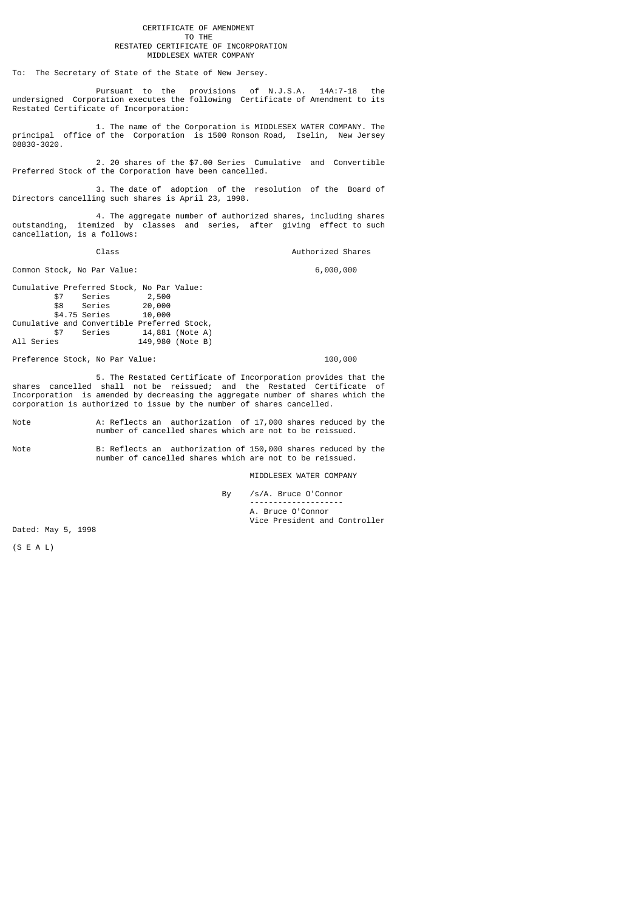#### CERTIFICATE OF AMENDMENT<br>TO THE TO THE THE THE THE TOP THE THE THE THE THE THE RESTATED CERTIFICATE OF INCORPORATION MIDDLESEX WATER COMPANY

To: The Secretary of State of the State of New Jersey.

 Pursuant to the provisions of N.J.S.A. 14A:7-18 the undersigned Corporation executes the following Certificate of Amendment to its Restated Certificate of Incorporation:

 1. The name of the Corporation is MIDDLESEX WATER COMPANY. The principal office of the Corporation is 1500 Ronson Road, Iselin, New Jersey 08830-3020.

 2. 20 shares of the \$7.00 Series Cumulative and Convertible Preferred Stock of the Corporation have been cancelled.

 3. The date of adoption of the resolution of the Board of Directors cancelling such shares is April 23, 1998.

 4. The aggregate number of authorized shares, including shares outstanding, itemized by classes and series, after giving effect to such cancellation, is a follows:

Class **Class Authorized Shares** 

Common Stock, No Par Value: 6,000,000

Cumulative Preferred Stock, No Par Value:<br>\$7 Series 2,500 \$7 Series 2,500<br>\$8 Series 20,000 Series 20,000<br>Series 10,000 \$4.75 Series Cumulative and Convertible Preferred Stock,<br>\$7 Series 14,881 (Note A) \$7 Series 14,881 (Note A)<br>All Series 149,980 (Note B) 149,980 (Note B)

Preference Stock, No Par Value: 100,000

 5. The Restated Certificate of Incorporation provides that the shares cancelled shall not be reissued; and the Restated Certificate of Incorporation is amended by decreasing the aggregate number of shares which the corporation is authorized to issue by the number of shares cancelled.

Note **A: Reflects an authorization of 17,000 shares reduced by the** number of cancelled shares which are not to be reissued.

Note B: Reflects an authorization of 150,000 shares reduced by the number of cancelled shares which are not to be reissued.

MIDDLESEX WATER COMPANY

By /s/A. Bruce O'Connor

 -------------------- A. Bruce O'Connor Vice President and Controller

Dated: May 5, 1998

(S E A L)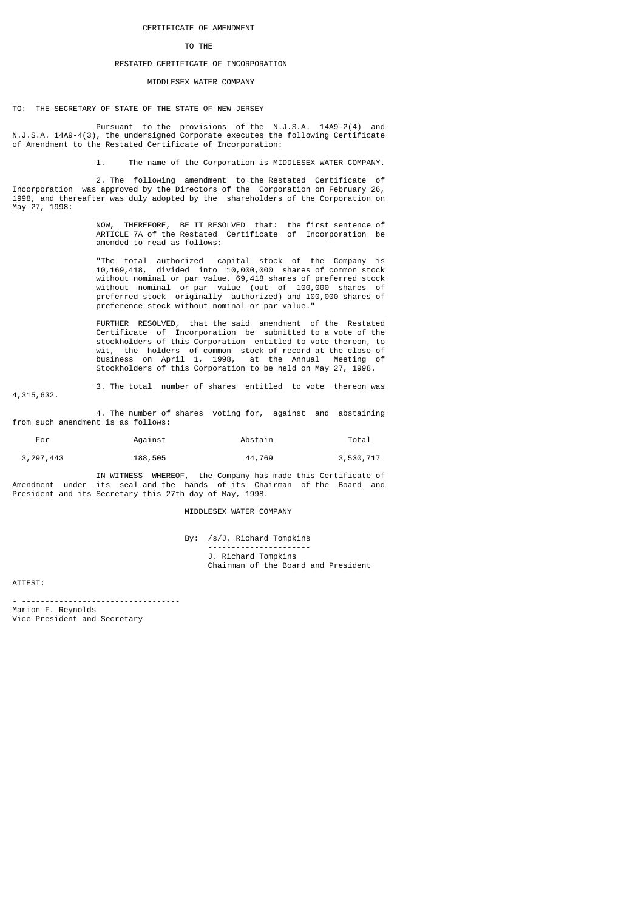### CERTIFICATE OF AMENDMENT

#### TO THE THE THE THE TOP THE THE THE THE THE THE

# RESTATED CERTIFICATE OF INCORPORATION

### MIDDLESEX WATER COMPANY

TO: THE SECRETARY OF STATE OF THE STATE OF NEW JERSEY

 Pursuant to the provisions of the N.J.S.A. 14A9-2(4) and N.J.S.A. 14A9-4(3), the undersigned Corporate executes the following Certificate of Amendment to the Restated Certificate of Incorporation:

1. The name of the Corporation is MIDDLESEX WATER COMPANY.

 2. The following amendment to the Restated Certificate of Incorporation was approved by the Directors of the Corporation on February 26, 1998, and thereafter was duly adopted by the shareholders of the Corporation on May 27, 1998:

 NOW, THEREFORE, BE IT RESOLVED that: the first sentence of ARTICLE 7A of the Restated Certificate of Incorporation be amended to read as follows:

> "The total authorized capital stock of the Company is 10,169,418, divided into 10,000,000 shares of common stock without nominal or par value, 69,418 shares of preferred stock without nominal or par value (out of 100,000 shares of preferred stock originally authorized) and 100,000 shares of preference stock without nominal or par value."

 FURTHER RESOLVED, that the said amendment of the Restated Certificate of Incorporation be submitted to a vote of the stockholders of this Corporation entitled to vote thereon, to wit, the holders of common stock of record at the close of business on April 1, 1998, at the Annual Meeting of Stockholders of this Corporation to be held on May 27, 1998.

 3. The total number of shares entitled to vote thereon was 4,315,632.

 4. The number of shares voting for, against and abstaining from such amendment is as follows:

| For         | Against | Abstain | Total     |
|-------------|---------|---------|-----------|
| 3, 297, 443 | 188,505 | 44,769  | 3,530,717 |

 IN WITNESS WHEREOF, the Company has made this Certificate of Amendment under its seal and the hands of its Chairman of the Board and President and its Secretary this 27th day of May, 1998.

#### MIDDLESEX WATER COMPANY

 By: /s/J. Richard Tompkins ---------------------- J. Richard Tompkins Chairman of the Board and President

ATTEST:

- ----------------------------------

Marion F. Reynolds Vice President and Secretary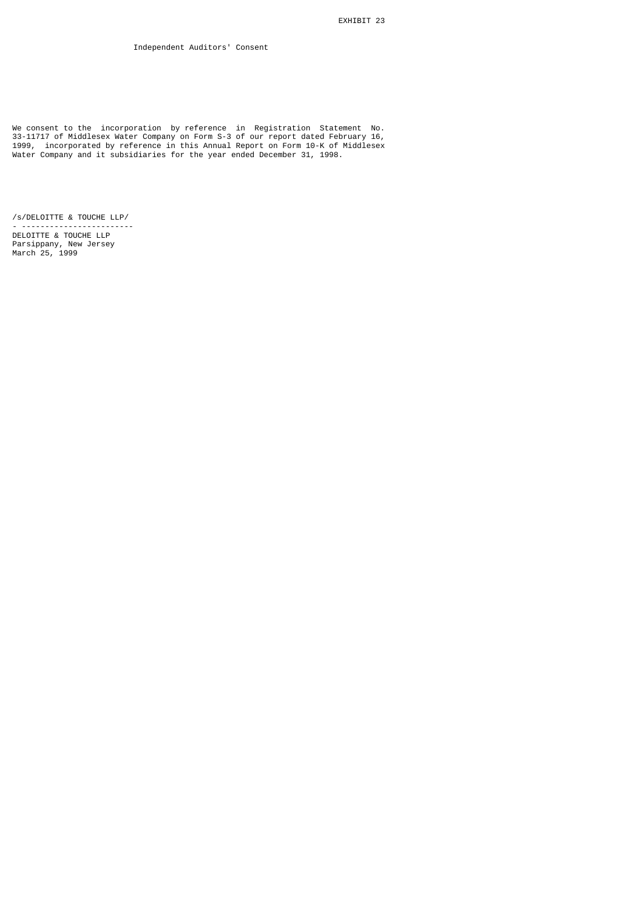We consent to the incorporation by reference in Registration Statement No. 33-11717 of Middlesex Water Company on Form S-3 of our report dated February 16, 1999, incorporated by reference in this Annual Report on Form 10-K of Middlesex Water Company and it subsidiaries for the year ended December 31, 1998.

/s/DELOITTE & TOUCHE LLP/ - ------------------------

DELOITTE & TOUCHE LLP Parsippany, New Jersey March 25, 1999